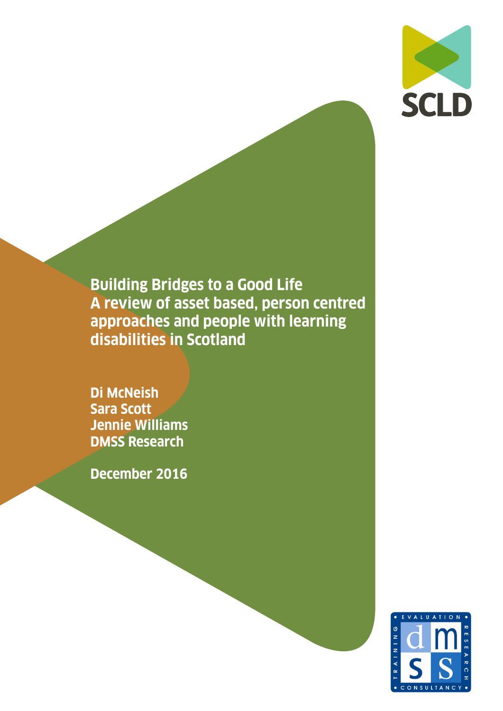

**Building Bridges to a Good Life A review of asset based, person centred approaches and people with learning disabilities in Scotland**

**Di McNeish Sara Scott Jennie Williams DMSS Research**

**December 2016**

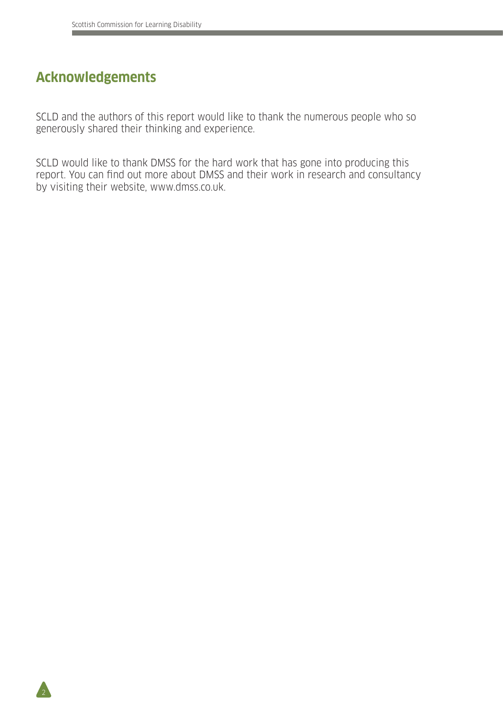# **Acknowledgements**

 $\overline{2}$ 

SCLD and the authors of this report would like to thank the numerous people who so generously shared their thinking and experience.

SCLD would like to thank DMSS for the hard work that has gone into producing this report. You can find out more about DMSS and their work in research and consultancy by visiting their website, www.dmss.co.uk.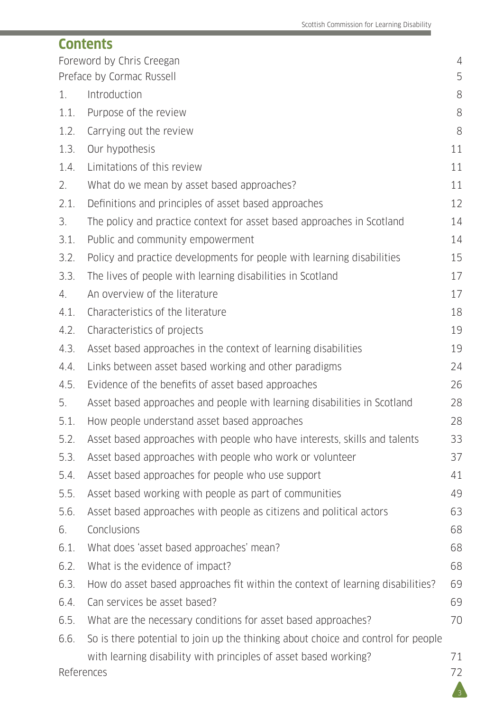|      | <b>Contents</b>                                                                   |    |
|------|-----------------------------------------------------------------------------------|----|
|      | Foreword by Chris Creegan                                                         | 4  |
|      | Preface by Cormac Russell                                                         | 5  |
| 1.   | Introduction                                                                      | 8  |
| 1.1. | Purpose of the review                                                             | 8  |
| 1.2. | Carrying out the review                                                           | 8  |
| 1.3. | Our hypothesis                                                                    | 11 |
| 1.4. | Limitations of this review                                                        | 11 |
| 2.   | What do we mean by asset based approaches?                                        | 11 |
| 2.1. | Definitions and principles of asset based approaches                              | 12 |
| 3.   | The policy and practice context for asset based approaches in Scotland            | 14 |
| 3.1. | Public and community empowerment                                                  | 14 |
| 3.2. | Policy and practice developments for people with learning disabilities            | 15 |
| 3.3. | The lives of people with learning disabilities in Scotland                        | 17 |
| 4.   | An overview of the literature                                                     | 17 |
| 4.1. | Characteristics of the literature                                                 | 18 |
| 4.2. | Characteristics of projects                                                       | 19 |
| 4.3. | Asset based approaches in the context of learning disabilities                    | 19 |
| 4.4. | Links between asset based working and other paradigms                             | 24 |
| 4.5. | Evidence of the benefits of asset based approaches                                | 26 |
| 5.   | Asset based approaches and people with learning disabilities in Scotland          | 28 |
| 5.1. | How people understand asset based approaches                                      | 28 |
| 5.2. | Asset based approaches with people who have interests, skills and talents         | 33 |
| 5.3. | Asset based approaches with people who work or volunteer                          | 37 |
| 5.4. | Asset based approaches for people who use support                                 | 41 |
| 5.5. | Asset based working with people as part of communities                            | 49 |
| 5.6. | Asset based approaches with people as citizens and political actors               | 63 |
| 6.   | Conclusions                                                                       | 68 |
| 6.1. | What does 'asset based approaches' mean?                                          | 68 |
| 6.2. | What is the evidence of impact?                                                   | 68 |
| 6.3. | How do asset based approaches fit within the context of learning disabilities?    | 69 |
| 6.4. | Can services be asset based?                                                      | 69 |
| 6.5. | What are the necessary conditions for asset based approaches?                     | 70 |
| 6.6. | So is there potential to join up the thinking about choice and control for people |    |
|      | with learning disability with principles of asset based working?                  | 71 |
|      | References                                                                        | 72 |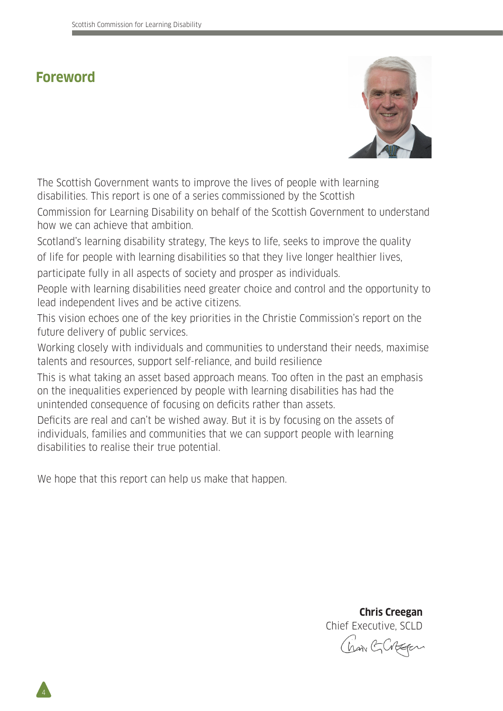# **Foreword**



The Scottish Government wants to improve the lives of people with learning disabilities. This report is one of a series commissioned by the Scottish

Commission for Learning Disability on behalf of the Scottish Government to understand how we can achieve that ambition.

Scotland's learning disability strategy, The keys to life, seeks to improve the quality of life for people with learning disabilities so that they live longer healthier lives, participate fully in all aspects of society and prosper as individuals.

People with learning disabilities need greater choice and control and the opportunity to lead independent lives and be active citizens.

This vision echoes one of the key priorities in the Christie Commission's report on the future delivery of public services.

Working closely with individuals and communities to understand their needs, maximise talents and resources, support self-reliance, and build resilience

This is what taking an asset based approach means. Too often in the past an emphasis on the inequalities experienced by people with learning disabilities has had the unintended consequence of focusing on deficits rather than assets.

Deficits are real and can't be wished away. But it is by focusing on the assets of individuals, families and communities that we can support people with learning disabilities to realise their true potential.

We hope that this report can help us make that happen.

 **Chris Creegan** Chief Executive, SCLD Chan GCBEFor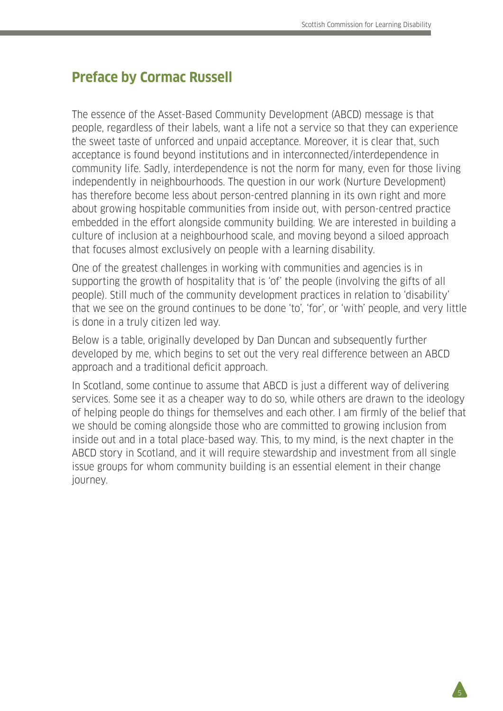# **Preface by Cormac Russell**

The essence of the Asset-Based Community Development (ABCD) message is that people, regardless of their labels, want a life not a service so that they can experience the sweet taste of unforced and unpaid acceptance. Moreover, it is clear that, such acceptance is found beyond institutions and in interconnected/interdependence in community life. Sadly, interdependence is not the norm for many, even for those living independently in neighbourhoods. The question in our work (Nurture Development) has therefore become less about person-centred planning in its own right and more about growing hospitable communities from inside out, with person-centred practice embedded in the effort alongside community building. We are interested in building a culture of inclusion at a neighbourhood scale, and moving beyond a siloed approach that focuses almost exclusively on people with a learning disability.

One of the greatest challenges in working with communities and agencies is in supporting the growth of hospitality that is 'of' the people (involving the gifts of all people). Still much of the community development practices in relation to 'disability' that we see on the ground continues to be done 'to', 'for', or 'with' people, and very little is done in a truly citizen led way.

Below is a table, originally developed by Dan Duncan and subsequently further developed by me, which begins to set out the very real difference between an ABCD approach and a traditional deficit approach.

In Scotland, some continue to assume that ABCD is just a different way of delivering services. Some see it as a cheaper way to do so, while others are drawn to the ideology of helping people do things for themselves and each other. I am firmly of the belief that we should be coming alongside those who are committed to growing inclusion from inside out and in a total place-based way. This, to my mind, is the next chapter in the ABCD story in Scotland, and it will require stewardship and investment from all single issue groups for whom community building is an essential element in their change journey.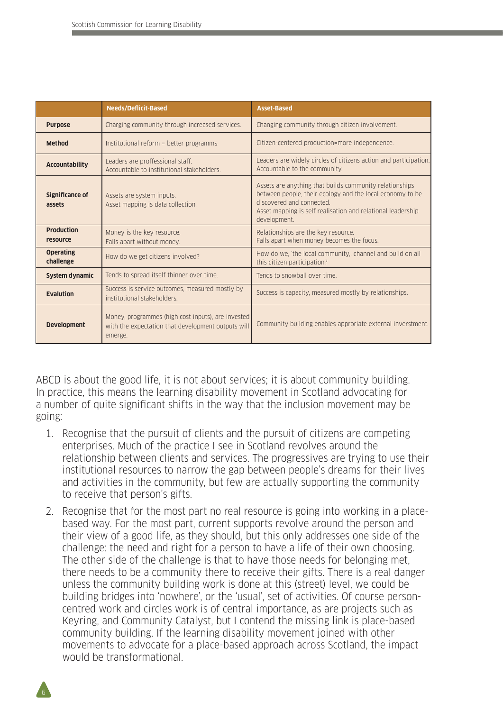|                               | Needs/Deflicit-Based                                                                                                | <b>Asset-Based</b>                                                                                                                                                                                                               |
|-------------------------------|---------------------------------------------------------------------------------------------------------------------|----------------------------------------------------------------------------------------------------------------------------------------------------------------------------------------------------------------------------------|
| <b>Purpose</b>                | Charging community through increased services.                                                                      | Changing community through citizen involvement.                                                                                                                                                                                  |
| <b>Method</b>                 | Institutional reform = better programms                                                                             | Citizen-centered production=more independence.                                                                                                                                                                                   |
| <b>Accountability</b>         | Leaders are proffessional staff.<br>Accountable to institutional stakeholders.                                      | Leaders are widely circles of citizens action and participation.<br>Accountable to the community.                                                                                                                                |
| Significance of<br>assets     | Assets are system inputs.<br>Asset mapping is data collection.                                                      | Assets are anything that builds community relationships<br>between people, their ecology and the local economy to be<br>discovered and connected.<br>Asset mapping is self realisation and relational leadership<br>development. |
| <b>Production</b><br>resource | Money is the key resource.<br>Falls apart without money.                                                            | Relationships are the key resource.<br>Falls apart when money becomes the focus.                                                                                                                                                 |
| <b>Operating</b><br>challenge | How do we get citizens involved?                                                                                    | How do we, 'the local community,. channel and build on all<br>this citizen participation?                                                                                                                                        |
| System dynamic                | Tends to spread itself thinner over time.                                                                           | Tends to snowhall over time                                                                                                                                                                                                      |
| <b>Evalution</b>              | Success is service outcomes, measured mostly by<br>institutional stakeholders.                                      | Success is capacity, measured mostly by relationships.                                                                                                                                                                           |
| <b>Development</b>            | Money, programmes (high cost inputs), are invested<br>with the expectation that development outputs will<br>emerge. | Community building enables approriate external inverstment.                                                                                                                                                                      |

ABCD is about the good life, it is not about services; it is about community building. In practice, this means the learning disability movement in Scotland advocating for a number of quite significant shifts in the way that the inclusion movement may be going:

- 1. Recognise that the pursuit of clients and the pursuit of citizens are competing enterprises. Much of the practice I see in Scotland revolves around the relationship between clients and services. The progressives are trying to use their institutional resources to narrow the gap between people's dreams for their lives and activities in the community, but few are actually supporting the community to receive that person's gifts.
- 2. Recognise that for the most part no real resource is going into working in a placebased way. For the most part, current supports revolve around the person and their view of a good life, as they should, but this only addresses one side of the challenge: the need and right for a person to have a life of their own choosing. The other side of the challenge is that to have those needs for belonging met, there needs to be a community there to receive their gifts. There is a real danger unless the community building work is done at this (street) level, we could be building bridges into 'nowhere', or the 'usual', set of activities. Of course personcentred work and circles work is of central importance, as are projects such as Keyring, and Community Catalyst, but I contend the missing link is place-based community building. If the learning disability movement joined with other movements to advocate for a place-based approach across Scotland, the impact would be transformational.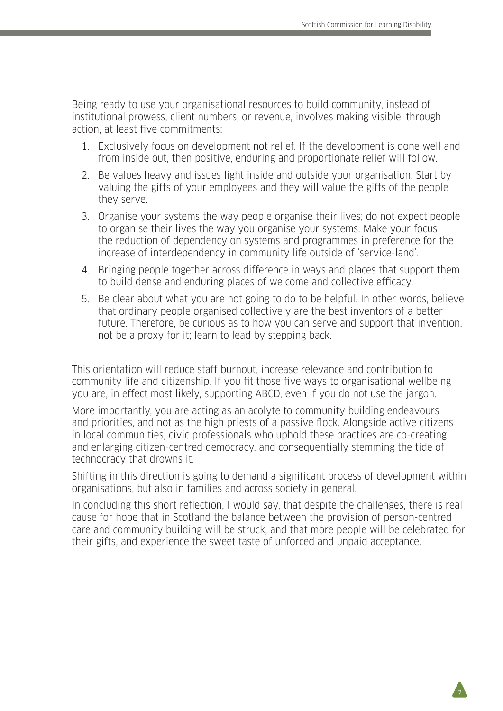Being ready to use your organisational resources to build community, instead of institutional prowess, client numbers, or revenue, involves making visible, through action, at least five commitments:

- 1. Exclusively focus on development not relief. If the development is done well and from inside out, then positive, enduring and proportionate relief will follow.
- 2. Be values heavy and issues light inside and outside your organisation. Start by valuing the gifts of your employees and they will value the gifts of the people they serve.
- 3. Organise your systems the way people organise their lives; do not expect people to organise their lives the way you organise your systems. Make your focus the reduction of dependency on systems and programmes in preference for the increase of interdependency in community life outside of 'service-land'.
- 4. Bringing people together across difference in ways and places that support them to build dense and enduring places of welcome and collective efficacy.
- 5. Be clear about what you are not going to do to be helpful. In other words, believe that ordinary people organised collectively are the best inventors of a better future. Therefore, be curious as to how you can serve and support that invention, not be a proxy for it; learn to lead by stepping back.

This orientation will reduce staff burnout, increase relevance and contribution to community life and citizenship. If you fit those five ways to organisational wellbeing you are, in effect most likely, supporting ABCD, even if you do not use the jargon.

More importantly, you are acting as an acolyte to community building endeavours and priorities, and not as the high priests of a passive flock. Alongside active citizens in local communities, civic professionals who uphold these practices are co-creating and enlarging citizen-centred democracy, and consequentially stemming the tide of technocracy that drowns it.

Shifting in this direction is going to demand a significant process of development within organisations, but also in families and across society in general.

In concluding this short reflection, I would say, that despite the challenges, there is real cause for hope that in Scotland the balance between the provision of person-centred care and community building will be struck, and that more people will be celebrated for their gifts, and experience the sweet taste of unforced and unpaid acceptance.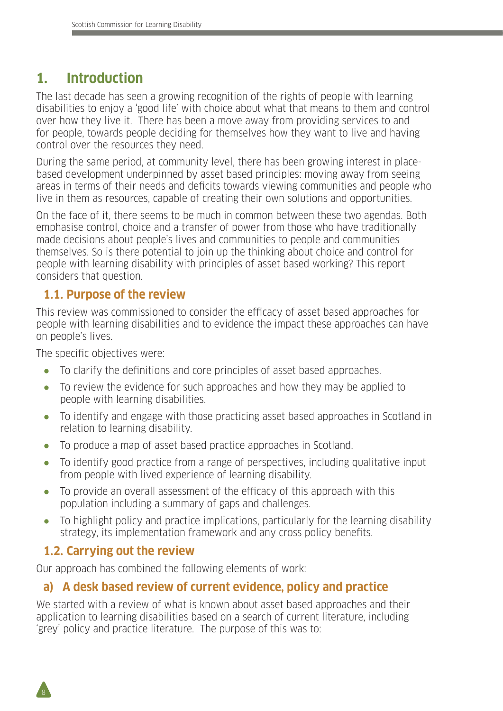# **1. Introduction**

The last decade has seen a growing recognition of the rights of people with learning disabilities to enjoy a 'good life' with choice about what that means to them and control over how they live it. There has been a move away from providing services to and for people, towards people deciding for themselves how they want to live and having control over the resources they need.

During the same period, at community level, there has been growing interest in placebased development underpinned by asset based principles: moving away from seeing areas in terms of their needs and deficits towards viewing communities and people who live in them as resources, capable of creating their own solutions and opportunities.

On the face of it, there seems to be much in common between these two agendas. Both emphasise control, choice and a transfer of power from those who have traditionally made decisions about people's lives and communities to people and communities themselves. So is there potential to join up the thinking about choice and control for people with learning disability with principles of asset based working? This report considers that question.

### **1.1. Purpose of the review**

This review was commissioned to consider the efficacy of asset based approaches for people with learning disabilities and to evidence the impact these approaches can have on people's lives.

The specific objectives were:

- To clarify the definitions and core principles of asset based approaches.
- To review the evidence for such approaches and how they may be applied to people with learning disabilities.
- To identify and engage with those practicing asset based approaches in Scotland in relation to learning disability.
- To produce a map of asset based practice approaches in Scotland.
- To identify good practice from a range of perspectives, including qualitative input from people with lived experience of learning disability.
- To provide an overall assessment of the efficacy of this approach with this population including a summary of gaps and challenges.
- To highlight policy and practice implications, particularly for the learning disability strategy, its implementation framework and any cross policy benefits.

## **1.2. Carrying out the review**

8

Our approach has combined the following elements of work:

### **a) A desk based review of current evidence, policy and practice**

We started with a review of what is known about asset based approaches and their application to learning disabilities based on a search of current literature, including 'grey' policy and practice literature. The purpose of this was to: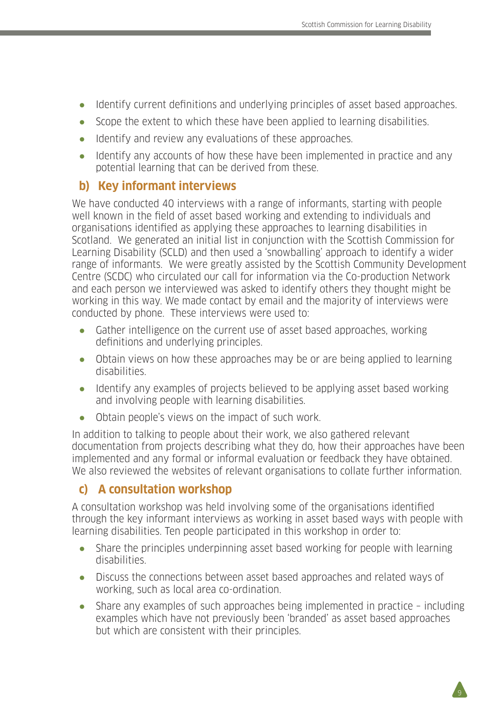- Identify current definitions and underlying principles of asset based approaches.
- Scope the extent to which these have been applied to learning disabilities.
- Identify and review any evaluations of these approaches.
- Identify any accounts of how these have been implemented in practice and any potential learning that can be derived from these.

### **b) Key informant interviews**

We have conducted 40 interviews with a range of informants, starting with people well known in the field of asset based working and extending to individuals and organisations identified as applying these approaches to learning disabilities in Scotland. We generated an initial list in conjunction with the Scottish Commission for Learning Disability (SCLD) and then used a 'snowballing' approach to identify a wider range of informants. We were greatly assisted by the Scottish Community Development Centre (SCDC) who circulated our call for information via the Co-production Network and each person we interviewed was asked to identify others they thought might be working in this way. We made contact by email and the majority of interviews were conducted by phone. These interviews were used to:

- Gather intelligence on the current use of asset based approaches, working definitions and underlying principles.
- Obtain views on how these approaches may be or are being applied to learning disabilities.
- Identify any examples of projects believed to be applying asset based working and involving people with learning disabilities.
- Obtain people's views on the impact of such work.

In addition to talking to people about their work, we also gathered relevant documentation from projects describing what they do, how their approaches have been implemented and any formal or informal evaluation or feedback they have obtained. We also reviewed the websites of relevant organisations to collate further information.

### **c) A consultation workshop**

A consultation workshop was held involving some of the organisations identified through the key informant interviews as working in asset based ways with people with learning disabilities. Ten people participated in this workshop in order to:

- Share the principles underpinning asset based working for people with learning disabilities.
- Discuss the connections between asset based approaches and related ways of working, such as local area co-ordination.
- Share any examples of such approaches being implemented in practice including examples which have not previously been 'branded' as asset based approaches but which are consistent with their principles.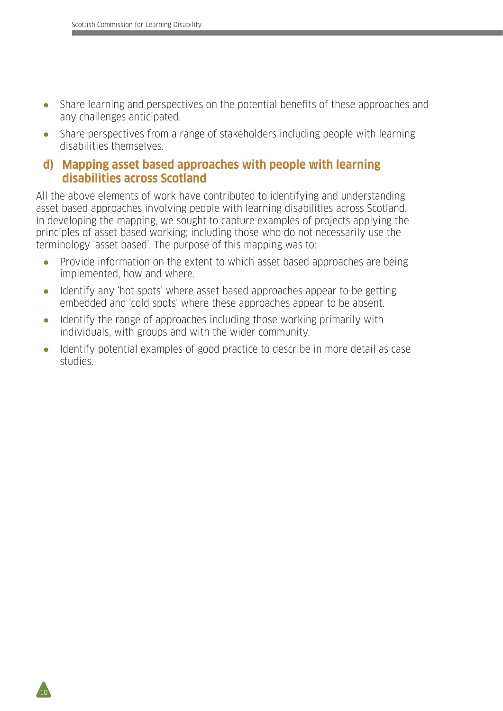$10<sup>1</sup>$ 

- Share learning and perspectives on the potential benefits of these approaches and any challenges anticipated.
- Share perspectives from a range of stakeholders including people with learning disabilities themselves.

#### **d) Mapping asset based approaches with people with learning disabilities across Scotland**

All the above elements of work have contributed to identifying and understanding asset based approaches involving people with learning disabilities across Scotland. In developing the mapping, we sought to capture examples of projects applying the principles of asset based working; including those who do not necessarily use the terminology 'asset based'. The purpose of this mapping was to:

- Provide information on the extent to which asset based approaches are being implemented, how and where.
- Identify any 'hot spots' where asset based approaches appear to be getting embedded and 'cold spots' where these approaches appear to be absent.
- Identify the range of approaches including those working primarily with individuals, with groups and with the wider community.
- Identify potential examples of good practice to describe in more detail as case studies.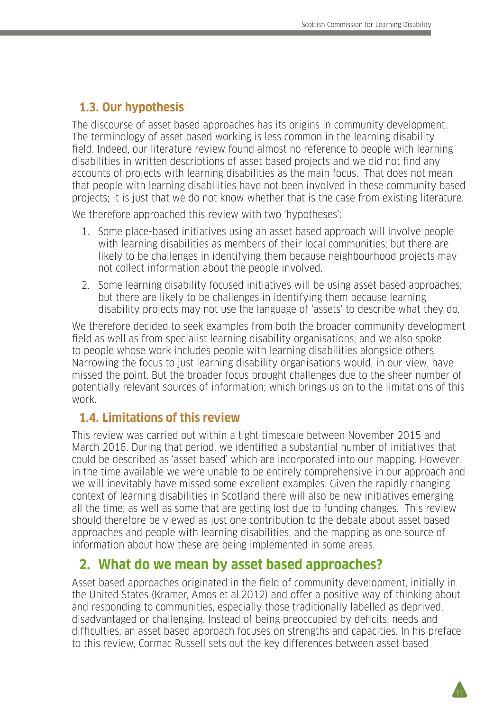## **1.3. Our hypothesis**

The discourse of asset based approaches has its origins in community development. The terminology of asset based working is less common in the learning disability field. Indeed, our literature review found almost no reference to people with learning disabilities in written descriptions of asset based projects and we did not find any accounts of projects with learning disabilities as the main focus. That does not mean that people with learning disabilities have not been involved in these community based projects; it is just that we do not know whether that is the case from existing literature.

We therefore approached this review with two 'hypotheses':

- 1. Some place-based initiatives using an asset based approach will involve people with learning disabilities as members of their local communities; but there are likely to be challenges in identifying them because neighbourhood projects may not collect information about the people involved.
- 2. Some learning disability focused initiatives will be using asset based approaches; but there are likely to be challenges in identifying them because learning disability projects may not use the language of 'assets' to describe what they do.

We therefore decided to seek examples from both the broader community development field as well as from specialist learning disability organisations; and we also spoke to people whose work includes people with learning disabilities alongside others. Narrowing the focus to just learning disability organisations would, in our view, have missed the point. But the broader focus brought challenges due to the sheer number of potentially relevant sources of information; which brings us on to the limitations of this work.

#### **1.4. Limitations of this review**

This review was carried out within a tight timescale between November 2015 and March 2016. During that period, we identified a substantial number of initiatives that could be described as 'asset based' which are incorporated into our mapping. However, in the time available we were unable to be entirely comprehensive in our approach and we will inevitably have missed some excellent examples. Given the rapidly changing context of learning disabilities in Scotland there will also be new initiatives emerging all the time; as well as some that are getting lost due to funding changes. This review should therefore be viewed as just one contribution to the debate about asset based approaches and people with learning disabilities, and the mapping as one source of information about how these are being implemented in some areas.

## **2. What do we mean by asset based approaches?**

Asset based approaches originated in the field of community development, initially in the United States (Kramer, Amos et al.2012) and offer a positive way of thinking about and responding to communities, especially those traditionally labelled as deprived, disadvantaged or challenging. Instead of being preoccupied by deficits, needs and difficulties, an asset based approach focuses on strengths and capacities. In his preface to this review, Cormac Russell sets out the key differences between asset based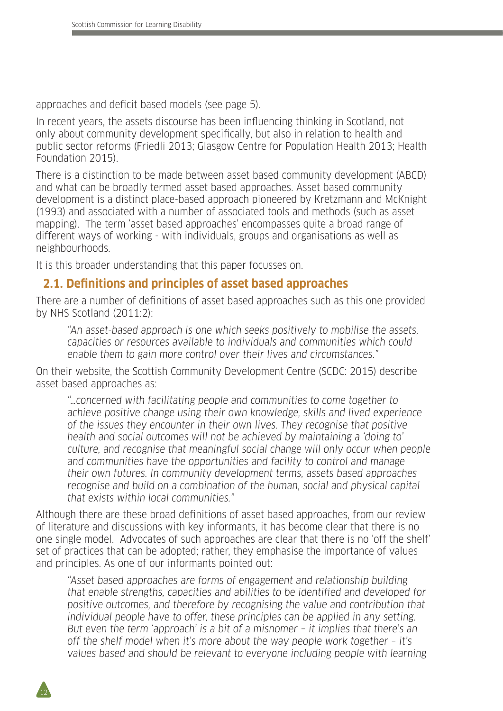approaches and deficit based models (see page 5).

In recent years, the assets discourse has been influencing thinking in Scotland, not only about community development specifically, but also in relation to health and public sector reforms (Friedli 2013; Glasgow Centre for Population Health 2013; Health Foundation 2015).

There is a distinction to be made between asset based community development (ABCD) and what can be broadly termed asset based approaches. Asset based community development is a distinct place-based approach pioneered by Kretzmann and McKnight (1993) and associated with a number of associated tools and methods (such as asset mapping). The term 'asset based approaches' encompasses quite a broad range of different ways of working - with individuals, groups and organisations as well as neighbourhoods.

It is this broader understanding that this paper focusses on.

12

#### **2.1. Definitions and principles of asset based approaches**

There are a number of definitions of asset based approaches such as this one provided by NHS Scotland (2011:2):

"An asset-based approach is one which seeks positively to mobilise the assets, capacities or resources available to individuals and communities which could enable them to gain more control over their lives and circumstances."

On their website, the Scottish Community Development Centre (SCDC: 2015) describe asset based approaches as:

"…concerned with facilitating people and communities to come together to achieve positive change using their own knowledge, skills and lived experience of the issues they encounter in their own lives. They recognise that positive health and social outcomes will not be achieved by maintaining a 'doing to' culture, and recognise that meaningful social change will only occur when people and communities have the opportunities and facility to control and manage their own futures. In community development terms, assets based approaches recognise and build on a combination of the human, social and physical capital that exists within local communities."

Although there are these broad definitions of asset based approaches, from our review of literature and discussions with key informants, it has become clear that there is no one single model. Advocates of such approaches are clear that there is no 'off the shelf' set of practices that can be adopted; rather, they emphasise the importance of values and principles. As one of our informants pointed out:

"Asset based approaches are forms of engagement and relationship building that enable strengths, capacities and abilities to be identified and developed for positive outcomes, and therefore by recognising the value and contribution that individual people have to offer, these principles can be applied in any setting. But even the term 'approach' is a bit of a misnomer – it implies that there's an off the shelf model when it's more about the way people work together – it's values based and should be relevant to everyone including people with learning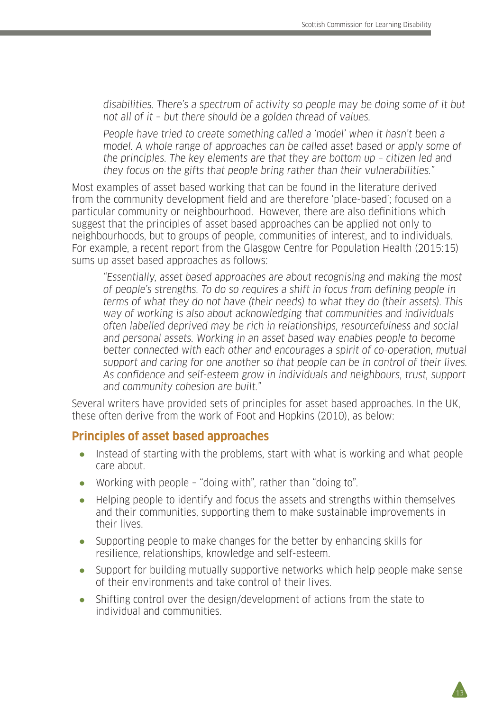disabilities. There's a spectrum of activity so people may be doing some of it but not all of it – but there should be a golden thread of values.

People have tried to create something called a 'model' when it hasn't been a model. A whole range of approaches can be called asset based or apply some of the principles. The key elements are that they are bottom up – citizen led and they focus on the gifts that people bring rather than their vulnerabilities."

Most examples of asset based working that can be found in the literature derived from the community development field and are therefore 'place-based'; focused on a particular community or neighbourhood. However, there are also definitions which suggest that the principles of asset based approaches can be applied not only to neighbourhoods, but to groups of people, communities of interest, and to individuals. For example, a recent report from the Glasgow Centre for Population Health (2015:15) sums up asset based approaches as follows:

"Essentially, asset based approaches are about recognising and making the most of people's strengths. To do so requires a shift in focus from defining people in terms of what they do not have (their needs) to what they do (their assets). This way of working is also about acknowledging that communities and individuals often labelled deprived may be rich in relationships, resourcefulness and social and personal assets. Working in an asset based way enables people to become better connected with each other and encourages a spirit of co-operation, mutual support and caring for one another so that people can be in control of their lives. As confidence and self-esteem grow in individuals and neighbours, trust, support and community cohesion are built."

Several writers have provided sets of principles for asset based approaches. In the UK, these often derive from the work of Foot and Hopkins (2010), as below:

#### **Principles of asset based approaches**

- Instead of starting with the problems, start with what is working and what people care about.
- Working with people "doing with", rather than "doing to".
- Helping people to identify and focus the assets and strengths within themselves and their communities, supporting them to make sustainable improvements in their lives.
- Supporting people to make changes for the better by enhancing skills for resilience, relationships, knowledge and self-esteem.
- Support for building mutually supportive networks which help people make sense of their environments and take control of their lives.

13

Shifting control over the design/development of actions from the state to individual and communities.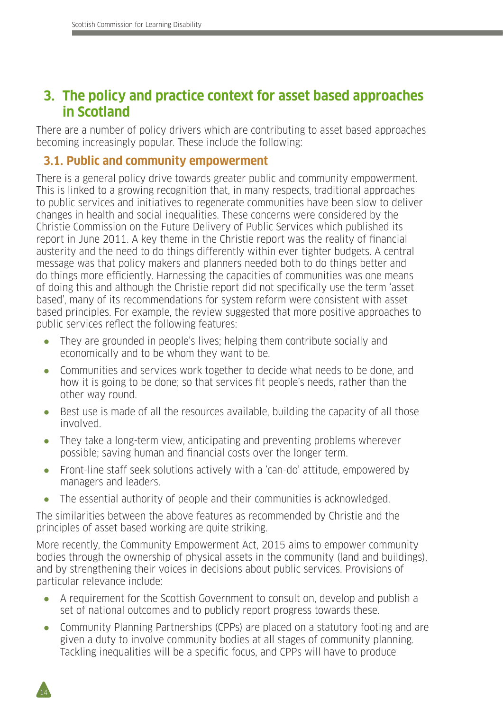# **3. The policy and practice context for asset based approaches in Scotland**

There are a number of policy drivers which are contributing to asset based approaches becoming increasingly popular. These include the following:

### **3.1. Public and community empowerment**

There is a general policy drive towards greater public and community empowerment. This is linked to a growing recognition that, in many respects, traditional approaches to public services and initiatives to regenerate communities have been slow to deliver changes in health and social inequalities. These concerns were considered by the Christie Commission on the Future Delivery of Public Services which published its report in June 2011. A key theme in the Christie report was the reality of financial austerity and the need to do things differently within ever tighter budgets. A central message was that policy makers and planners needed both to do things better and do things more efficiently. Harnessing the capacities of communities was one means of doing this and although the Christie report did not specifically use the term 'asset based', many of its recommendations for system reform were consistent with asset based principles. For example, the review suggested that more positive approaches to public services reflect the following features:

- They are grounded in people's lives; helping them contribute socially and economically and to be whom they want to be.
- Communities and services work together to decide what needs to be done, and how it is going to be done; so that services fit people's needs, rather than the other way round.
- Best use is made of all the resources available, building the capacity of all those involved.
- They take a long-term view, anticipating and preventing problems wherever possible; saving human and financial costs over the longer term.
- Front-line staff seek solutions actively with a 'can-do' attitude, empowered by managers and leaders.
- The essential authority of people and their communities is acknowledged.

The similarities between the above features as recommended by Christie and the principles of asset based working are quite striking.

More recently, the Community Empowerment Act, 2015 aims to empower community bodies through the ownership of physical assets in the community (land and buildings), and by strengthening their voices in decisions about public services. Provisions of particular relevance include:

- A requirement for the Scottish Government to consult on, develop and publish a set of national outcomes and to publicly report progress towards these.
- Community Planning Partnerships (CPPs) are placed on a statutory footing and are given a duty to involve community bodies at all stages of community planning. Tackling inequalities will be a specific focus, and CPPs will have to produce

14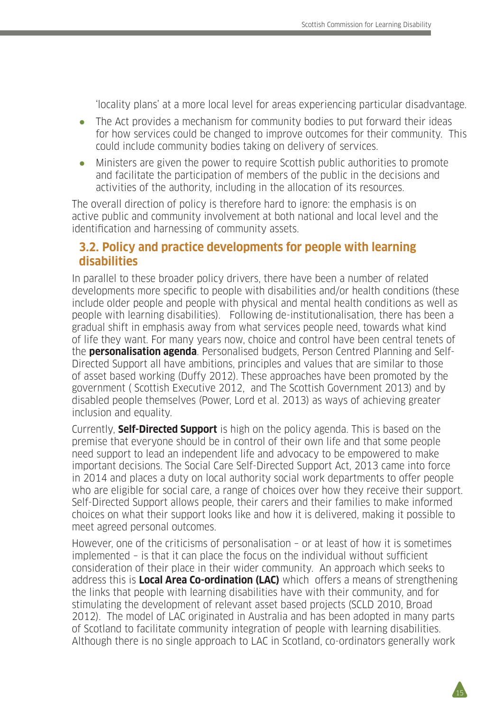'locality plans' at a more local level for areas experiencing particular disadvantage.

- The Act provides a mechanism for community bodies to put forward their ideas for how services could be changed to improve outcomes for their community. This could include community bodies taking on delivery of services.
- Ministers are given the power to require Scottish public authorities to promote and facilitate the participation of members of the public in the decisions and activities of the authority, including in the allocation of its resources.

The overall direction of policy is therefore hard to ignore: the emphasis is on active public and community involvement at both national and local level and the identification and harnessing of community assets.

#### **3.2. Policy and practice developments for people with learning disabilities**

In parallel to these broader policy drivers, there have been a number of related developments more specific to people with disabilities and/or health conditions (these include older people and people with physical and mental health conditions as well as people with learning disabilities). Following de-institutionalisation, there has been a gradual shift in emphasis away from what services people need, towards what kind of life they want. For many years now, choice and control have been central tenets of the **personalisation agenda**. Personalised budgets, Person Centred Planning and Self-Directed Support all have ambitions, principles and values that are similar to those of asset based working (Duffy 2012). These approaches have been promoted by the government ( Scottish Executive 2012, and The Scottish Government 2013) and by disabled people themselves (Power, Lord et al. 2013) as ways of achieving greater inclusion and equality.

Currently, **Self-Directed Support** is high on the policy agenda. This is based on the premise that everyone should be in control of their own life and that some people need support to lead an independent life and advocacy to be empowered to make important decisions. The Social Care Self-Directed Support Act, 2013 came into force in 2014 and places a duty on local authority social work departments to offer people who are eligible for social care, a range of choices over how they receive their support. Self-Directed Support allows people, their carers and their families to make informed choices on what their support looks like and how it is delivered, making it possible to meet agreed personal outcomes.

However, one of the criticisms of personalisation – or at least of how it is sometimes implemented – is that it can place the focus on the individual without sufficient consideration of their place in their wider community. An approach which seeks to address this is **Local Area Co-ordination (LAC)** which offers a means of strengthening the links that people with learning disabilities have with their community, and for stimulating the development of relevant asset based projects (SCLD 2010, Broad 2012). The model of LAC originated in Australia and has been adopted in many parts of Scotland to facilitate community integration of people with learning disabilities. Although there is no single approach to LAC in Scotland, co-ordinators generally work

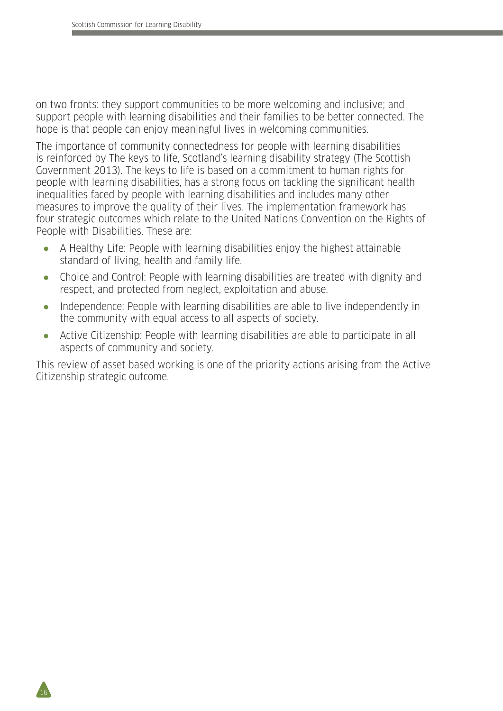$16$ 

on two fronts: they support communities to be more welcoming and inclusive; and support people with learning disabilities and their families to be better connected. The hope is that people can enjoy meaningful lives in welcoming communities.

The importance of community connectedness for people with learning disabilities is reinforced by The keys to life, Scotland's learning disability strategy (The Scottish Government 2013). The keys to life is based on a commitment to human rights for people with learning disabilities, has a strong focus on tackling the significant health inequalities faced by people with learning disabilities and includes many other measures to improve the quality of their lives. The implementation framework has four strategic outcomes which relate to the United Nations Convention on the Rights of People with Disabilities. These are:

- A Healthy Life: People with learning disabilities enjoy the highest attainable standard of living, health and family life.
- Choice and Control: People with learning disabilities are treated with dignity and respect, and protected from neglect, exploitation and abuse.
- Independence: People with learning disabilities are able to live independently in the community with equal access to all aspects of society.
- Active Citizenship: People with learning disabilities are able to participate in all aspects of community and society.

This review of asset based working is one of the priority actions arising from the Active Citizenship strategic outcome.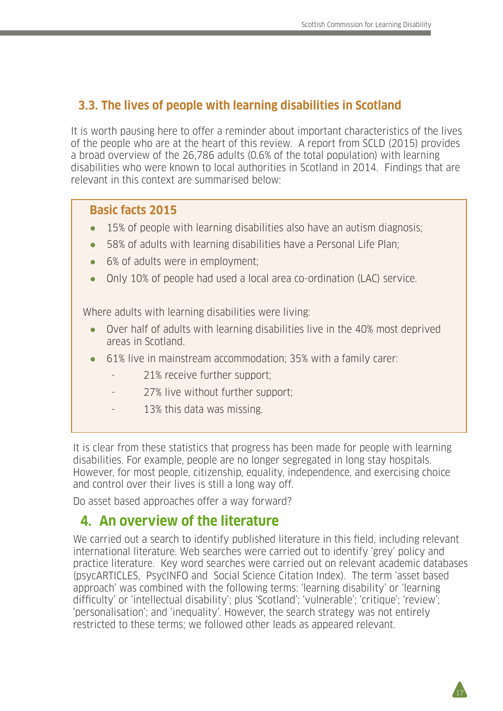## **3.3. The lives of people with learning disabilities in Scotland**

It is worth pausing here to offer a reminder about important characteristics of the lives of the people who are at the heart of this review. A report from SCLD (2015) provides a broad overview of the 26,786 adults (0.6% of the total population) with learning disabilities who were known to local authorities in Scotland in 2014. Findings that are relevant in this context are summarised below:

#### **Basic facts 2015**

- $\bullet$  15% of people with learning disabilities also have an autism diagnosis;
- 58% of adults with learning disabilities have a Personal Life Plan;
- 6% of adults were in employment;
- Only 10% of people had used a local area co-ordination (LAC) service.

Where adults with learning disabilities were living:

- Over half of adults with learning disabilities live in the 40% most deprived areas in Scotland.
- 61% live in mainstream accommodation; 35% with a family carer:
	- 21% receive further support:
	- 27% live without further support;
	- 13% this data was missing.

It is clear from these statistics that progress has been made for people with learning disabilities. For example, people are no longer segregated in long stay hospitals. However, for most people, citizenship, equality, independence, and exercising choice and control over their lives is still a long way off.

Do asset based approaches offer a way forward?

## **4. An overview of the literature**

We carried out a search to identify published literature in this field, including relevant international literature. Web searches were carried out to identify 'grey' policy and practice literature. Key word searches were carried out on relevant academic databases (psycARTICLES, PsycINFO and Social Science Citation Index). The term 'asset based approach' was combined with the following terms: 'learning disability' or 'learning difficulty' or 'intellectual disability'; plus 'Scotland'; 'vulnerable'; 'critique'; 'review'; 'personalisation'; and 'inequality'. However, the search strategy was not entirely restricted to these terms; we followed other leads as appeared relevant.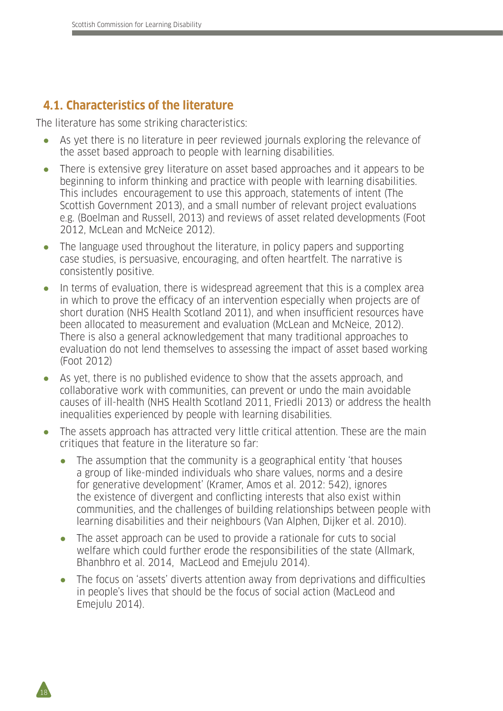## **4.1. Characteristics of the literature**

18

The literature has some striking characteristics:

- As yet there is no literature in peer reviewed journals exploring the relevance of the asset based approach to people with learning disabilities.
- There is extensive grey literature on asset based approaches and it appears to be beginning to inform thinking and practice with people with learning disabilities. This includes encouragement to use this approach, statements of intent (The Scottish Government 2013), and a small number of relevant project evaluations e.g. (Boelman and Russell, 2013) and reviews of asset related developments (Foot 2012, McLean and McNeice 2012).
- The language used throughout the literature, in policy papers and supporting case studies, is persuasive, encouraging, and often heartfelt. The narrative is consistently positive.
- In terms of evaluation, there is widespread agreement that this is a complex area in which to prove the efficacy of an intervention especially when projects are of short duration (NHS Health Scotland 2011), and when insufficient resources have been allocated to measurement and evaluation (McLean and McNeice, 2012). There is also a general acknowledgement that many traditional approaches to evaluation do not lend themselves to assessing the impact of asset based working (Foot 2012)
- As yet, there is no published evidence to show that the assets approach, and collaborative work with communities, can prevent or undo the main avoidable causes of ill-health (NHS Health Scotland 2011, Friedli 2013) or address the health inequalities experienced by people with learning disabilities.
- The assets approach has attracted very little critical attention. These are the main critiques that feature in the literature so far:
	- The assumption that the community is a geographical entity 'that houses a group of like-minded individuals who share values, norms and a desire for generative development' (Kramer, Amos et al. 2012: 542), ignores the existence of divergent and conflicting interests that also exist within communities, and the challenges of building relationships between people with learning disabilities and their neighbours (Van Alphen, Dijker et al. 2010).
	- The asset approach can be used to provide a rationale for cuts to social welfare which could further erode the responsibilities of the state (Allmark, Bhanbhro et al. 2014, MacLeod and Emejulu 2014).
	- The focus on 'assets' diverts attention away from deprivations and difficulties in people's lives that should be the focus of social action (MacLeod and Emejulu 2014).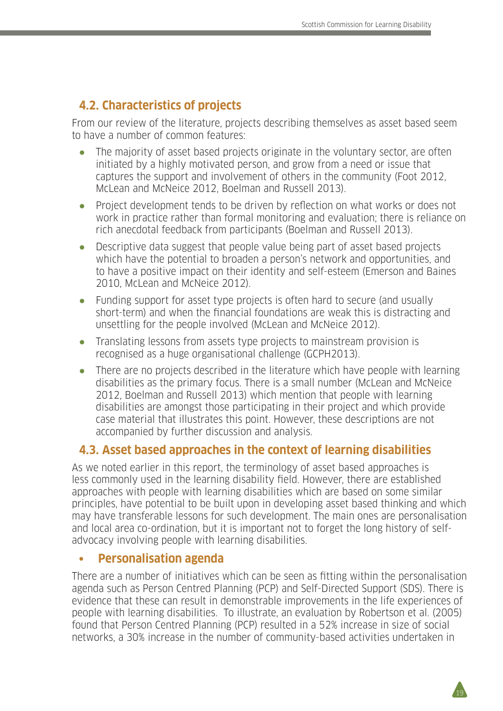## **4.2. Characteristics of projects**

From our review of the literature, projects describing themselves as asset based seem to have a number of common features:

- The majority of asset based projects originate in the voluntary sector, are often initiated by a highly motivated person, and grow from a need or issue that captures the support and involvement of others in the community (Foot 2012, McLean and McNeice 2012, Boelman and Russell 2013).
- Project development tends to be driven by reflection on what works or does not work in practice rather than formal monitoring and evaluation; there is reliance on rich anecdotal feedback from participants (Boelman and Russell 2013).
- Descriptive data suggest that people value being part of asset based projects which have the potential to broaden a person's network and opportunities, and to have a positive impact on their identity and self-esteem (Emerson and Baines 2010, McLean and McNeice 2012).
- Funding support for asset type projects is often hard to secure (and usually short-term) and when the financial foundations are weak this is distracting and unsettling for the people involved (McLean and McNeice 2012).
- Translating lessons from assets type projects to mainstream provision is recognised as a huge organisational challenge (GCPH2013).
- There are no projects described in the literature which have people with learning disabilities as the primary focus. There is a small number (McLean and McNeice 2012, Boelman and Russell 2013) which mention that people with learning disabilities are amongst those participating in their project and which provide case material that illustrates this point. However, these descriptions are not accompanied by further discussion and analysis.

## **4.3. Asset based approaches in the context of learning disabilities**

As we noted earlier in this report, the terminology of asset based approaches is less commonly used in the learning disability field. However, there are established approaches with people with learning disabilities which are based on some similar principles, have potential to be built upon in developing asset based thinking and which may have transferable lessons for such development. The main ones are personalisation and local area co-ordination, but it is important not to forget the long history of selfadvocacy involving people with learning disabilities.

#### **• Personalisation agenda**

There are a number of initiatives which can be seen as fitting within the personalisation agenda such as Person Centred Planning (PCP) and Self-Directed Support (SDS). There is evidence that these can result in demonstrable improvements in the life experiences of people with learning disabilities. To illustrate, an evaluation by Robertson et al. (2005) found that Person Centred Planning (PCP) resulted in a 52% increase in size of social networks, a 30% increase in the number of community-based activities undertaken in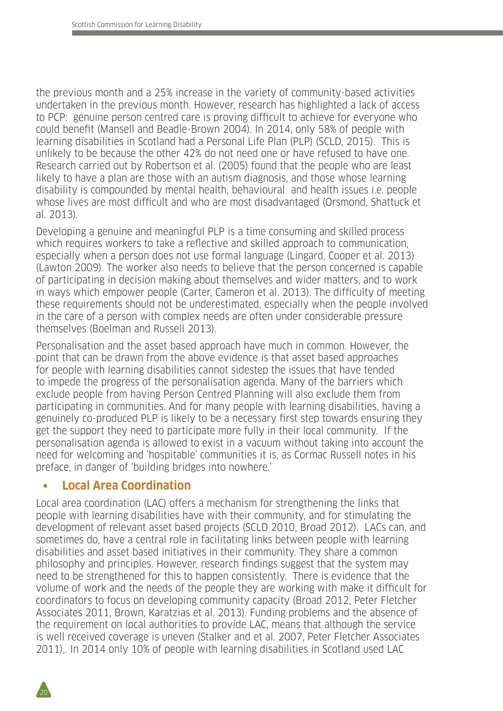the previous month and a 25% increase in the variety of community-based activities undertaken in the previous month. However, research has highlighted a lack of access to PCP: genuine person centred care is proving difficult to achieve for everyone who could benefit (Mansell and Beadle-Brown 2004). In 2014, only 58% of people with learning disabilities in Scotland had a Personal Life Plan (PLP) (SCLD, 2015). This is unlikely to be because the other 42% do not need one or have refused to have one. Research carried out by Robertson et al. (2005) found that the people who are least likely to have a plan are those with an autism diagnosis, and those whose learning disability is compounded by mental health, behavioural and health issues i.e. people whose lives are most difficult and who are most disadvantaged (Orsmond, Shattuck et al. 2013).

Developing a genuine and meaningful PLP is a time consuming and skilled process which requires workers to take a reflective and skilled approach to communication, especially when a person does not use formal language (Lingard, Cooper et al. 2013) (Lawton 2009). The worker also needs to believe that the person concerned is capable of participating in decision making about themselves and wider matters, and to work in ways which empower people (Carter, Cameron et al. 2013). The difficulty of meeting these requirements should not be underestimated, especially when the people involved in the care of a person with complex needs are often under considerable pressure themselves (Boelman and Russell 2013).

Personalisation and the asset based approach have much in common. However, the point that can be drawn from the above evidence is that asset based approaches for people with learning disabilities cannot sidestep the issues that have tended to impede the progress of the personalisation agenda. Many of the barriers which exclude people from having Person Centred Planning will also exclude them from participating in communities. And for many people with learning disabilities, having a genuinely co-produced PLP is likely to be a necessary first step towards ensuring they get the support they need to participate more fully in their local community. If the personalisation agenda is allowed to exist in a vacuum without taking into account the need for welcoming and 'hospitable' communities it is, as Cormac Russell notes in his preface, in danger of 'building bridges into nowhere.'

#### **• Local Area Coordination**

Local area coordination (LAC) offers a mechanism for strengthening the links that people with learning disabilities have with their community, and for stimulating the development of relevant asset based projects (SCLD 2010, Broad 2012). LACs can, and sometimes do, have a central role in facilitating links between people with learning disabilities and asset based initiatives in their community. They share a common philosophy and principles. However, research findings suggest that the system may need to be strengthened for this to happen consistently. There is evidence that the volume of work and the needs of the people they are working with make it difficult for coordinators to focus on developing community capacity (Broad 2012, Peter Fletcher Associates 2011, Brown, Karatzias et al. 2013). Funding problems and the absence of the requirement on local authorities to provide LAC, means that although the service is well received coverage is uneven (Stalker and et al. 2007, Peter Fletcher Associates 2011),. In 2014 only 10% of people with learning disabilities in Scotland used LAC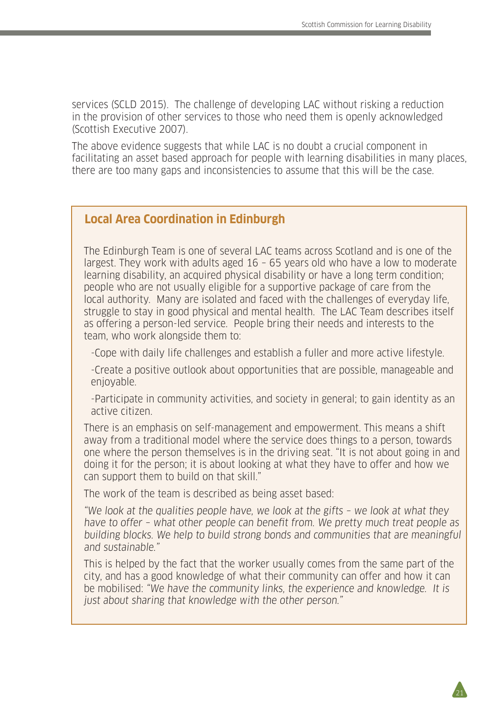services (SCLD 2015). The challenge of developing LAC without risking a reduction in the provision of other services to those who need them is openly acknowledged (Scottish Executive 2007).

The above evidence suggests that while LAC is no doubt a crucial component in facilitating an asset based approach for people with learning disabilities in many places, there are too many gaps and inconsistencies to assume that this will be the case.

#### **Local Area Coordination in Edinburgh**

The Edinburgh Team is one of several LAC teams across Scotland and is one of the largest. They work with adults aged 16 – 65 years old who have a low to moderate learning disability, an acquired physical disability or have a long term condition; people who are not usually eligible for a supportive package of care from the local authority. Many are isolated and faced with the challenges of everyday life, struggle to stay in good physical and mental health. The LAC Team describes itself as offering a person-led service. People bring their needs and interests to the team, who work alongside them to:

-Cope with daily life challenges and establish a fuller and more active lifestyle.

-Create a positive outlook about opportunities that are possible, manageable and enjoyable.

-Participate in community activities, and society in general; to gain identity as an active citizen.

There is an emphasis on self-management and empowerment. This means a shift away from a traditional model where the service does things to a person, towards one where the person themselves is in the driving seat. "It is not about going in and doing it for the person; it is about looking at what they have to offer and how we can support them to build on that skill."

The work of the team is described as being asset based:

"We look at the qualities people have, we look at the gifts – we look at what they have to offer – what other people can benefit from. We pretty much treat people as building blocks. We help to build strong bonds and communities that are meaningful and sustainable."

This is helped by the fact that the worker usually comes from the same part of the city, and has a good knowledge of what their community can offer and how it can be mobilised: "We have the community links, the experience and knowledge. It is just about sharing that knowledge with the other person."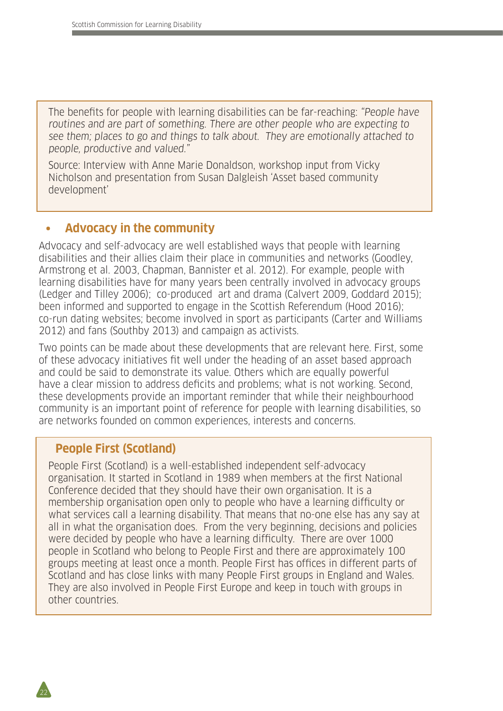The benefits for people with learning disabilities can be far-reaching: "People have routines and are part of something. There are other people who are expecting to see them; places to go and things to talk about. They are emotionally attached to people, productive and valued."

Source: Interview with Anne Marie Donaldson, workshop input from Vicky Nicholson and presentation from Susan Dalgleish 'Asset based community development'

#### **• Advocacy in the community**

Advocacy and self-advocacy are well established ways that people with learning disabilities and their allies claim their place in communities and networks (Goodley, Armstrong et al. 2003, Chapman, Bannister et al. 2012). For example, people with learning disabilities have for many years been centrally involved in advocacy groups (Ledger and Tilley 2006); co-produced art and drama (Calvert 2009, Goddard 2015); been informed and supported to engage in the Scottish Referendum (Hood 2016); co-run dating websites; become involved in sport as participants (Carter and Williams 2012) and fans (Southby 2013) and campaign as activists.

Two points can be made about these developments that are relevant here. First, some of these advocacy initiatives fit well under the heading of an asset based approach and could be said to demonstrate its value. Others which are equally powerful have a clear mission to address deficits and problems; what is not working. Second, these developments provide an important reminder that while their neighbourhood community is an important point of reference for people with learning disabilities, so are networks founded on common experiences, interests and concerns.

### **People First (Scotland)**

22

People First (Scotland) is a well-established independent self-advocacy organisation. It started in Scotland in 1989 when members at the first National Conference decided that they should have their own organisation. It is a membership organisation open only to people who have a learning difficulty or what services call a learning disability. That means that no-one else has any say at all in what the organisation does. From the very beginning, decisions and policies were decided by people who have a learning difficulty. There are over 1000 people in Scotland who belong to People First and there are approximately 100 groups meeting at least once a month. People First has offices in different parts of Scotland and has close links with many People First groups in England and Wales. They are also involved in People First Europe and keep in touch with groups in other countries.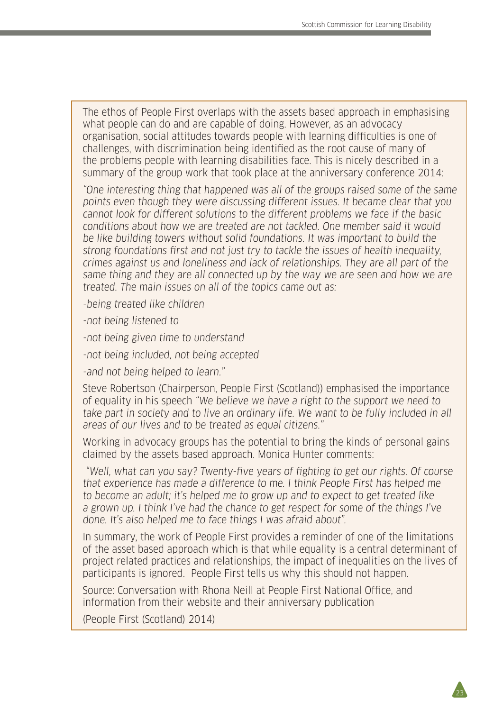The ethos of People First overlaps with the assets based approach in emphasising what people can do and are capable of doing. However, as an advocacy organisation, social attitudes towards people with learning difficulties is one of challenges, with discrimination being identified as the root cause of many of the problems people with learning disabilities face. This is nicely described in a summary of the group work that took place at the anniversary conference 2014:

"One interesting thing that happened was all of the groups raised some of the same points even though they were discussing different issues. It became clear that you cannot look for different solutions to the different problems we face if the basic conditions about how we are treated are not tackled. One member said it would be like building towers without solid foundations. It was important to build the strong foundations first and not just try to tackle the issues of health inequality, crimes against us and loneliness and lack of relationships. They are all part of the same thing and they are all connected up by the way we are seen and how we are treated. The main issues on all of the topics came out as:

-being treated like children

-not being listened to

-not being given time to understand

-not being included, not being accepted

-and not being helped to learn."

Steve Robertson (Chairperson, People First (Scotland)) emphasised the importance of equality in his speech "We believe we have a right to the support we need to take part in society and to live an ordinary life. We want to be fully included in all areas of our lives and to be treated as equal citizens."

Working in advocacy groups has the potential to bring the kinds of personal gains claimed by the assets based approach. Monica Hunter comments:

 "Well, what can you say? Twenty-five years of fighting to get our rights. Of course that experience has made a difference to me. I think People First has helped me to become an adult; it's helped me to grow up and to expect to get treated like a grown up. I think I've had the chance to get respect for some of the things I've done. It's also helped me to face things I was afraid about".

In summary, the work of People First provides a reminder of one of the limitations of the asset based approach which is that while equality is a central determinant of project related practices and relationships, the impact of inequalities on the lives of participants is ignored. People First tells us why this should not happen.

Source: Conversation with Rhona Neill at People First National Office, and information from their website and their anniversary publication

(People First (Scotland) 2014)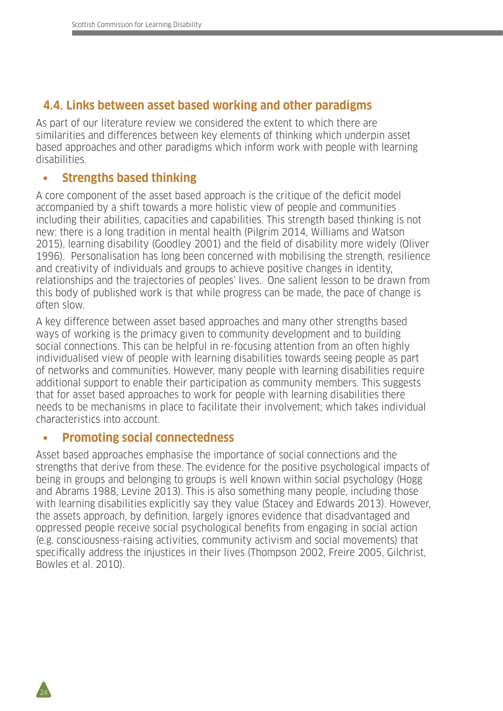### **4.4. Links between asset based working and other paradigms**

As part of our literature review we considered the extent to which there are similarities and differences between key elements of thinking which underpin asset based approaches and other paradigms which inform work with people with learning disabilities.

### **• Strengths based thinking**

A core component of the asset based approach is the critique of the deficit model accompanied by a shift towards a more holistic view of people and communities including their abilities, capacities and capabilities. This strength based thinking is not new: there is a long tradition in mental health (Pilgrim 2014, Williams and Watson 2015), learning disability (Goodley 2001) and the field of disability more widely (Oliver 1996). Personalisation has long been concerned with mobilising the strength, resilience and creativity of individuals and groups to achieve positive changes in identity, relationships and the trajectories of peoples' lives. One salient lesson to be drawn from this body of published work is that while progress can be made, the pace of change is often slow.

A key difference between asset based approaches and many other strengths based ways of working is the primacy given to community development and to building social connections. This can be helpful in re-focusing attention from an often highly individualised view of people with learning disabilities towards seeing people as part of networks and communities. However, many people with learning disabilities require additional support to enable their participation as community members. This suggests that for asset based approaches to work for people with learning disabilities there needs to be mechanisms in place to facilitate their involvement; which takes individual characteristics into account.

#### **• Promoting social connectedness**

24

Asset based approaches emphasise the importance of social connections and the strengths that derive from these. The evidence for the positive psychological impacts of being in groups and belonging to groups is well known within social psychology (Hogg and Abrams 1988, Levine 2013). This is also something many people, including those with learning disabilities explicitly say they value (Stacey and Edwards 2013). However, the assets approach, by definition, largely ignores evidence that disadvantaged and oppressed people receive social psychological benefits from engaging in social action (e.g. consciousness-raising activities, community activism and social movements) that specifically address the injustices in their lives (Thompson 2002, Freire 2005, Gilchrist, Bowles et al. 2010).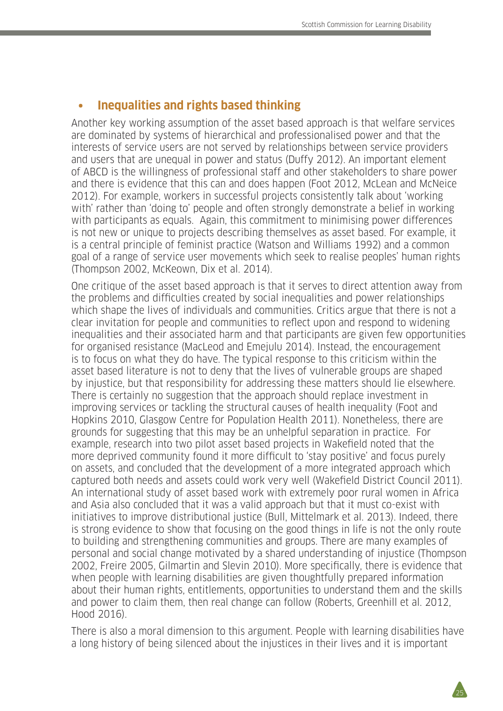#### **• Inequalities and rights based thinking**

Another key working assumption of the asset based approach is that welfare services are dominated by systems of hierarchical and professionalised power and that the interests of service users are not served by relationships between service providers and users that are unequal in power and status (Duffy 2012). An important element of ABCD is the willingness of professional staff and other stakeholders to share power and there is evidence that this can and does happen (Foot 2012, McLean and McNeice 2012). For example, workers in successful projects consistently talk about 'working with' rather than 'doing to' people and often strongly demonstrate a belief in working with participants as equals. Again, this commitment to minimising power differences is not new or unique to projects describing themselves as asset based. For example, it is a central principle of feminist practice (Watson and Williams 1992) and a common goal of a range of service user movements which seek to realise peoples' human rights (Thompson 2002, McKeown, Dix et al. 2014).

One critique of the asset based approach is that it serves to direct attention away from the problems and difficulties created by social inequalities and power relationships which shape the lives of individuals and communities. Critics argue that there is not a clear invitation for people and communities to reflect upon and respond to widening inequalities and their associated harm and that participants are given few opportunities for organised resistance (MacLeod and Emejulu 2014). Instead, the encouragement is to focus on what they do have. The typical response to this criticism within the asset based literature is not to deny that the lives of vulnerable groups are shaped by injustice, but that responsibility for addressing these matters should lie elsewhere. There is certainly no suggestion that the approach should replace investment in improving services or tackling the structural causes of health inequality (Foot and Hopkins 2010, Glasgow Centre for Population Health 2011). Nonetheless, there are grounds for suggesting that this may be an unhelpful separation in practice. For example, research into two pilot asset based projects in Wakefield noted that the more deprived community found it more difficult to 'stay positive' and focus purely on assets, and concluded that the development of a more integrated approach which captured both needs and assets could work very well (Wakefield District Council 2011). An international study of asset based work with extremely poor rural women in Africa and Asia also concluded that it was a valid approach but that it must co-exist with initiatives to improve distributional justice (Bull, Mittelmark et al. 2013). Indeed, there is strong evidence to show that focusing on the good things in life is not the only route to building and strengthening communities and groups. There are many examples of personal and social change motivated by a shared understanding of injustice (Thompson 2002, Freire 2005, Gilmartin and Slevin 2010). More specifically, there is evidence that when people with learning disabilities are given thoughtfully prepared information about their human rights, entitlements, opportunities to understand them and the skills and power to claim them, then real change can follow (Roberts, Greenhill et al. 2012, Hood 2016).

There is also a moral dimension to this argument. People with learning disabilities have a long history of being silenced about the injustices in their lives and it is important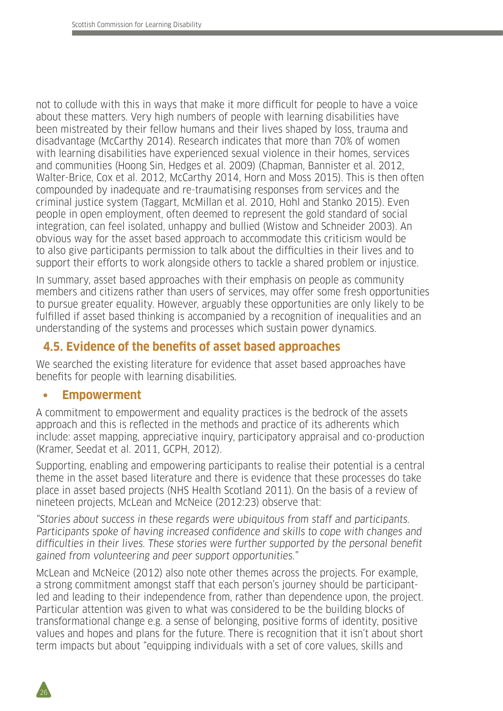not to collude with this in ways that make it more difficult for people to have a voice about these matters. Very high numbers of people with learning disabilities have been mistreated by their fellow humans and their lives shaped by loss, trauma and disadvantage (McCarthy 2014). Research indicates that more than 70% of women with learning disabilities have experienced sexual violence in their homes, services and communities (Hoong Sin, Hedges et al. 2009) (Chapman, Bannister et al. 2012, Walter-Brice, Cox et al. 2012, McCarthy 2014, Horn and Moss 2015). This is then often compounded by inadequate and re-traumatising responses from services and the criminal justice system (Taggart, McMillan et al. 2010, Hohl and Stanko 2015). Even people in open employment, often deemed to represent the gold standard of social integration, can feel isolated, unhappy and bullied (Wistow and Schneider 2003). An obvious way for the asset based approach to accommodate this criticism would be to also give participants permission to talk about the difficulties in their lives and to support their efforts to work alongside others to tackle a shared problem or injustice.

In summary, asset based approaches with their emphasis on people as community members and citizens rather than users of services, may offer some fresh opportunities to pursue greater equality. However, arguably these opportunities are only likely to be fulfilled if asset based thinking is accompanied by a recognition of inequalities and an understanding of the systems and processes which sustain power dynamics.

### **4.5. Evidence of the benefits of asset based approaches**

We searched the existing literature for evidence that asset based approaches have benefits for people with learning disabilities.

#### **• Empowerment**

26

A commitment to empowerment and equality practices is the bedrock of the assets approach and this is reflected in the methods and practice of its adherents which include: asset mapping, appreciative inquiry, participatory appraisal and co-production (Kramer, Seedat et al. 2011, GCPH, 2012).

Supporting, enabling and empowering participants to realise their potential is a central theme in the asset based literature and there is evidence that these processes do take place in asset based projects (NHS Health Scotland 2011). On the basis of a review of nineteen projects, McLean and McNeice (2012:23) observe that:

"Stories about success in these regards were ubiquitous from staff and participants. Participants spoke of having increased confidence and skills to cope with changes and difficulties in their lives. These stories were further supported by the personal benefit gained from volunteering and peer support opportunities."

McLean and McNeice (2012) also note other themes across the projects. For example, a strong commitment amongst staff that each person's journey should be participantled and leading to their independence from, rather than dependence upon, the project. Particular attention was given to what was considered to be the building blocks of transformational change e.g. a sense of belonging, positive forms of identity, positive values and hopes and plans for the future. There is recognition that it isn't about short term impacts but about "equipping individuals with a set of core values, skills and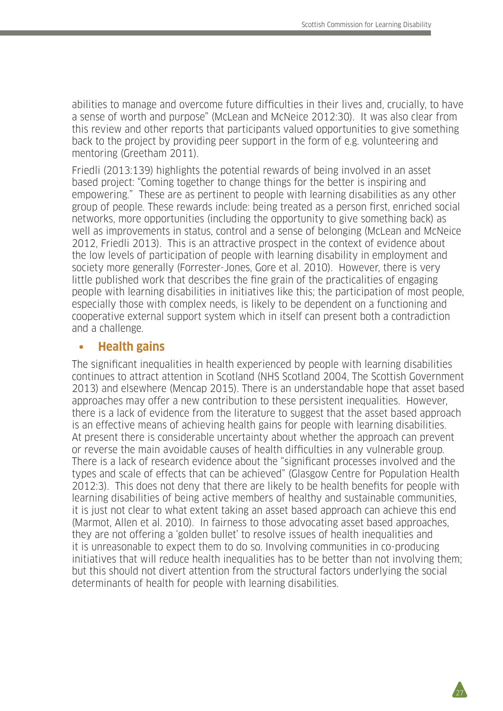abilities to manage and overcome future difficulties in their lives and, crucially, to have a sense of worth and purpose" (McLean and McNeice 2012:30). It was also clear from this review and other reports that participants valued opportunities to give something back to the project by providing peer support in the form of e.g. volunteering and mentoring (Greetham 2011).

Friedli (2013:139) highlights the potential rewards of being involved in an asset based project: "Coming together to change things for the better is inspiring and empowering." These are as pertinent to people with learning disabilities as any other group of people. These rewards include: being treated as a person first, enriched social networks, more opportunities (including the opportunity to give something back) as well as improvements in status, control and a sense of belonging (McLean and McNeice 2012, Friedli 2013). This is an attractive prospect in the context of evidence about the low levels of participation of people with learning disability in employment and society more generally (Forrester-Jones, Gore et al. 2010). However, there is very little published work that describes the fine grain of the practicalities of engaging people with learning disabilities in initiatives like this; the participation of most people, especially those with complex needs, is likely to be dependent on a functioning and cooperative external support system which in itself can present both a contradiction and a challenge.

#### **• Health gains**

The significant inequalities in health experienced by people with learning disabilities continues to attract attention in Scotland (NHS Scotland 2004, The Scottish Government 2013) and elsewhere (Mencap 2015). There is an understandable hope that asset based approaches may offer a new contribution to these persistent inequalities. However, there is a lack of evidence from the literature to suggest that the asset based approach is an effective means of achieving health gains for people with learning disabilities. At present there is considerable uncertainty about whether the approach can prevent or reverse the main avoidable causes of health difficulties in any vulnerable group. There is a lack of research evidence about the "significant processes involved and the types and scale of effects that can be achieved" (Glasgow Centre for Population Health 2012:3). This does not deny that there are likely to be health benefits for people with learning disabilities of being active members of healthy and sustainable communities, it is just not clear to what extent taking an asset based approach can achieve this end (Marmot, Allen et al. 2010). In fairness to those advocating asset based approaches, they are not offering a 'golden bullet' to resolve issues of health inequalities and it is unreasonable to expect them to do so. Involving communities in co-producing initiatives that will reduce health inequalities has to be better than not involving them; but this should not divert attention from the structural factors underlying the social determinants of health for people with learning disabilities.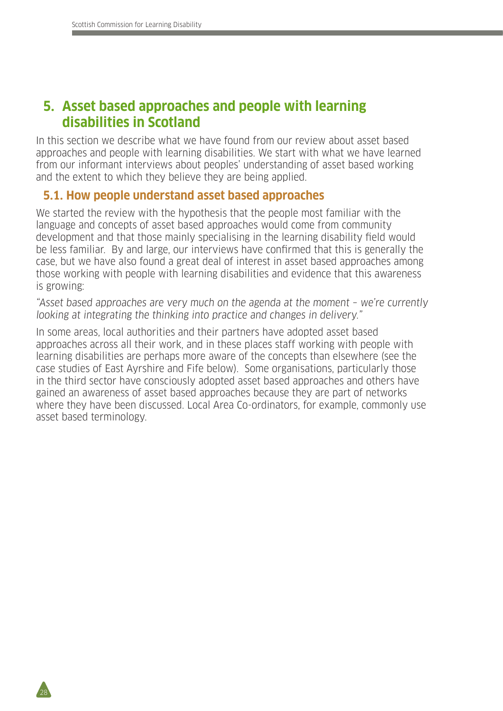28

## **5. Asset based approaches and people with learning disabilities in Scotland**

In this section we describe what we have found from our review about asset based approaches and people with learning disabilities. We start with what we have learned from our informant interviews about peoples' understanding of asset based working and the extent to which they believe they are being applied.

#### **5.1. How people understand asset based approaches**

We started the review with the hypothesis that the people most familiar with the language and concepts of asset based approaches would come from community development and that those mainly specialising in the learning disability field would be less familiar. By and large, our interviews have confirmed that this is generally the case, but we have also found a great deal of interest in asset based approaches among those working with people with learning disabilities and evidence that this awareness is growing:

"Asset based approaches are very much on the agenda at the moment – we're currently looking at integrating the thinking into practice and changes in delivery."

In some areas, local authorities and their partners have adopted asset based approaches across all their work, and in these places staff working with people with learning disabilities are perhaps more aware of the concepts than elsewhere (see the case studies of East Ayrshire and Fife below). Some organisations, particularly those in the third sector have consciously adopted asset based approaches and others have gained an awareness of asset based approaches because they are part of networks where they have been discussed. Local Area Co-ordinators, for example, commonly use asset based terminology.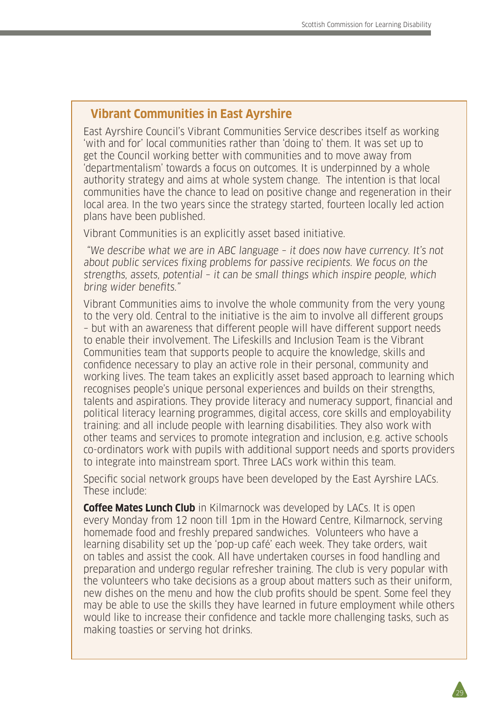## **Vibrant Communities in East Ayrshire**

East Ayrshire Council's Vibrant Communities Service describes itself as working 'with and for' local communities rather than 'doing to' them. It was set up to get the Council working better with communities and to move away from 'departmentalism' towards a focus on outcomes. It is underpinned by a whole authority strategy and aims at whole system change. The intention is that local communities have the chance to lead on positive change and regeneration in their local area. In the two years since the strategy started, fourteen locally led action plans have been published.

Vibrant Communities is an explicitly asset based initiative.

 "We describe what we are in ABC language – it does now have currency. It's not about public services fixing problems for passive recipients. We focus on the strengths, assets, potential – it can be small things which inspire people, which bring wider benefits."

Vibrant Communities aims to involve the whole community from the very young to the very old. Central to the initiative is the aim to involve all different groups – but with an awareness that different people will have different support needs to enable their involvement. The Lifeskills and Inclusion Team is the Vibrant Communities team that supports people to acquire the knowledge, skills and confidence necessary to play an active role in their personal, community and working lives. The team takes an explicitly asset based approach to learning which recognises people's unique personal experiences and builds on their strengths, talents and aspirations. They provide literacy and numeracy support, financial and political literacy learning programmes, digital access, core skills and employability training: and all include people with learning disabilities. They also work with other teams and services to promote integration and inclusion, e.g. active schools co-ordinators work with pupils with additional support needs and sports providers to integrate into mainstream sport. Three LACs work within this team.

Specific social network groups have been developed by the East Ayrshire LACs. These include:

**Coffee Mates Lunch Club** in Kilmarnock was developed by LACs. It is open every Monday from 12 noon till 1pm in the Howard Centre, Kilmarnock, serving homemade food and freshly prepared sandwiches. Volunteers who have a learning disability set up the 'pop-up café' each week. They take orders, wait on tables and assist the cook. All have undertaken courses in food handling and preparation and undergo regular refresher training. The club is very popular with the volunteers who take decisions as a group about matters such as their uniform, new dishes on the menu and how the club profits should be spent. Some feel they may be able to use the skills they have learned in future employment while others would like to increase their confidence and tackle more challenging tasks, such as making toasties or serving hot drinks.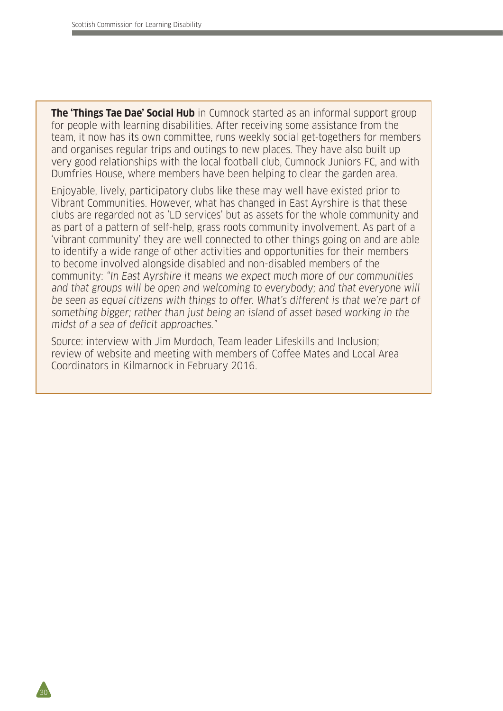30

**The 'Things Tae Dae' Social Hub** in Cumnock started as an informal support group for people with learning disabilities. After receiving some assistance from the team, it now has its own committee, runs weekly social get-togethers for members and organises regular trips and outings to new places. They have also built up very good relationships with the local football club, Cumnock Juniors FC, and with Dumfries House, where members have been helping to clear the garden area.

Enjoyable, lively, participatory clubs like these may well have existed prior to Vibrant Communities. However, what has changed in East Ayrshire is that these clubs are regarded not as 'LD services' but as assets for the whole community and as part of a pattern of self-help, grass roots community involvement. As part of a 'vibrant community' they are well connected to other things going on and are able to identify a wide range of other activities and opportunities for their members to become involved alongside disabled and non-disabled members of the community: "In East Ayrshire it means we expect much more of our communities and that groups will be open and welcoming to everybody; and that everyone will be seen as equal citizens with things to offer. What's different is that we're part of something bigger; rather than just being an island of asset based working in the midst of a sea of deficit approaches."

Source: interview with Jim Murdoch, Team leader Lifeskills and Inclusion; review of website and meeting with members of Coffee Mates and Local Area Coordinators in Kilmarnock in February 2016.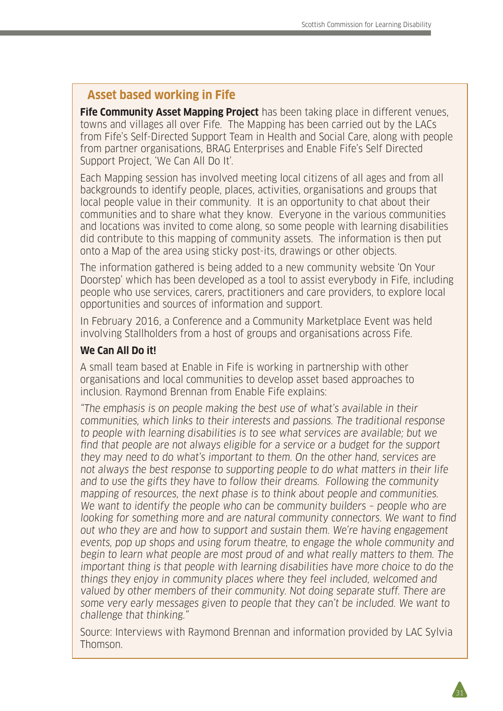### **Asset based working in Fife**

**Fife Community Asset Mapping Project** has been taking place in different venues, towns and villages all over Fife. The Mapping has been carried out by the LACs from Fife's Self-Directed Support Team in Health and Social Care, along with people from partner organisations, BRAG Enterprises and Enable Fife's Self Directed Support Project, 'We Can All Do It'.

Each Mapping session has involved meeting local citizens of all ages and from all backgrounds to identify people, places, activities, organisations and groups that local people value in their community. It is an opportunity to chat about their communities and to share what they know. Everyone in the various communities and locations was invited to come along, so some people with learning disabilities did contribute to this mapping of community assets. The information is then put onto a Map of the area using sticky post-its, drawings or other objects.

The information gathered is being added to a new community website 'On Your Doorstep' which has been developed as a tool to assist everybody in Fife, including people who use services, carers, practitioners and care providers, to explore local opportunities and sources of information and support.

In February 2016, a Conference and a Community Marketplace Event was held involving Stallholders from a host of groups and organisations across Fife.

#### **We Can All Do it!**

A small team based at Enable in Fife is working in partnership with other organisations and local communities to develop asset based approaches to inclusion. Raymond Brennan from Enable Fife explains:

"The emphasis is on people making the best use of what's available in their communities, which links to their interests and passions. The traditional response to people with learning disabilities is to see what services are available; but we find that people are not always eligible for a service or a budget for the support they may need to do what's important to them. On the other hand, services are not always the best response to supporting people to do what matters in their life and to use the gifts they have to follow their dreams. Following the community mapping of resources, the next phase is to think about people and communities. We want to identify the people who can be community builders - people who are looking for something more and are natural community connectors. We want to find out who they are and how to support and sustain them. We're having engagement events, pop up shops and using forum theatre, to engage the whole community and begin to learn what people are most proud of and what really matters to them. The important thing is that people with learning disabilities have more choice to do the things they enjoy in community places where they feel included, welcomed and valued by other members of their community. Not doing separate stuff. There are some very early messages given to people that they can't be included. We want to challenge that thinking."

Source: Interviews with Raymond Brennan and information provided by LAC Sylvia Thomson.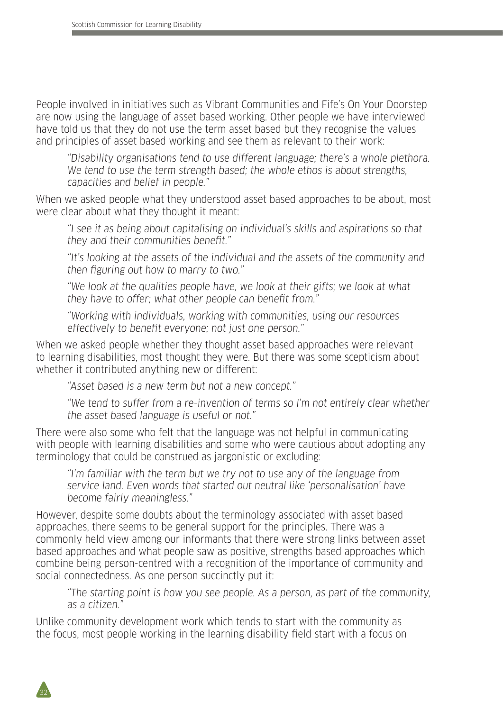People involved in initiatives such as Vibrant Communities and Fife's On Your Doorstep are now using the language of asset based working. Other people we have interviewed have told us that they do not use the term asset based but they recognise the values and principles of asset based working and see them as relevant to their work:

"Disability organisations tend to use different language; there's a whole plethora. We tend to use the term strength based; the whole ethos is about strengths, capacities and belief in people."

When we asked people what they understood asset based approaches to be about, most were clear about what they thought it meant:

"I see it as being about capitalising on individual's skills and aspirations so that they and their communities benefit."

"It's looking at the assets of the individual and the assets of the community and then figuring out how to marry to two."

"We look at the qualities people have, we look at their gifts; we look at what they have to offer; what other people can benefit from."

"Working with individuals, working with communities, using our resources effectively to benefit everyone; not just one person."

When we asked people whether they thought asset based approaches were relevant to learning disabilities, most thought they were. But there was some scepticism about whether it contributed anything new or different:

"Asset based is a new term but not a new concept."

"We tend to suffer from a re-invention of terms so I'm not entirely clear whether the asset based language is useful or not."

There were also some who felt that the language was not helpful in communicating with people with learning disabilities and some who were cautious about adopting any terminology that could be construed as jargonistic or excluding:

"I'm familiar with the term but we try not to use any of the language from service land. Even words that started out neutral like 'personalisation' have become fairly meaningless."

However, despite some doubts about the terminology associated with asset based approaches, there seems to be general support for the principles. There was a commonly held view among our informants that there were strong links between asset based approaches and what people saw as positive, strengths based approaches which combine being person-centred with a recognition of the importance of community and social connectedness. As one person succinctly put it:

"The starting point is how you see people. As a person, as part of the community, as a citizen."

Unlike community development work which tends to start with the community as the focus, most people working in the learning disability field start with a focus on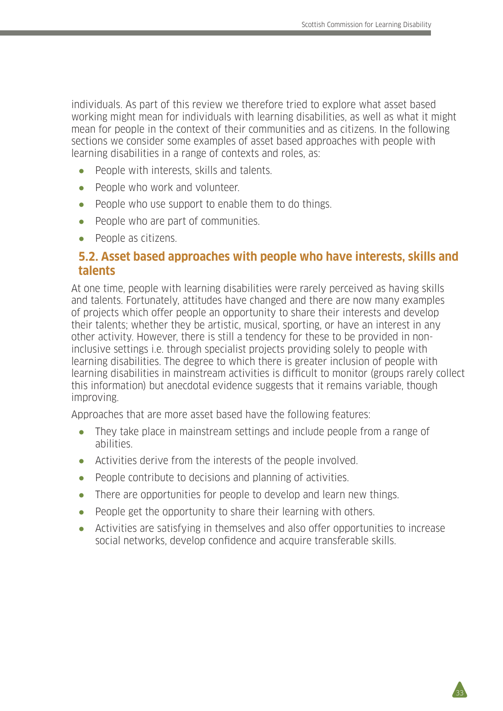33

individuals. As part of this review we therefore tried to explore what asset based working might mean for individuals with learning disabilities, as well as what it might mean for people in the context of their communities and as citizens. In the following sections we consider some examples of asset based approaches with people with learning disabilities in a range of contexts and roles, as:

- People with interests, skills and talents.
- People who work and volunteer.
- People who use support to enable them to do things.
- People who are part of communities.
- People as citizens.

### **5.2. Asset based approaches with people who have interests, skills and talents**

At one time, people with learning disabilities were rarely perceived as having skills and talents. Fortunately, attitudes have changed and there are now many examples of projects which offer people an opportunity to share their interests and develop their talents; whether they be artistic, musical, sporting, or have an interest in any other activity. However, there is still a tendency for these to be provided in noninclusive settings i.e. through specialist projects providing solely to people with learning disabilities. The degree to which there is greater inclusion of people with learning disabilities in mainstream activities is difficult to monitor (groups rarely collect this information) but anecdotal evidence suggests that it remains variable, though improving.

Approaches that are more asset based have the following features:

- They take place in mainstream settings and include people from a range of abilities.
- Activities derive from the interests of the people involved.
- People contribute to decisions and planning of activities.
- There are opportunities for people to develop and learn new things.
- People get the opportunity to share their learning with others.
- Activities are satisfying in themselves and also offer opportunities to increase social networks, develop confidence and acquire transferable skills.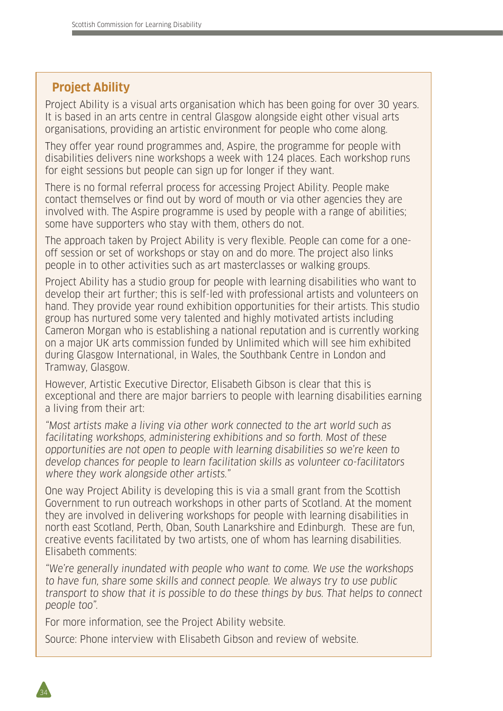## **Project Ability**

Project Ability is a visual arts organisation which has been going for over 30 years. It is based in an arts centre in central Glasgow alongside eight other visual arts organisations, providing an artistic environment for people who come along.

They offer year round programmes and, Aspire, the programme for people with disabilities delivers nine workshops a week with 124 places. Each workshop runs for eight sessions but people can sign up for longer if they want.

There is no formal referral process for accessing Project Ability. People make contact themselves or find out by word of mouth or via other agencies they are involved with. The Aspire programme is used by people with a range of abilities; some have supporters who stay with them, others do not.

The approach taken by Project Ability is very flexible. People can come for a oneoff session or set of workshops or stay on and do more. The project also links people in to other activities such as art masterclasses or walking groups.

Project Ability has a studio group for people with learning disabilities who want to develop their art further; this is self-led with professional artists and volunteers on hand. They provide year round exhibition opportunities for their artists. This studio group has nurtured some very talented and highly motivated artists including Cameron Morgan who is establishing a national reputation and is currently working on a major UK arts commission funded by Unlimited which will see him exhibited during Glasgow International, in Wales, the Southbank Centre in London and Tramway, Glasgow.

However, Artistic Executive Director, Elisabeth Gibson is clear that this is exceptional and there are major barriers to people with learning disabilities earning a living from their art:

"Most artists make a living via other work connected to the art world such as facilitating workshops, administering exhibitions and so forth. Most of these opportunities are not open to people with learning disabilities so we're keen to develop chances for people to learn facilitation skills as volunteer co-facilitators where they work alongside other artists."

One way Project Ability is developing this is via a small grant from the Scottish Government to run outreach workshops in other parts of Scotland. At the moment they are involved in delivering workshops for people with learning disabilities in north east Scotland, Perth, Oban, South Lanarkshire and Edinburgh. These are fun, creative events facilitated by two artists, one of whom has learning disabilities. Elisabeth comments:

"We're generally inundated with people who want to come. We use the workshops to have fun, share some skills and connect people. We always try to use public transport to show that it is possible to do these things by bus. That helps to connect people too".

For more information, see the Project Ability website.

Source: Phone interview with Elisabeth Gibson and review of website.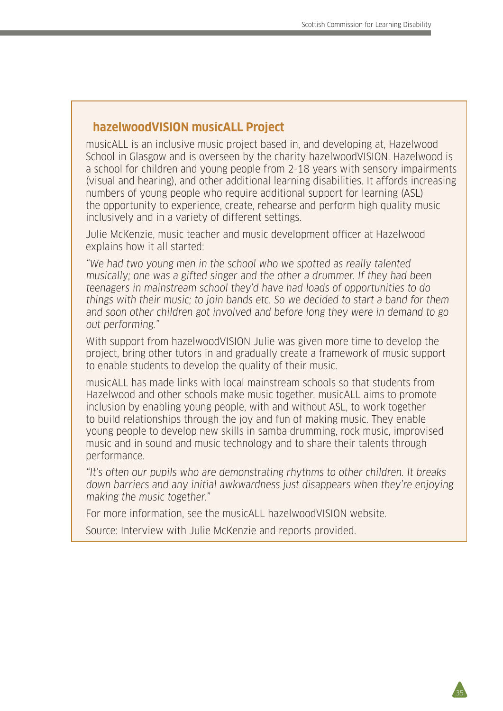35

#### **hazelwoodVISION musicALL Project**

musicALL is an inclusive music project based in, and developing at, Hazelwood School in Glasgow and is overseen by the charity hazelwoodVISION. Hazelwood is a school for children and young people from 2-18 years with sensory impairments (visual and hearing), and other additional learning disabilities. It affords increasing numbers of young people who require additional support for learning (ASL) the opportunity to experience, create, rehearse and perform high quality music inclusively and in a variety of different settings.

Julie McKenzie, music teacher and music development officer at Hazelwood explains how it all started:

"We had two young men in the school who we spotted as really talented musically; one was a gifted singer and the other a drummer. If they had been teenagers in mainstream school they'd have had loads of opportunities to do things with their music; to join bands etc. So we decided to start a band for them and soon other children got involved and before long they were in demand to go out performing."

With support from hazelwoodVISION Julie was given more time to develop the project, bring other tutors in and gradually create a framework of music support to enable students to develop the quality of their music.

musicALL has made links with local mainstream schools so that students from Hazelwood and other schools make music together. musicALL aims to promote inclusion by enabling young people, with and without ASL, to work together to build relationships through the joy and fun of making music. They enable young people to develop new skills in samba drumming, rock music, improvised music and in sound and music technology and to share their talents through performance.

"It's often our pupils who are demonstrating rhythms to other children. It breaks down barriers and any initial awkwardness just disappears when they're enjoying making the music together."

For more information, see the musicALL hazelwoodVISION website.

Source: Interview with Julie McKenzie and reports provided.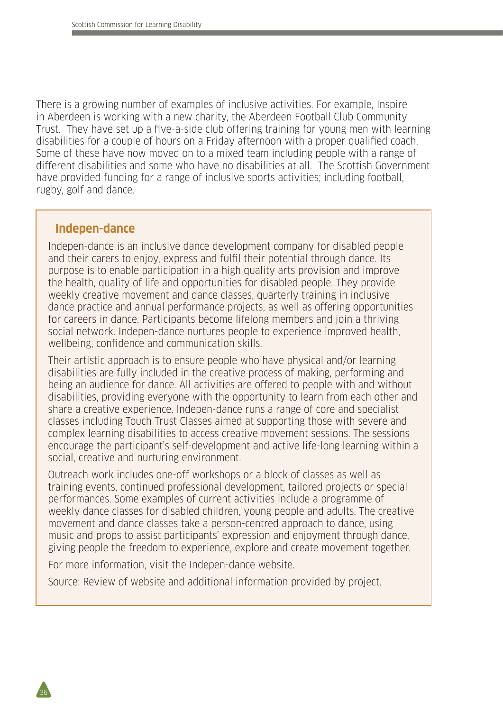There is a growing number of examples of inclusive activities. For example, Inspire in Aberdeen is working with a new charity, the Aberdeen Football Club Community Trust. They have set up a five-a-side club offering training for young men with learning disabilities for a couple of hours on a Friday afternoon with a proper qualified coach. Some of these have now moved on to a mixed team including people with a range of different disabilities and some who have no disabilities at all. The Scottish Government have provided funding for a range of inclusive sports activities; including football, rugby, golf and dance.

#### **Indepen-dance**

Indepen-dance is an inclusive dance development company for disabled people and their carers to enjoy, express and fulfil their potential through dance. Its purpose is to enable participation in a high quality arts provision and improve the health, quality of life and opportunities for disabled people. They provide weekly creative movement and dance classes, quarterly training in inclusive dance practice and annual performance projects, as well as offering opportunities for careers in dance. Participants become lifelong members and join a thriving social network. Indepen-dance nurtures people to experience improved health, wellbeing, confidence and communication skills.

Their artistic approach is to ensure people who have physical and/or learning disabilities are fully included in the creative process of making, performing and being an audience for dance. All activities are offered to people with and without disabilities, providing everyone with the opportunity to learn from each other and share a creative experience. Indepen-dance runs a range of core and specialist classes including Touch Trust Classes aimed at supporting those with severe and complex learning disabilities to access creative movement sessions. The sessions encourage the participant's self-development and active life-long learning within a social, creative and nurturing environment.

Outreach work includes one-off workshops or a block of classes as well as training events, continued professional development, tailored projects or special performances. Some examples of current activities include a programme of weekly dance classes for disabled children, young people and adults. The creative movement and dance classes take a person-centred approach to dance, using music and props to assist participants' expression and enjoyment through dance, giving people the freedom to experience, explore and create movement together.

For more information, visit the Indepen-dance website.

Source: Review of website and additional information provided by project.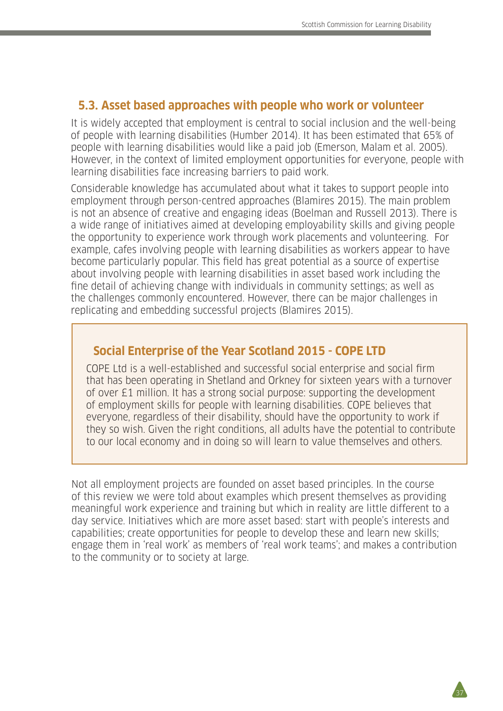#### **5.3. Asset based approaches with people who work or volunteer**

It is widely accepted that employment is central to social inclusion and the well-being of people with learning disabilities (Humber 2014). It has been estimated that 65% of people with learning disabilities would like a paid job (Emerson, Malam et al. 2005). However, in the context of limited employment opportunities for everyone, people with learning disabilities face increasing barriers to paid work.

Considerable knowledge has accumulated about what it takes to support people into employment through person-centred approaches (Blamires 2015). The main problem is not an absence of creative and engaging ideas (Boelman and Russell 2013). There is a wide range of initiatives aimed at developing employability skills and giving people the opportunity to experience work through work placements and volunteering. For example, cafes involving people with learning disabilities as workers appear to have become particularly popular. This field has great potential as a source of expertise about involving people with learning disabilities in asset based work including the fine detail of achieving change with individuals in community settings; as well as the challenges commonly encountered. However, there can be major challenges in replicating and embedding successful projects (Blamires 2015).

#### **Social Enterprise of the Year Scotland 2015 - COPE LTD**

COPE Ltd is a well-established and successful social enterprise and social firm that has been operating in Shetland and Orkney for sixteen years with a turnover of over £1 million. It has a strong social purpose: supporting the development of employment skills for people with learning disabilities. COPE believes that everyone, regardless of their disability, should have the opportunity to work if they so wish. Given the right conditions, all adults have the potential to contribute to our local economy and in doing so will learn to value themselves and others.

Not all employment projects are founded on asset based principles. In the course of this review we were told about examples which present themselves as providing meaningful work experience and training but which in reality are little different to a day service. Initiatives which are more asset based: start with people's interests and capabilities; create opportunities for people to develop these and learn new skills; engage them in 'real work' as members of 'real work teams'; and makes a contribution to the community or to society at large.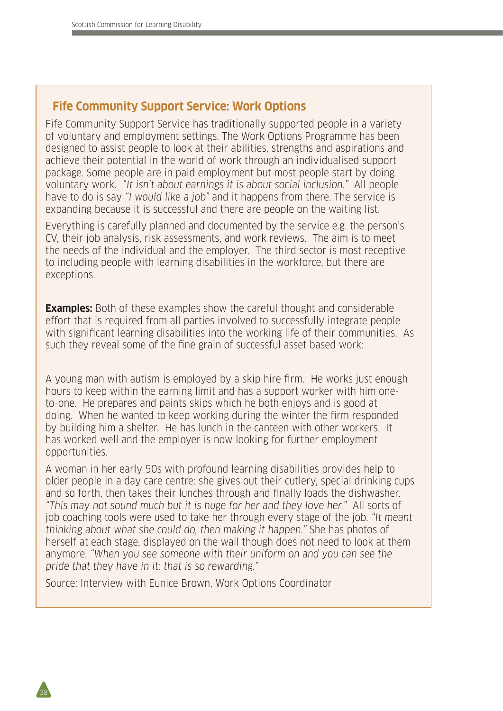## **Fife Community Support Service: Work Options**

Fife Community Support Service has traditionally supported people in a variety of voluntary and employment settings. The Work Options Programme has been designed to assist people to look at their abilities, strengths and aspirations and achieve their potential in the world of work through an individualised support package. Some people are in paid employment but most people start by doing voluntary work. "It isn't about earnings it is about social inclusion." All people have to do is say "I would like a job" and it happens from there. The service is expanding because it is successful and there are people on the waiting list.

Everything is carefully planned and documented by the service e.g. the person's CV, their job analysis, risk assessments, and work reviews. The aim is to meet the needs of the individual and the employer. The third sector is most receptive to including people with learning disabilities in the workforce, but there are exceptions.

**Examples:** Both of these examples show the careful thought and considerable effort that is required from all parties involved to successfully integrate people with significant learning disabilities into the working life of their communities. As such they reveal some of the fine grain of successful asset based work:

A young man with autism is employed by a skip hire firm. He works just enough hours to keep within the earning limit and has a support worker with him oneto-one. He prepares and paints skips which he both enjoys and is good at doing. When he wanted to keep working during the winter the firm responded by building him a shelter. He has lunch in the canteen with other workers. It has worked well and the employer is now looking for further employment opportunities.

A woman in her early 50s with profound learning disabilities provides help to older people in a day care centre: she gives out their cutlery, special drinking cups and so forth, then takes their lunches through and finally loads the dishwasher. "This may not sound much but it is huge for her and they love her." All sorts of job coaching tools were used to take her through every stage of the job. "It meant thinking about what she could do, then making it happen." She has photos of herself at each stage, displayed on the wall though does not need to look at them anymore. "When you see someone with their uniform on and you can see the pride that they have in it: that is so rewarding."

Source: Interview with Eunice Brown, Work Options Coordinator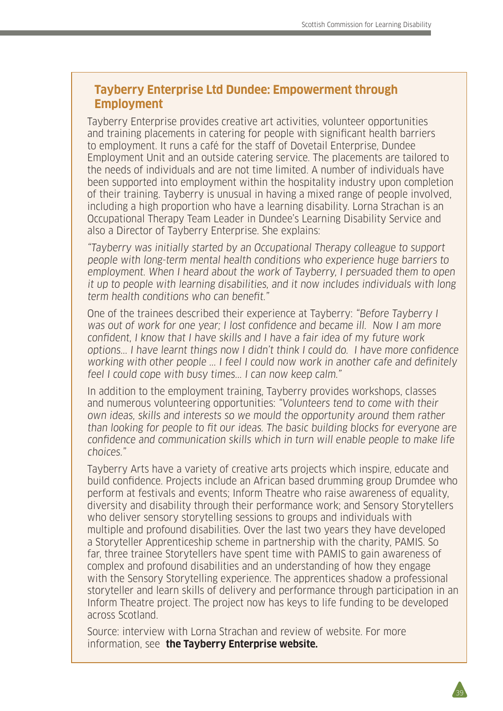#### **Tayberry Enterprise Ltd Dundee: Empowerment through Employment**

Tayberry Enterprise provides creative art activities, volunteer opportunities and training placements in catering for people with significant health barriers to employment. It runs a café for the staff of Dovetail Enterprise, Dundee Employment Unit and an outside catering service. The placements are tailored to the needs of individuals and are not time limited. A number of individuals have been supported into employment within the hospitality industry upon completion of their training. Tayberry is unusual in having a mixed range of people involved, including a high proportion who have a learning disability. Lorna Strachan is an Occupational Therapy Team Leader in Dundee's Learning Disability Service and also a Director of Tayberry Enterprise. She explains:

"Tayberry was initially started by an Occupational Therapy colleague to support people with long-term mental health conditions who experience huge barriers to employment. When I heard about the work of Tayberry, I persuaded them to open it up to people with learning disabilities, and it now includes individuals with long term health conditions who can benefit."

One of the trainees described their experience at Tayberry: "Before Tayberry I was out of work for one year; I lost confidence and became ill. Now I am more confident, I know that I have skills and I have a fair idea of my future work options... I have learnt things now I didn't think I could do. I have more confidence working with other people ... I feel I could now work in another cafe and definitely feel I could cope with busy times... I can now keep calm."

In addition to the employment training, Tayberry provides workshops, classes and numerous volunteering opportunities: "Volunteers tend to come with their own ideas, skills and interests so we mould the opportunity around them rather than looking for people to fit our ideas. The basic building blocks for everyone are confidence and communication skills which in turn will enable people to make life choices."

Tayberry Arts have a variety of creative arts projects which inspire, educate and build confidence. Projects include an African based drumming group Drumdee who perform at festivals and events; Inform Theatre who raise awareness of equality, diversity and disability through their performance work; and Sensory Storytellers who deliver sensory storytelling sessions to groups and individuals with multiple and profound disabilities. Over the last two years they have developed a Storyteller Apprenticeship scheme in partnership with the charity, PAMIS. So far, three trainee Storytellers have spent time with PAMIS to gain awareness of complex and profound disabilities and an understanding of how they engage with the Sensory Storytelling experience. The apprentices shadow a professional storyteller and learn skills of delivery and performance through participation in an Inform Theatre project. The project now has keys to life funding to be developed across Scotland.

Source: interview with Lorna Strachan and review of website. For more information, see **the Tayberry Enterprise website.**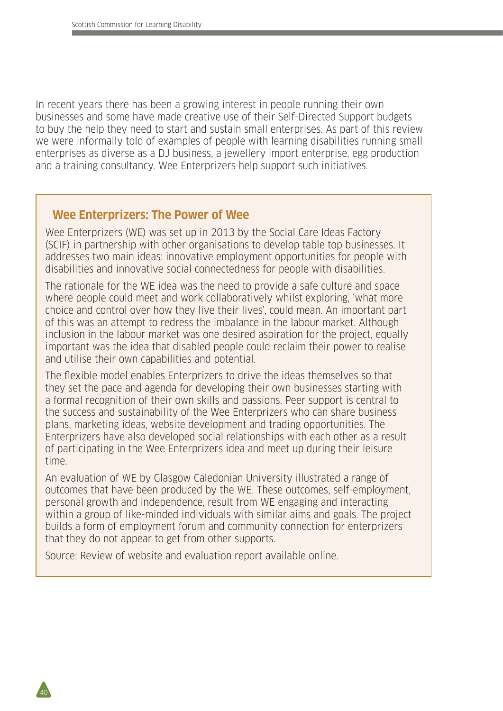In recent years there has been a growing interest in people running their own businesses and some have made creative use of their Self-Directed Support budgets to buy the help they need to start and sustain small enterprises. As part of this review we were informally told of examples of people with learning disabilities running small enterprises as diverse as a DJ business, a jewellery import enterprise, egg production and a training consultancy. Wee Enterprizers help support such initiatives.

#### **Wee Enterprizers: The Power of Wee**

Wee Enterprizers (WE) was set up in 2013 by the Social Care Ideas Factory (SCIF) in partnership with other organisations to develop table top businesses. It addresses two main ideas: innovative employment opportunities for people with disabilities and innovative social connectedness for people with disabilities.

The rationale for the WE idea was the need to provide a safe culture and space where people could meet and work collaboratively whilst exploring, 'what more choice and control over how they live their lives', could mean. An important part of this was an attempt to redress the imbalance in the labour market. Although inclusion in the labour market was one desired aspiration for the project, equally important was the idea that disabled people could reclaim their power to realise and utilise their own capabilities and potential.

The flexible model enables Enterprizers to drive the ideas themselves so that they set the pace and agenda for developing their own businesses starting with a formal recognition of their own skills and passions. Peer support is central to the success and sustainability of the Wee Enterprizers who can share business plans, marketing ideas, website development and trading opportunities. The Enterprizers have also developed social relationships with each other as a result of participating in the Wee Enterprizers idea and meet up during their leisure time.

An evaluation of WE by Glasgow Caledonian University illustrated a range of outcomes that have been produced by the WE. These outcomes, self-employment, personal growth and independence, result from WE engaging and interacting within a group of like-minded individuals with similar aims and goals. The project builds a form of employment forum and community connection for enterprizers that they do not appear to get from other supports.

Source: Review of website and evaluation report available online.

40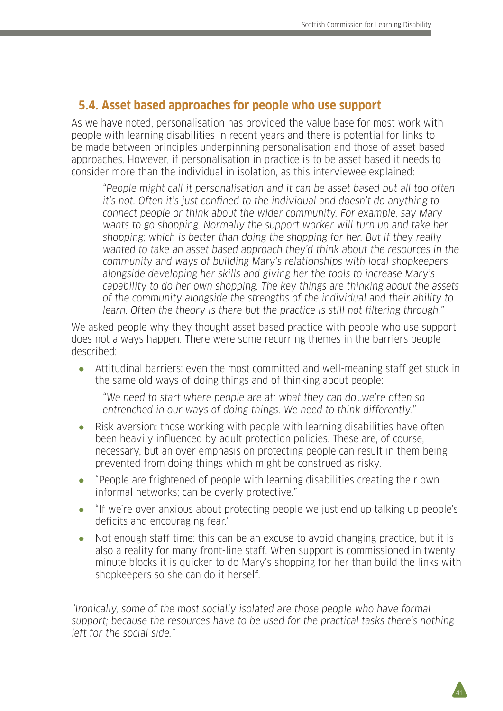## **5.4. Asset based approaches for people who use support**

As we have noted, personalisation has provided the value base for most work with people with learning disabilities in recent years and there is potential for links to be made between principles underpinning personalisation and those of asset based approaches. However, if personalisation in practice is to be asset based it needs to consider more than the individual in isolation, as this interviewee explained:

"People might call it personalisation and it can be asset based but all too often it's not. Often it's just confined to the individual and doesn't do anything to connect people or think about the wider community. For example, say Mary wants to go shopping. Normally the support worker will turn up and take her shopping; which is better than doing the shopping for her. But if they really wanted to take an asset based approach they'd think about the resources in the community and ways of building Mary's relationships with local shopkeepers alongside developing her skills and giving her the tools to increase Mary's capability to do her own shopping. The key things are thinking about the assets of the community alongside the strengths of the individual and their ability to learn. Often the theory is there but the practice is still not filtering through."

We asked people why they thought asset based practice with people who use support does not always happen. There were some recurring themes in the barriers people described:

● Attitudinal barriers: even the most committed and well-meaning staff get stuck in the same old ways of doing things and of thinking about people:

"We need to start where people are at: what they can do…we're often so entrenched in our ways of doing things. We need to think differently."

- Risk aversion: those working with people with learning disabilities have often been heavily influenced by adult protection policies. These are, of course, necessary, but an over emphasis on protecting people can result in them being prevented from doing things which might be construed as risky.
- "People are frightened of people with learning disabilities creating their own informal networks; can be overly protective."
- "If we're over anxious about protecting people we just end up talking up people's deficits and encouraging fear."
- Not enough staff time: this can be an excuse to avoid changing practice, but it is also a reality for many front-line staff. When support is commissioned in twenty minute blocks it is quicker to do Mary's shopping for her than build the links with shopkeepers so she can do it herself.

"Ironically, some of the most socially isolated are those people who have formal support; because the resources have to be used for the practical tasks there's nothing left for the social side"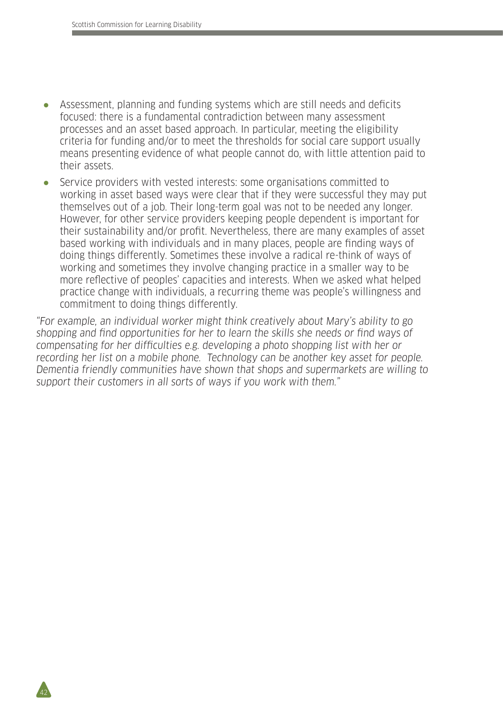- Assessment, planning and funding systems which are still needs and deficits focused: there is a fundamental contradiction between many assessment processes and an asset based approach. In particular, meeting the eligibility criteria for funding and/or to meet the thresholds for social care support usually means presenting evidence of what people cannot do, with little attention paid to their assets.
- Service providers with vested interests: some organisations committed to working in asset based ways were clear that if they were successful they may put themselves out of a job. Their long-term goal was not to be needed any longer. However, for other service providers keeping people dependent is important for their sustainability and/or profit. Nevertheless, there are many examples of asset based working with individuals and in many places, people are finding ways of doing things differently. Sometimes these involve a radical re-think of ways of working and sometimes they involve changing practice in a smaller way to be more reflective of peoples' capacities and interests. When we asked what helped practice change with individuals, a recurring theme was people's willingness and commitment to doing things differently.

"For example, an individual worker might think creatively about Mary's ability to go shopping and find opportunities for her to learn the skills she needs or find ways of compensating for her difficulties e.g. developing a photo shopping list with her or recording her list on a mobile phone. Technology can be another key asset for people. Dementia friendly communities have shown that shops and supermarkets are willing to support their customers in all sorts of ways if you work with them."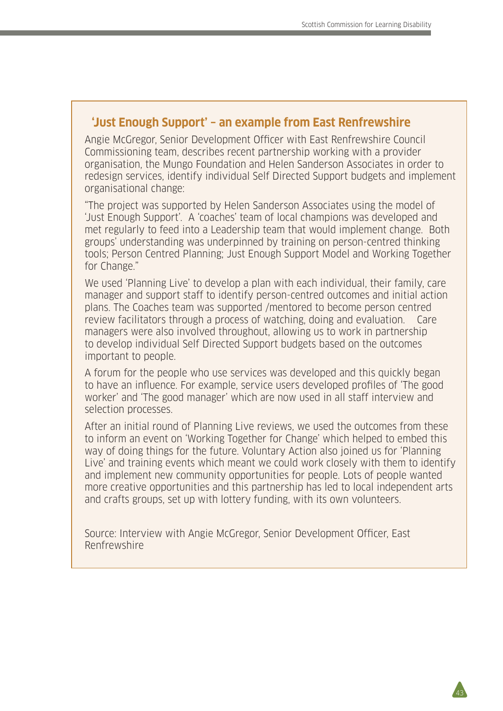#### **'Just Enough Support' – an example from East Renfrewshire**

Angie McGregor, Senior Development Officer with East Renfrewshire Council Commissioning team, describes recent partnership working with a provider organisation, the Mungo Foundation and Helen Sanderson Associates in order to redesign services, identify individual Self Directed Support budgets and implement organisational change:

"The project was supported by Helen Sanderson Associates using the model of 'Just Enough Support'. A 'coaches' team of local champions was developed and met regularly to feed into a Leadership team that would implement change. Both groups' understanding was underpinned by training on person-centred thinking tools; Person Centred Planning; Just Enough Support Model and Working Together for Change."

We used 'Planning Live' to develop a plan with each individual, their family, care manager and support staff to identify person-centred outcomes and initial action plans. The Coaches team was supported /mentored to become person centred review facilitators through a process of watching, doing and evaluation. Care managers were also involved throughout, allowing us to work in partnership to develop individual Self Directed Support budgets based on the outcomes important to people.

A forum for the people who use services was developed and this quickly began to have an influence. For example, service users developed profiles of 'The good worker' and 'The good manager' which are now used in all staff interview and selection processes.

After an initial round of Planning Live reviews, we used the outcomes from these to inform an event on 'Working Together for Change' which helped to embed this way of doing things for the future. Voluntary Action also joined us for 'Planning Live' and training events which meant we could work closely with them to identify and implement new community opportunities for people. Lots of people wanted more creative opportunities and this partnership has led to local independent arts and crafts groups, set up with lottery funding, with its own volunteers.

Source: Interview with Angie McGregor, Senior Development Officer, East Renfrewshire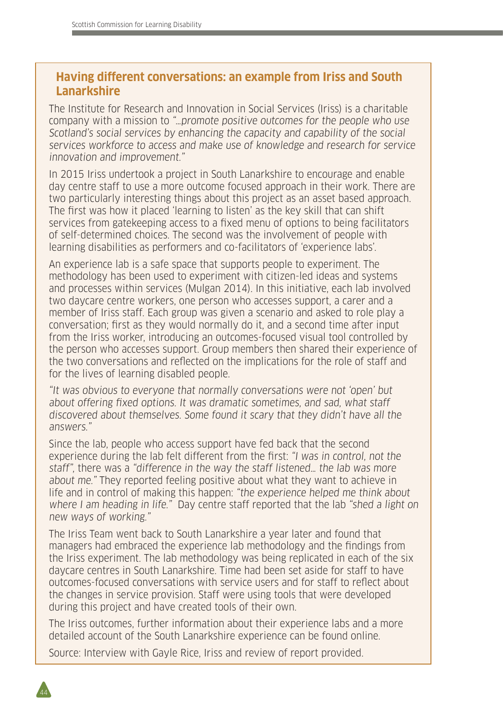## **Having different conversations: an example from Iriss and South Lanarkshire**

The Institute for Research and Innovation in Social Services (Iriss) is a charitable company with a mission to "…promote positive outcomes for the people who use Scotland's social services by enhancing the capacity and capability of the social services workforce to access and make use of knowledge and research for service innovation and improvement."

In 2015 Iriss undertook a project in South Lanarkshire to encourage and enable day centre staff to use a more outcome focused approach in their work. There are two particularly interesting things about this project as an asset based approach. The first was how it placed 'learning to listen' as the key skill that can shift services from gatekeeping access to a fixed menu of options to being facilitators of self-determined choices. The second was the involvement of people with learning disabilities as performers and co-facilitators of 'experience labs'.

An experience lab is a safe space that supports people to experiment. The methodology has been used to experiment with citizen-led ideas and systems and processes within services (Mulgan 2014). In this initiative, each lab involved two daycare centre workers, one person who accesses support, a carer and a member of Iriss staff. Each group was given a scenario and asked to role play a conversation; first as they would normally do it, and a second time after input from the Iriss worker, introducing an outcomes-focused visual tool controlled by the person who accesses support. Group members then shared their experience of the two conversations and reflected on the implications for the role of staff and for the lives of learning disabled people.

"It was obvious to everyone that normally conversations were not 'open' but about offering fixed options. It was dramatic sometimes, and sad, what staff discovered about themselves. Some found it scary that they didn't have all the answers."

Since the lab, people who access support have fed back that the second experience during the lab felt different from the first: "I was in control, not the staff", there was a "difference in the way the staff listened… the lab was more about me." They reported feeling positive about what they want to achieve in life and in control of making this happen: "the experience helped me think about where I am heading in life." Day centre staff reported that the lab "shed a light on new ways of working."

The Iriss Team went back to South Lanarkshire a year later and found that managers had embraced the experience lab methodology and the findings from the Iriss experiment. The lab methodology was being replicated in each of the six daycare centres in South Lanarkshire. Time had been set aside for staff to have outcomes-focused conversations with service users and for staff to reflect about the changes in service provision. Staff were using tools that were developed during this project and have created tools of their own.

The Iriss outcomes, further information about their experience labs and a more detailed account of the South Lanarkshire experience can be found online.

Source: Interview with Gayle Rice, Iriss and review of report provided.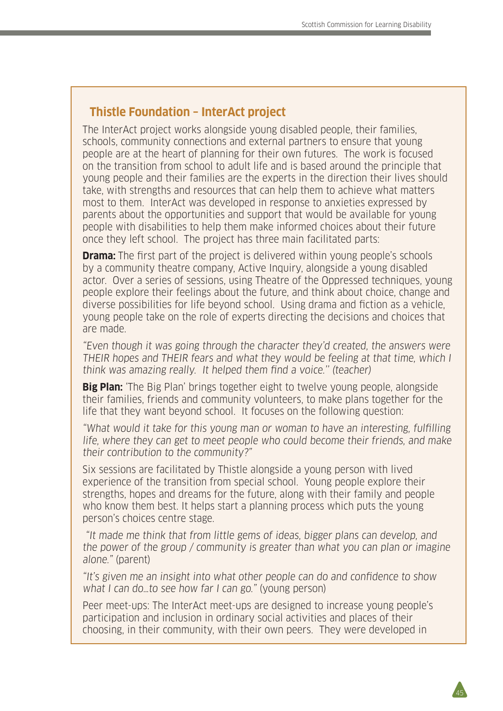## **Thistle Foundation – InterAct project**

The InterAct project works alongside young disabled people, their families, schools, community connections and external partners to ensure that young people are at the heart of planning for their own futures. The work is focused on the transition from school to adult life and is based around the principle that young people and their families are the experts in the direction their lives should take, with strengths and resources that can help them to achieve what matters most to them. InterAct was developed in response to anxieties expressed by parents about the opportunities and support that would be available for young people with disabilities to help them make informed choices about their future once they left school. The project has three main facilitated parts:

**Drama:** The first part of the project is delivered within young people's schools by a community theatre company, Active Inquiry, alongside a young disabled actor. Over a series of sessions, using Theatre of the Oppressed techniques, young people explore their feelings about the future, and think about choice, change and diverse possibilities for life beyond school. Using drama and fiction as a vehicle, young people take on the role of experts directing the decisions and choices that are made.

"Even though it was going through the character they'd created, the answers were THEIR hopes and THEIR fears and what they would be feeling at that time, which I think was amazing really. It helped them find a voice.'' (teacher)

**Big Plan:** 'The Big Plan' brings together eight to twelve young people, alongside their families, friends and community volunteers, to make plans together for the life that they want beyond school. It focuses on the following question:

"What would it take for this young man or woman to have an interesting, fulfilling life, where they can get to meet people who could become their friends, and make their contribution to the community?"

Six sessions are facilitated by Thistle alongside a young person with lived experience of the transition from special school. Young people explore their strengths, hopes and dreams for the future, along with their family and people who know them best. It helps start a planning process which puts the young person's choices centre stage.

 "It made me think that from little gems of ideas, bigger plans can develop, and the power of the group / community is greater than what you can plan or imagine alone." (parent)

"It's given me an insight into what other people can do and confidence to show what I can do…to see how far I can go." (young person)

Peer meet-ups: The InterAct meet-ups are designed to increase young people's participation and inclusion in ordinary social activities and places of their choosing, in their community, with their own peers. They were developed in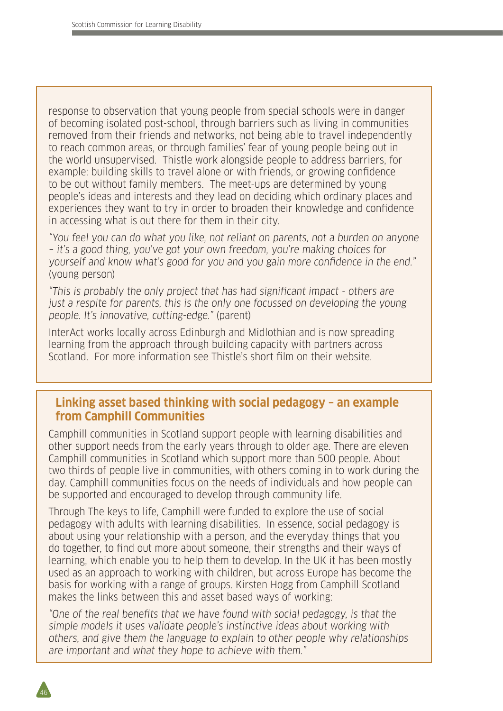response to observation that young people from special schools were in danger of becoming isolated post-school, through barriers such as living in communities removed from their friends and networks, not being able to travel independently to reach common areas, or through families' fear of young people being out in the world unsupervised. Thistle work alongside people to address barriers, for example: building skills to travel alone or with friends, or growing confidence to be out without family members. The meet-ups are determined by young people's ideas and interests and they lead on deciding which ordinary places and experiences they want to try in order to broaden their knowledge and confidence in accessing what is out there for them in their city.

"You feel you can do what you like, not reliant on parents, not a burden on anyone – it's a good thing, you've got your own freedom, you're making choices for yourself and know what's good for you and you gain more confidence in the end." (young person)

"This is probably the only project that has had significant impact - others are just a respite for parents, this is the only one focussed on developing the young people. It's innovative, cutting-edge." (parent)

InterAct works locally across Edinburgh and Midlothian and is now spreading learning from the approach through building capacity with partners across Scotland. For more information see Thistle's short film on their website.

### **Linking asset based thinking with social pedagogy – an example from Camphill Communities**

Camphill communities in Scotland support people with learning disabilities and other support needs from the early years through to older age. There are eleven Camphill communities in Scotland which support more than 500 people. About two thirds of people live in communities, with others coming in to work during the day. Camphill communities focus on the needs of individuals and how people can be supported and encouraged to develop through community life.

Through The keys to life, Camphill were funded to explore the use of social pedagogy with adults with learning disabilities. In essence, social pedagogy is about using your relationship with a person, and the everyday things that you do together, to find out more about someone, their strengths and their ways of learning, which enable you to help them to develop. In the UK it has been mostly used as an approach to working with children, but across Europe has become the basis for working with a range of groups. Kirsten Hogg from Camphill Scotland makes the links between this and asset based ways of working:

"One of the real benefits that we have found with social pedagogy, is that the simple models it uses validate people's instinctive ideas about working with others, and give them the language to explain to other people why relationships are important and what they hope to achieve with them."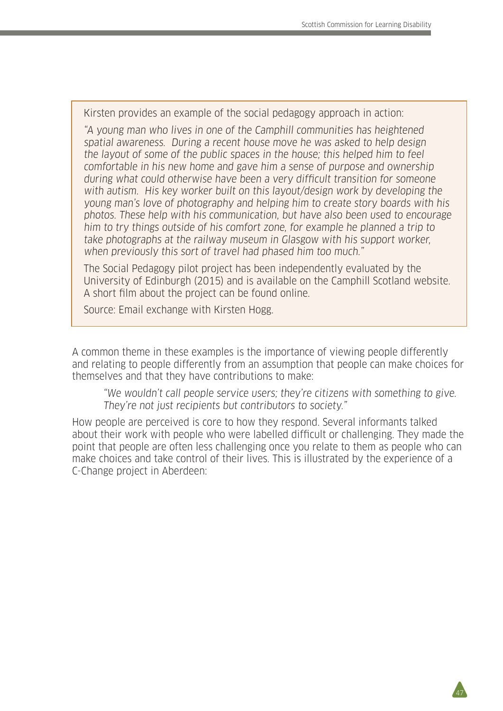Kirsten provides an example of the social pedagogy approach in action:

"A young man who lives in one of the Camphill communities has heightened spatial awareness. During a recent house move he was asked to help design the layout of some of the public spaces in the house; this helped him to feel comfortable in his new home and gave him a sense of purpose and ownership during what could otherwise have been a very difficult transition for someone with autism. His key worker built on this layout/design work by developing the young man's love of photography and helping him to create story boards with his photos. These help with his communication, but have also been used to encourage him to try things outside of his comfort zone, for example he planned a trip to take photographs at the railway museum in Glasgow with his support worker, when previously this sort of travel had phased him too much."

The Social Pedagogy pilot project has been independently evaluated by the University of Edinburgh (2015) and is available on the Camphill Scotland website. A short film about the project can be found online.

Source: Email exchange with Kirsten Hogg.

A common theme in these examples is the importance of viewing people differently and relating to people differently from an assumption that people can make choices for themselves and that they have contributions to make:

"We wouldn't call people service users; they're citizens with something to give. They're not just recipients but contributors to society."

How people are perceived is core to how they respond. Several informants talked about their work with people who were labelled difficult or challenging. They made the point that people are often less challenging once you relate to them as people who can make choices and take control of their lives. This is illustrated by the experience of a C-Change project in Aberdeen: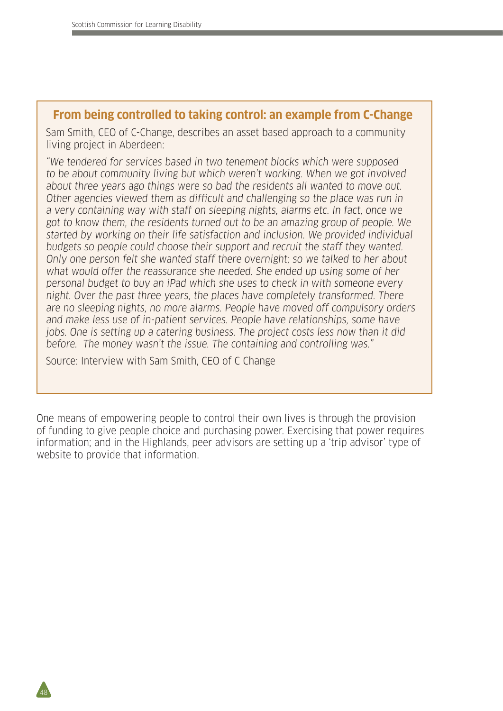#### **From being controlled to taking control: an example from C-Change**

Sam Smith, CEO of C-Change, describes an asset based approach to a community living project in Aberdeen:

"We tendered for services based in two tenement blocks which were supposed to be about community living but which weren't working. When we got involved about three years ago things were so bad the residents all wanted to move out. Other agencies viewed them as difficult and challenging so the place was run in a very containing way with staff on sleeping nights, alarms etc. In fact, once we got to know them, the residents turned out to be an amazing group of people. We started by working on their life satisfaction and inclusion. We provided individual budgets so people could choose their support and recruit the staff they wanted. Only one person felt she wanted staff there overnight; so we talked to her about what would offer the reassurance she needed. She ended up using some of her personal budget to buy an iPad which she uses to check in with someone every night. Over the past three years, the places have completely transformed. There are no sleeping nights, no more alarms. People have moved off compulsory orders and make less use of in-patient services. People have relationships, some have jobs. One is setting up a catering business. The project costs less now than it did before. The money wasn't the issue. The containing and controlling was."

Source: Interview with Sam Smith, CEO of C Change

48

One means of empowering people to control their own lives is through the provision of funding to give people choice and purchasing power. Exercising that power requires information; and in the Highlands, peer advisors are setting up a 'trip advisor' type of website to provide that information.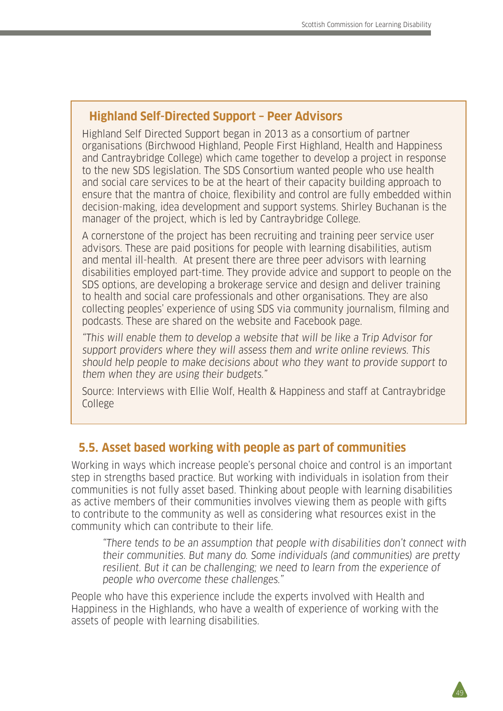#### **Highland Self-Directed Support – Peer Advisors**

Highland Self Directed Support began in 2013 as a consortium of partner organisations (Birchwood Highland, People First Highland, Health and Happiness and Cantraybridge College) which came together to develop a project in response to the new SDS legislation. The SDS Consortium wanted people who use health and social care services to be at the heart of their capacity building approach to ensure that the mantra of choice, flexibility and control are fully embedded within decision-making, idea development and support systems. Shirley Buchanan is the manager of the project, which is led by Cantraybridge College.

A cornerstone of the project has been recruiting and training peer service user advisors. These are paid positions for people with learning disabilities, autism and mental ill-health. At present there are three peer advisors with learning disabilities employed part-time. They provide advice and support to people on the SDS options, are developing a brokerage service and design and deliver training to health and social care professionals and other organisations. They are also collecting peoples' experience of using SDS via community journalism, filming and podcasts. These are shared on the website and Facebook page.

"This will enable them to develop a website that will be like a Trip Advisor for support providers where they will assess them and write online reviews. This should help people to make decisions about who they want to provide support to them when they are using their budgets."

Source: Interviews with Ellie Wolf, Health & Happiness and staff at Cantraybridge College

## **5.5. Asset based working with people as part of communities**

Working in ways which increase people's personal choice and control is an important step in strengths based practice. But working with individuals in isolation from their communities is not fully asset based. Thinking about people with learning disabilities as active members of their communities involves viewing them as people with gifts to contribute to the community as well as considering what resources exist in the community which can contribute to their life.

"There tends to be an assumption that people with disabilities don't connect with their communities. But many do. Some individuals (and communities) are pretty resilient. But it can be challenging; we need to learn from the experience of people who overcome these challenges."

49

People who have this experience include the experts involved with Health and Happiness in the Highlands, who have a wealth of experience of working with the assets of people with learning disabilities.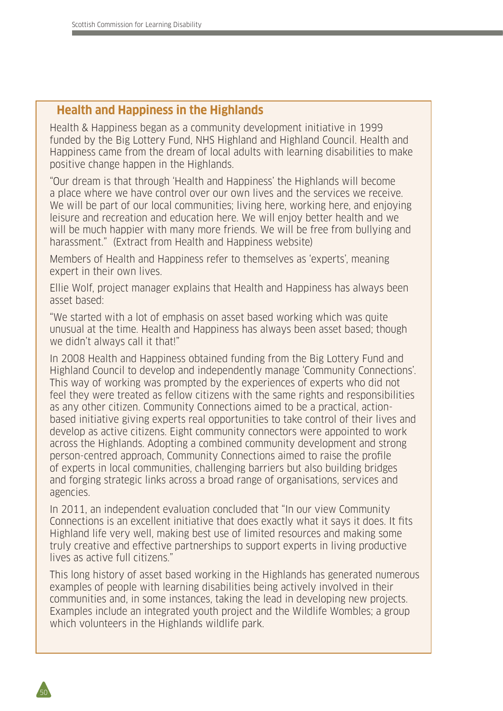## **Health and Happiness in the Highlands**

Health & Happiness began as a community development initiative in 1999 funded by the Big Lottery Fund, NHS Highland and Highland Council. Health and Happiness came from the dream of local adults with learning disabilities to make positive change happen in the Highlands.

"Our dream is that through 'Health and Happiness' the Highlands will become a place where we have control over our own lives and the services we receive. We will be part of our local communities; living here, working here, and enjoying leisure and recreation and education here. We will enjoy better health and we will be much happier with many more friends. We will be free from bullying and harassment." (Extract from Health and Happiness website)

Members of Health and Happiness refer to themselves as 'experts', meaning expert in their own lives.

Ellie Wolf, project manager explains that Health and Happiness has always been asset based:

"We started with a lot of emphasis on asset based working which was quite unusual at the time. Health and Happiness has always been asset based; though we didn't always call it that!"

In 2008 Health and Happiness obtained funding from the Big Lottery Fund and Highland Council to develop and independently manage 'Community Connections'. This way of working was prompted by the experiences of experts who did not feel they were treated as fellow citizens with the same rights and responsibilities as any other citizen. Community Connections aimed to be a practical, actionbased initiative giving experts real opportunities to take control of their lives and develop as active citizens. Eight community connectors were appointed to work across the Highlands. Adopting a combined community development and strong person-centred approach, Community Connections aimed to raise the profile of experts in local communities, challenging barriers but also building bridges and forging strategic links across a broad range of organisations, services and agencies.

In 2011, an independent evaluation concluded that "In our view Community Connections is an excellent initiative that does exactly what it says it does. It fits Highland life very well, making best use of limited resources and making some truly creative and effective partnerships to support experts in living productive lives as active full citizens."

This long history of asset based working in the Highlands has generated numerous examples of people with learning disabilities being actively involved in their communities and, in some instances, taking the lead in developing new projects. Examples include an integrated youth project and the Wildlife Wombles; a group which volunteers in the Highlands wildlife park.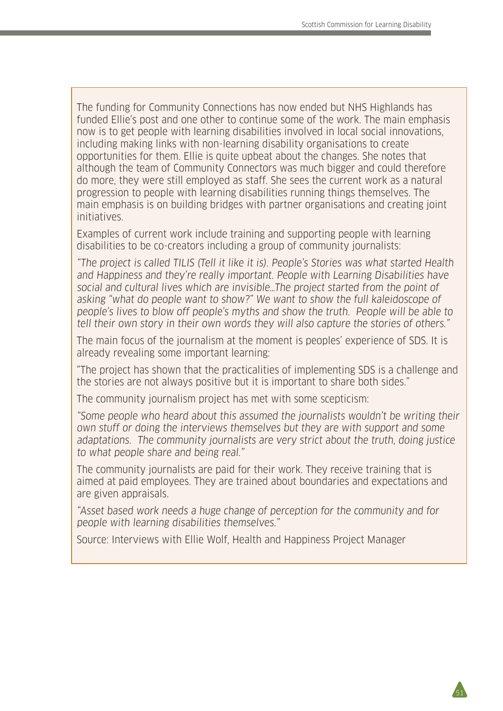The funding for Community Connections has now ended but NHS Highlands has funded Ellie's post and one other to continue some of the work. The main emphasis now is to get people with learning disabilities involved in local social innovations, including making links with non-learning disability organisations to create opportunities for them. Ellie is quite upbeat about the changes. She notes that although the team of Community Connectors was much bigger and could therefore do more, they were still employed as staff. She sees the current work as a natural progression to people with learning disabilities running things themselves. The main emphasis is on building bridges with partner organisations and creating joint initiatives.

Examples of current work include training and supporting people with learning disabilities to be co-creators including a group of community journalists:

"The project is called TILIS (Tell it like it is). People's Stories was what started Health and Happiness and they're really important. People with Learning Disabilities have social and cultural lives which are invisible…The project started from the point of asking "what do people want to show?" We want to show the full kaleidoscope of people's lives to blow off people's myths and show the truth. People will be able to tell their own story in their own words they will also capture the stories of others."

The main focus of the journalism at the moment is peoples' experience of SDS. It is already revealing some important learning:

"The project has shown that the practicalities of implementing SDS is a challenge and the stories are not always positive but it is important to share both sides."

The community journalism project has met with some scepticism:

"Some people who heard about this assumed the journalists wouldn't be writing their own stuff or doing the interviews themselves but they are with support and some adaptations. The community journalists are very strict about the truth, doing justice to what people share and being real."

The community journalists are paid for their work. They receive training that is aimed at paid employees. They are trained about boundaries and expectations and are given appraisals.

"Asset based work needs a huge change of perception for the community and for people with learning disabilities themselves."

Source: Interviews with Ellie Wolf, Health and Happiness Project Manager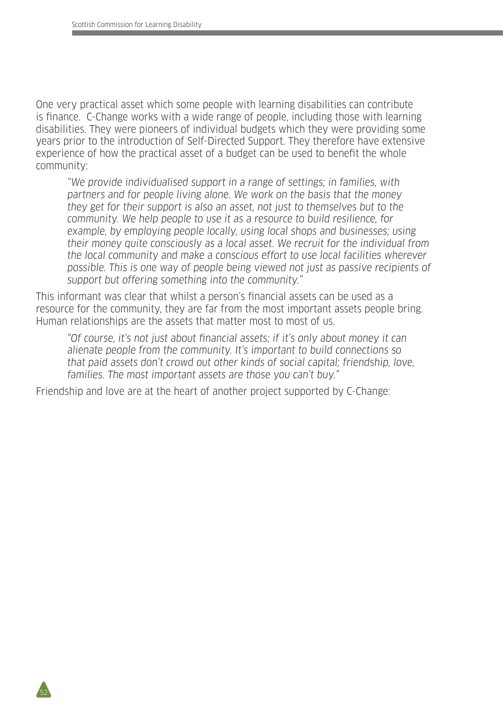One very practical asset which some people with learning disabilities can contribute is finance. C-Change works with a wide range of people, including those with learning disabilities. They were pioneers of individual budgets which they were providing some years prior to the introduction of Self-Directed Support. They therefore have extensive experience of how the practical asset of a budget can be used to benefit the whole community:

"We provide individualised support in a range of settings; in families, with partners and for people living alone. We work on the basis that the money they get for their support is also an asset, not just to themselves but to the community. We help people to use it as a resource to build resilience, for example, by employing people locally, using local shops and businesses; using their money quite consciously as a local asset. We recruit for the individual from the local community and make a conscious effort to use local facilities wherever possible. This is one way of people being viewed not just as passive recipients of support but offering something into the community."

This informant was clear that whilst a person's financial assets can be used as a resource for the community, they are far from the most important assets people bring. Human relationships are the assets that matter most to most of us.

"Of course, it's not just about financial assets; if it's only about money it can alienate people from the community. It's important to build connections so that paid assets don't crowd out other kinds of social capital; friendship, love, families. The most important assets are those you can't buy."

Friendship and love are at the heart of another project supported by C-Change: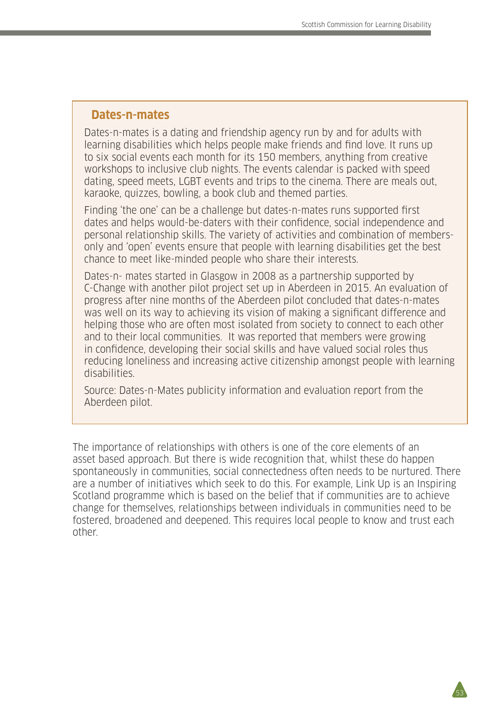#### **Dates-n-mates**

Dates-n-mates is a dating and friendship agency run by and for adults with learning disabilities which helps people make friends and find love. It runs up to six social events each month for its 150 members, anything from creative workshops to inclusive club nights. The events calendar is packed with speed dating, speed meets, LGBT events and trips to the cinema. There are meals out, karaoke, quizzes, bowling, a book club and themed parties.

Finding 'the one' can be a challenge but dates-n-mates runs supported first dates and helps would-be-daters with their confidence, social independence and personal relationship skills. The variety of activities and combination of membersonly and 'open' events ensure that people with learning disabilities get the best chance to meet like-minded people who share their interests.

Dates-n- mates started in Glasgow in 2008 as a partnership supported by C-Change with another pilot project set up in Aberdeen in 2015. An evaluation of progress after nine months of the Aberdeen pilot concluded that dates-n-mates was well on its way to achieving its vision of making a significant difference and helping those who are often most isolated from society to connect to each other and to their local communities. It was reported that members were growing in confidence, developing their social skills and have valued social roles thus reducing loneliness and increasing active citizenship amongst people with learning disabilities.

Source: Dates-n-Mates publicity information and evaluation report from the Aberdeen pilot.

The importance of relationships with others is one of the core elements of an asset based approach. But there is wide recognition that, whilst these do happen spontaneously in communities, social connectedness often needs to be nurtured. There are a number of initiatives which seek to do this. For example, Link Up is an Inspiring Scotland programme which is based on the belief that if communities are to achieve change for themselves, relationships between individuals in communities need to be fostered, broadened and deepened. This requires local people to know and trust each other.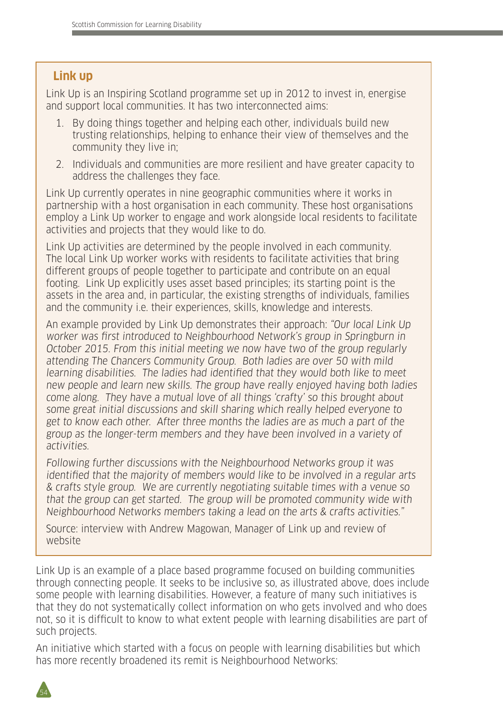## **Link up**

Link Up is an Inspiring Scotland programme set up in 2012 to invest in, energise and support local communities. It has two interconnected aims:

- 1. By doing things together and helping each other, individuals build new trusting relationships, helping to enhance their view of themselves and the community they live in;
- 2. Individuals and communities are more resilient and have greater capacity to address the challenges they face.

Link Up currently operates in nine geographic communities where it works in partnership with a host organisation in each community. These host organisations employ a Link Up worker to engage and work alongside local residents to facilitate activities and projects that they would like to do.

Link Up activities are determined by the people involved in each community. The local Link Up worker works with residents to facilitate activities that bring different groups of people together to participate and contribute on an equal footing. Link Up explicitly uses asset based principles; its starting point is the assets in the area and, in particular, the existing strengths of individuals, families and the community i.e. their experiences, skills, knowledge and interests.

An example provided by Link Up demonstrates their approach: "Our local Link Up worker was first introduced to Neighbourhood Network's group in Springburn in October 2015. From this initial meeting we now have two of the group regularly attending The Chancers Community Group. Both ladies are over 50 with mild learning disabilities. The ladies had identified that they would both like to meet new people and learn new skills. The group have really enjoyed having both ladies come along. They have a mutual love of all things 'crafty' so this brought about some great initial discussions and skill sharing which really helped everyone to get to know each other. After three months the ladies are as much a part of the group as the longer-term members and they have been involved in a variety of activities.

Following further discussions with the Neighbourhood Networks group it was identified that the majority of members would like to be involved in a regular arts & crafts style group. We are currently negotiating suitable times with a venue so that the group can get started. The group will be promoted community wide with Neighbourhood Networks members taking a lead on the arts & crafts activities."

Source: interview with Andrew Magowan, Manager of Link up and review of website

Link Up is an example of a place based programme focused on building communities through connecting people. It seeks to be inclusive so, as illustrated above, does include some people with learning disabilities. However, a feature of many such initiatives is that they do not systematically collect information on who gets involved and who does not, so it is difficult to know to what extent people with learning disabilities are part of such projects.

An initiative which started with a focus on people with learning disabilities but which has more recently broadened its remit is Neighbourhood Networks:

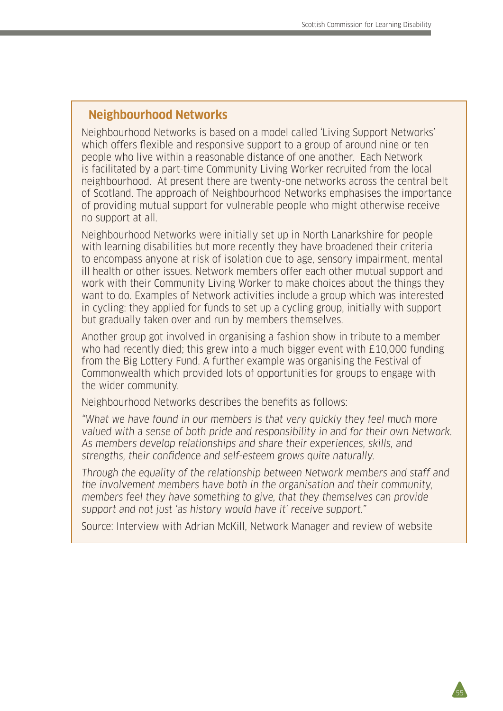#### **Neighbourhood Networks**

Neighbourhood Networks is based on a model called 'Living Support Networks' which offers flexible and responsive support to a group of around nine or ten people who live within a reasonable distance of one another. Each Network is facilitated by a part-time Community Living Worker recruited from the local neighbourhood. At present there are twenty-one networks across the central belt of Scotland. The approach of Neighbourhood Networks emphasises the importance of providing mutual support for vulnerable people who might otherwise receive no support at all.

Neighbourhood Networks were initially set up in North Lanarkshire for people with learning disabilities but more recently they have broadened their criteria to encompass anyone at risk of isolation due to age, sensory impairment, mental ill health or other issues. Network members offer each other mutual support and work with their Community Living Worker to make choices about the things they want to do. Examples of Network activities include a group which was interested in cycling: they applied for funds to set up a cycling group, initially with support but gradually taken over and run by members themselves.

Another group got involved in organising a fashion show in tribute to a member who had recently died; this grew into a much bigger event with £10,000 funding from the Big Lottery Fund. A further example was organising the Festival of Commonwealth which provided lots of opportunities for groups to engage with the wider community.

Neighbourhood Networks describes the benefits as follows:

"What we have found in our members is that very quickly they feel much more valued with a sense of both pride and responsibility in and for their own Network. As members develop relationships and share their experiences, skills, and strengths, their confidence and self-esteem grows quite naturally.

Through the equality of the relationship between Network members and staff and the involvement members have both in the organisation and their community, members feel they have something to give, that they themselves can provide support and not just 'as history would have it' receive support."

Source: Interview with Adrian McKill, Network Manager and review of website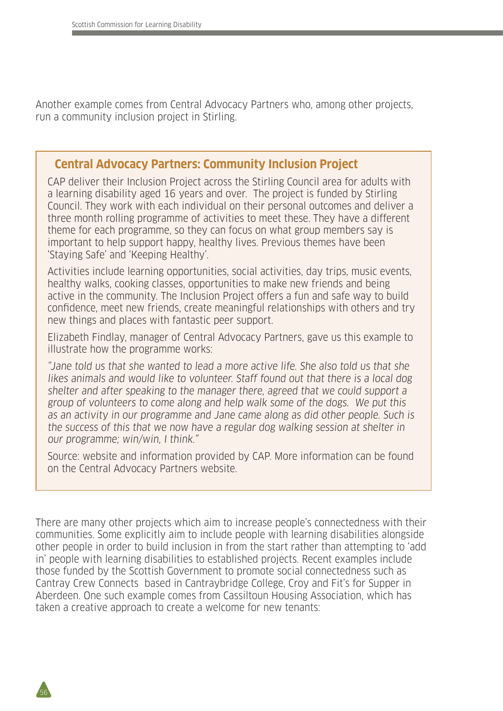Another example comes from Central Advocacy Partners who, among other projects, run a community inclusion project in Stirling.

#### **Central Advocacy Partners: Community Inclusion Project**

CAP deliver their Inclusion Project across the Stirling Council area for adults with a learning disability aged 16 years and over. The project is funded by Stirling Council. They work with each individual on their personal outcomes and deliver a three month rolling programme of activities to meet these. They have a different theme for each programme, so they can focus on what group members say is important to help support happy, healthy lives. Previous themes have been 'Staying Safe' and 'Keeping Healthy'.

Activities include learning opportunities, social activities, day trips, music events, healthy walks, cooking classes, opportunities to make new friends and being active in the community. The Inclusion Project offers a fun and safe way to build confidence, meet new friends, create meaningful relationships with others and try new things and places with fantastic peer support.

Elizabeth Findlay, manager of Central Advocacy Partners, gave us this example to illustrate how the programme works:

"Jane told us that she wanted to lead a more active life. She also told us that she likes animals and would like to volunteer. Staff found out that there is a local dog shelter and after speaking to the manager there, agreed that we could support a group of volunteers to come along and help walk some of the dogs. We put this as an activity in our programme and Jane came along as did other people. Such is the success of this that we now have a regular dog walking session at shelter in our programme; win/win, I think."

Source: website and information provided by CAP. More information can be found on the Central Advocacy Partners website.

There are many other projects which aim to increase people's connectedness with their communities. Some explicitly aim to include people with learning disabilities alongside other people in order to build inclusion in from the start rather than attempting to 'add in' people with learning disabilities to established projects. Recent examples include those funded by the Scottish Government to promote social connectedness such as Cantray Crew Connects based in Cantraybridge College, Croy and Fit's for Supper in Aberdeen. One such example comes from Cassiltoun Housing Association, which has taken a creative approach to create a welcome for new tenants:

56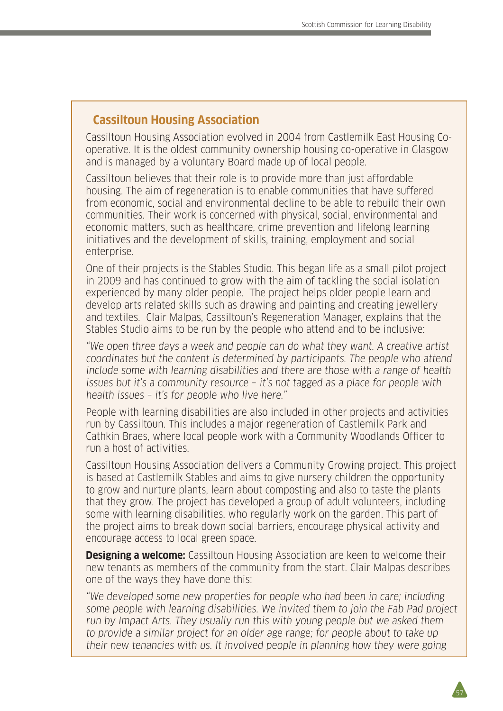#### **Cassiltoun Housing Association**

Cassiltoun Housing Association evolved in 2004 from Castlemilk East Housing Cooperative. It is the oldest community ownership housing co-operative in Glasgow and is managed by a voluntary Board made up of local people.

Cassiltoun believes that their role is to provide more than just affordable housing. The aim of regeneration is to enable communities that have suffered from economic, social and environmental decline to be able to rebuild their own communities. Their work is concerned with physical, social, environmental and economic matters, such as healthcare, crime prevention and lifelong learning initiatives and the development of skills, training, employment and social enterprise.

One of their projects is the Stables Studio. This began life as a small pilot project in 2009 and has continued to grow with the aim of tackling the social isolation experienced by many older people. The project helps older people learn and develop arts related skills such as drawing and painting and creating jewellery and textiles. Clair Malpas, Cassiltoun's Regeneration Manager, explains that the Stables Studio aims to be run by the people who attend and to be inclusive:

"We open three days a week and people can do what they want. A creative artist coordinates but the content is determined by participants. The people who attend include some with learning disabilities and there are those with a range of health issues but it's a community resource – it's not tagged as a place for people with health issues – it's for people who live here."

People with learning disabilities are also included in other projects and activities run by Cassiltoun. This includes a major regeneration of Castlemilk Park and Cathkin Braes, where local people work with a Community Woodlands Officer to run a host of activities.

Cassiltoun Housing Association delivers a Community Growing project. This project is based at Castlemilk Stables and aims to give nursery children the opportunity to grow and nurture plants, learn about composting and also to taste the plants that they grow. The project has developed a group of adult volunteers, including some with learning disabilities, who regularly work on the garden. This part of the project aims to break down social barriers, encourage physical activity and encourage access to local green space.

**Designing a welcome:** Cassiltoun Housing Association are keen to welcome their new tenants as members of the community from the start. Clair Malpas describes one of the ways they have done this:

"We developed some new properties for people who had been in care; including some people with learning disabilities. We invited them to join the Fab Pad project run by Impact Arts. They usually run this with young people but we asked them to provide a similar project for an older age range; for people about to take up their new tenancies with us. It involved people in planning how they were going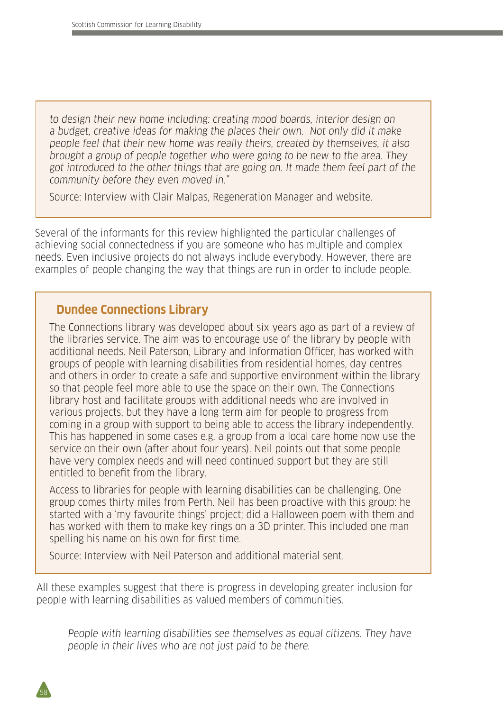to design their new home including: creating mood boards, interior design on a budget, creative ideas for making the places their own. Not only did it make people feel that their new home was really theirs, created by themselves, it also brought a group of people together who were going to be new to the area. They got introduced to the other things that are going on. It made them feel part of the community before they even moved in."

Source: Interview with Clair Malpas, Regeneration Manager and website.

Several of the informants for this review highlighted the particular challenges of achieving social connectedness if you are someone who has multiple and complex needs. Even inclusive projects do not always include everybody. However, there are examples of people changing the way that things are run in order to include people.

#### **Dundee Connections Library**

The Connections library was developed about six years ago as part of a review of the libraries service. The aim was to encourage use of the library by people with additional needs. Neil Paterson, Library and Information Officer, has worked with groups of people with learning disabilities from residential homes, day centres and others in order to create a safe and supportive environment within the library so that people feel more able to use the space on their own. The Connections library host and facilitate groups with additional needs who are involved in various projects, but they have a long term aim for people to progress from coming in a group with support to being able to access the library independently. This has happened in some cases e.g. a group from a local care home now use the service on their own (after about four years). Neil points out that some people have very complex needs and will need continued support but they are still entitled to benefit from the library.

Access to libraries for people with learning disabilities can be challenging. One group comes thirty miles from Perth. Neil has been proactive with this group: he started with a 'my favourite things' project; did a Halloween poem with them and has worked with them to make key rings on a 3D printer. This included one man spelling his name on his own for first time.

Source: Interview with Neil Paterson and additional material sent.

All these examples suggest that there is progress in developing greater inclusion for people with learning disabilities as valued members of communities.

People with learning disabilities see themselves as equal citizens. They have people in their lives who are not just paid to be there.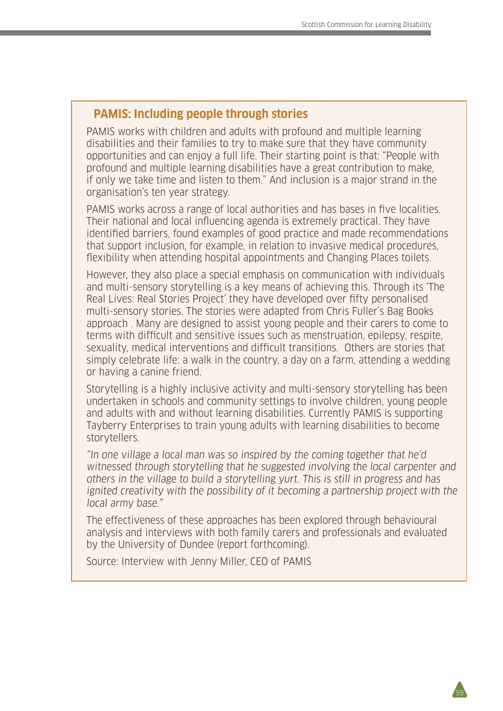# **PAMIS: Including people through stories**

PAMIS works with children and adults with profound and multiple learning disabilities and their families to try to make sure that they have community opportunities and can enjoy a full life. Their starting point is that: "People with profound and multiple learning disabilities have a great contribution to make, if only we take time and listen to them." And inclusion is a major strand in the organisation's ten year strategy.

PAMIS works across a range of local authorities and has bases in five localities. Their national and local influencing agenda is extremely practical. They have identified barriers, found examples of good practice and made recommendations that support inclusion, for example, in relation to invasive medical procedures, flexibility when attending hospital appointments and Changing Places toilets.

However, they also place a special emphasis on communication with individuals and multi-sensory storytelling is a key means of achieving this. Through its 'The Real Lives: Real Stories Project' they have developed over fifty personalised multi-sensory stories. The stories were adapted from Chris Fuller's Bag Books approach . Many are designed to assist young people and their carers to come to terms with difficult and sensitive issues such as menstruation, epilepsy, respite, sexuality, medical interventions and difficult transitions. Others are stories that simply celebrate life: a walk in the country, a day on a farm, attending a wedding or having a canine friend.

Storytelling is a highly inclusive activity and multi-sensory storytelling has been undertaken in schools and community settings to involve children, young people and adults with and without learning disabilities. Currently PAMIS is supporting Tayberry Enterprises to train young adults with learning disabilities to become storytellers.

"In one village a local man was so inspired by the coming together that he'd witnessed through storytelling that he suggested involving the local carpenter and others in the village to build a storytelling yurt. This is still in progress and has ignited creativity with the possibility of it becoming a partnership project with the local army base."

The effectiveness of these approaches has been explored through behavioural analysis and interviews with both family carers and professionals and evaluated by the University of Dundee (report forthcoming).

59

Source: Interview with Jenny Miller, CEO of PAMIS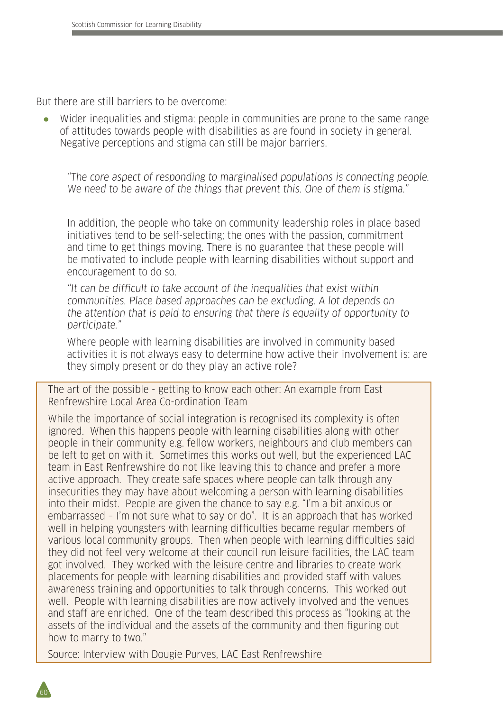But there are still barriers to be overcome:

Wider inequalities and stigma: people in communities are prone to the same range of attitudes towards people with disabilities as are found in society in general. Negative perceptions and stigma can still be major barriers.

"The core aspect of responding to marginalised populations is connecting people. We need to be aware of the things that prevent this. One of them is stigma."

In addition, the people who take on community leadership roles in place based initiatives tend to be self-selecting; the ones with the passion, commitment and time to get things moving. There is no guarantee that these people will be motivated to include people with learning disabilities without support and encouragement to do so.

"It can be difficult to take account of the inequalities that exist within communities. Place based approaches can be excluding. A lot depends on the attention that is paid to ensuring that there is equality of opportunity to participate."

Where people with learning disabilities are involved in community based activities it is not always easy to determine how active their involvement is: are they simply present or do they play an active role?

The art of the possible - getting to know each other: An example from East Renfrewshire Local Area Co-ordination Team

While the importance of social integration is recognised its complexity is often ignored. When this happens people with learning disabilities along with other people in their community e.g. fellow workers, neighbours and club members can be left to get on with it. Sometimes this works out well, but the experienced LAC team in East Renfrewshire do not like leaving this to chance and prefer a more active approach. They create safe spaces where people can talk through any insecurities they may have about welcoming a person with learning disabilities into their midst. People are given the chance to say e.g. "I'm a bit anxious or embarrassed – I'm not sure what to say or do". It is an approach that has worked well in helping youngsters with learning difficulties became regular members of various local community groups. Then when people with learning difficulties said they did not feel very welcome at their council run leisure facilities, the LAC team got involved. They worked with the leisure centre and libraries to create work placements for people with learning disabilities and provided staff with values awareness training and opportunities to talk through concerns. This worked out well. People with learning disabilities are now actively involved and the venues and staff are enriched. One of the team described this process as "looking at the assets of the individual and the assets of the community and then figuring out how to marry to two."

Source: Interview with Dougie Purves, LAC East Renfrewshire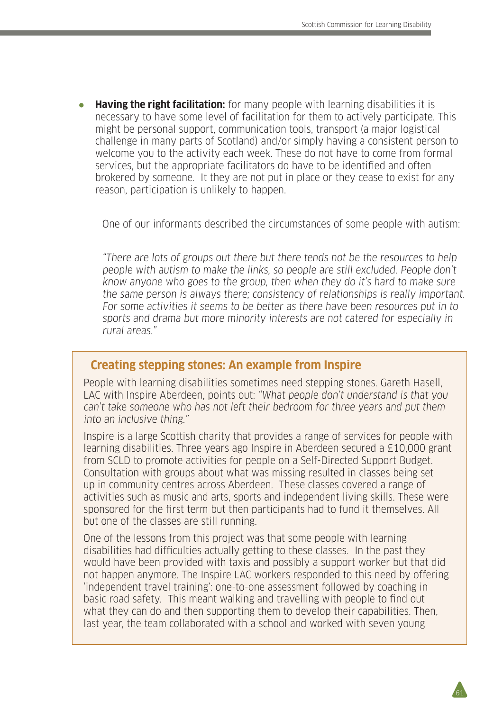● **Having the right facilitation:** for many people with learning disabilities it is necessary to have some level of facilitation for them to actively participate. This might be personal support, communication tools, transport (a major logistical challenge in many parts of Scotland) and/or simply having a consistent person to welcome you to the activity each week. These do not have to come from formal services, but the appropriate facilitators do have to be identified and often brokered by someone. It they are not put in place or they cease to exist for any reason, participation is unlikely to happen.

One of our informants described the circumstances of some people with autism:

"There are lots of groups out there but there tends not be the resources to help people with autism to make the links, so people are still excluded. People don't know anyone who goes to the group, then when they do it's hard to make sure the same person is always there; consistency of relationships is really important. For some activities it seems to be better as there have been resources put in to sports and drama but more minority interests are not catered for especially in rural areas."

#### **Creating stepping stones: An example from Inspire**

People with learning disabilities sometimes need stepping stones. Gareth Hasell, LAC with Inspire Aberdeen, points out: "What people don't understand is that you can't take someone who has not left their bedroom for three years and put them into an inclusive thing."

Inspire is a large Scottish charity that provides a range of services for people with learning disabilities. Three years ago Inspire in Aberdeen secured a £10,000 grant from SCLD to promote activities for people on a Self-Directed Support Budget. Consultation with groups about what was missing resulted in classes being set up in community centres across Aberdeen. These classes covered a range of activities such as music and arts, sports and independent living skills. These were sponsored for the first term but then participants had to fund it themselves. All but one of the classes are still running.

One of the lessons from this project was that some people with learning disabilities had difficulties actually getting to these classes. In the past they would have been provided with taxis and possibly a support worker but that did not happen anymore. The Inspire LAC workers responded to this need by offering 'independent travel training': one-to-one assessment followed by coaching in basic road safety. This meant walking and travelling with people to find out what they can do and then supporting them to develop their capabilities. Then, last year, the team collaborated with a school and worked with seven young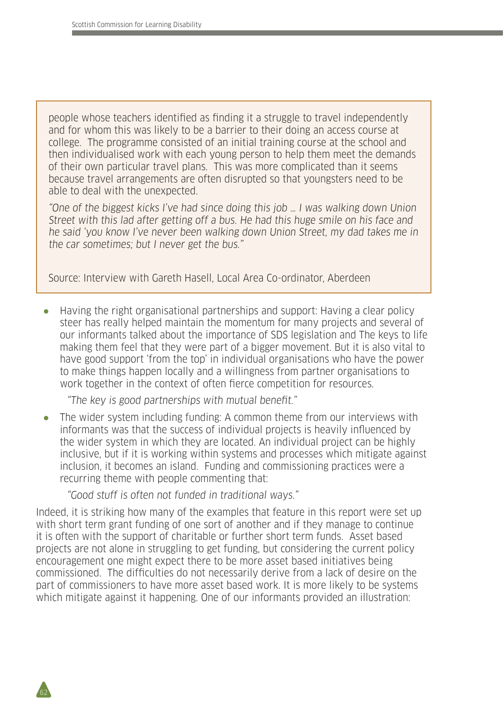people whose teachers identified as finding it a struggle to travel independently and for whom this was likely to be a barrier to their doing an access course at college. The programme consisted of an initial training course at the school and then individualised work with each young person to help them meet the demands of their own particular travel plans. This was more complicated than it seems because travel arrangements are often disrupted so that youngsters need to be able to deal with the unexpected.

"One of the biggest kicks I've had since doing this job … I was walking down Union Street with this lad after getting off a bus. He had this huge smile on his face and he said 'you know I've never been walking down Union Street, my dad takes me in the car sometimes; but I never get the bus."

Source: Interview with Gareth Hasell, Local Area Co-ordinator, Aberdeen

● Having the right organisational partnerships and support: Having a clear policy steer has really helped maintain the momentum for many projects and several of our informants talked about the importance of SDS legislation and The keys to life making them feel that they were part of a bigger movement. But it is also vital to have good support 'from the top' in individual organisations who have the power to make things happen locally and a willingness from partner organisations to work together in the context of often fierce competition for resources.

"The key is good partnerships with mutual benefit."

• The wider system including funding: A common theme from our interviews with informants was that the success of individual projects is heavily influenced by the wider system in which they are located. An individual project can be highly inclusive, but if it is working within systems and processes which mitigate against inclusion, it becomes an island. Funding and commissioning practices were a recurring theme with people commenting that:

"Good stuff is often not funded in traditional ways."

62

Indeed, it is striking how many of the examples that feature in this report were set up with short term grant funding of one sort of another and if they manage to continue it is often with the support of charitable or further short term funds. Asset based projects are not alone in struggling to get funding, but considering the current policy encouragement one might expect there to be more asset based initiatives being commissioned. The difficulties do not necessarily derive from a lack of desire on the part of commissioners to have more asset based work. It is more likely to be systems which mitigate against it happening. One of our informants provided an illustration: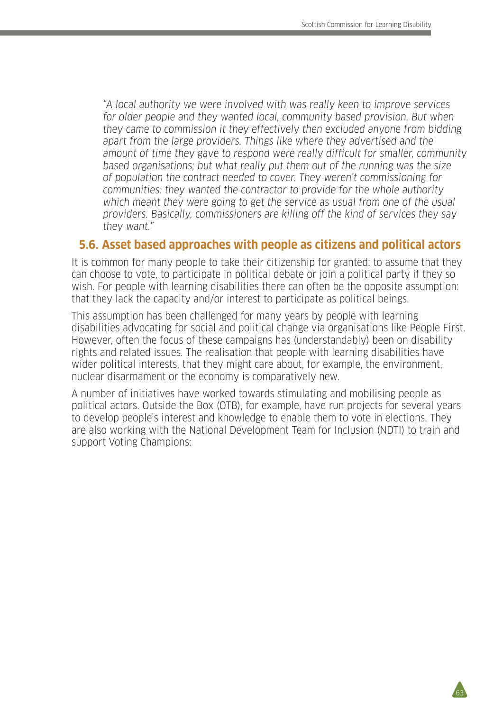"A local authority we were involved with was really keen to improve services for older people and they wanted local, community based provision. But when they came to commission it they effectively then excluded anyone from bidding apart from the large providers. Things like where they advertised and the amount of time they gave to respond were really difficult for smaller, community based organisations; but what really put them out of the running was the size of population the contract needed to cover. They weren't commissioning for communities: they wanted the contractor to provide for the whole authority which meant they were going to get the service as usual from one of the usual providers. Basically, commissioners are killing off the kind of services they say they want."

#### **5.6. Asset based approaches with people as citizens and political actors**

It is common for many people to take their citizenship for granted: to assume that they can choose to vote, to participate in political debate or join a political party if they so wish. For people with learning disabilities there can often be the opposite assumption: that they lack the capacity and/or interest to participate as political beings.

This assumption has been challenged for many years by people with learning disabilities advocating for social and political change via organisations like People First. However, often the focus of these campaigns has (understandably) been on disability rights and related issues. The realisation that people with learning disabilities have wider political interests, that they might care about, for example, the environment, nuclear disarmament or the economy is comparatively new.

A number of initiatives have worked towards stimulating and mobilising people as political actors. Outside the Box (OTB), for example, have run projects for several years to develop people's interest and knowledge to enable them to vote in elections. They are also working with the National Development Team for Inclusion (NDTI) to train and support Voting Champions: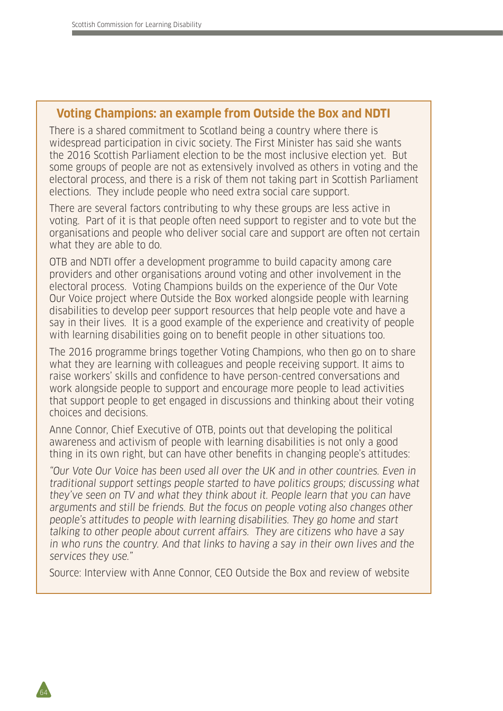#### **Voting Champions: an example from Outside the Box and NDTI**

There is a shared commitment to Scotland being a country where there is widespread participation in civic society. The First Minister has said she wants the 2016 Scottish Parliament election to be the most inclusive election yet. But some groups of people are not as extensively involved as others in voting and the electoral process, and there is a risk of them not taking part in Scottish Parliament elections. They include people who need extra social care support.

There are several factors contributing to why these groups are less active in voting. Part of it is that people often need support to register and to vote but the organisations and people who deliver social care and support are often not certain what they are able to do.

OTB and NDTI offer a development programme to build capacity among care providers and other organisations around voting and other involvement in the electoral process. Voting Champions builds on the experience of the Our Vote Our Voice project where Outside the Box worked alongside people with learning disabilities to develop peer support resources that help people vote and have a say in their lives. It is a good example of the experience and creativity of people with learning disabilities going on to benefit people in other situations too.

The 2016 programme brings together Voting Champions, who then go on to share what they are learning with colleagues and people receiving support. It aims to raise workers' skills and confidence to have person-centred conversations and work alongside people to support and encourage more people to lead activities that support people to get engaged in discussions and thinking about their voting choices and decisions.

Anne Connor, Chief Executive of OTB, points out that developing the political awareness and activism of people with learning disabilities is not only a good thing in its own right, but can have other benefits in changing people's attitudes:

"Our Vote Our Voice has been used all over the UK and in other countries. Even in traditional support settings people started to have politics groups; discussing what they've seen on TV and what they think about it. People learn that you can have arguments and still be friends. But the focus on people voting also changes other people's attitudes to people with learning disabilities. They go home and start talking to other people about current affairs. They are citizens who have a say in who runs the country. And that links to having a say in their own lives and the services they use."

Source: Interview with Anne Connor, CEO Outside the Box and review of website

64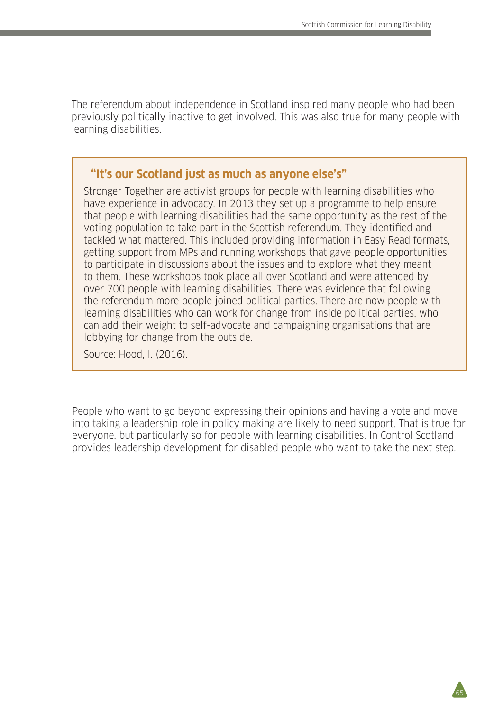The referendum about independence in Scotland inspired many people who had been previously politically inactive to get involved. This was also true for many people with learning disabilities.

#### **"It's our Scotland just as much as anyone else's"**

Stronger Together are activist groups for people with learning disabilities who have experience in advocacy. In 2013 they set up a programme to help ensure that people with learning disabilities had the same opportunity as the rest of the voting population to take part in the Scottish referendum. They identified and tackled what mattered. This included providing information in Easy Read formats, getting support from MPs and running workshops that gave people opportunities to participate in discussions about the issues and to explore what they meant to them. These workshops took place all over Scotland and were attended by over 700 people with learning disabilities. There was evidence that following the referendum more people joined political parties. There are now people with learning disabilities who can work for change from inside political parties, who can add their weight to self-advocate and campaigning organisations that are lobbying for change from the outside.

Source: Hood, I. (2016).

People who want to go beyond expressing their opinions and having a vote and move into taking a leadership role in policy making are likely to need support. That is true for everyone, but particularly so for people with learning disabilities. In Control Scotland provides leadership development for disabled people who want to take the next step.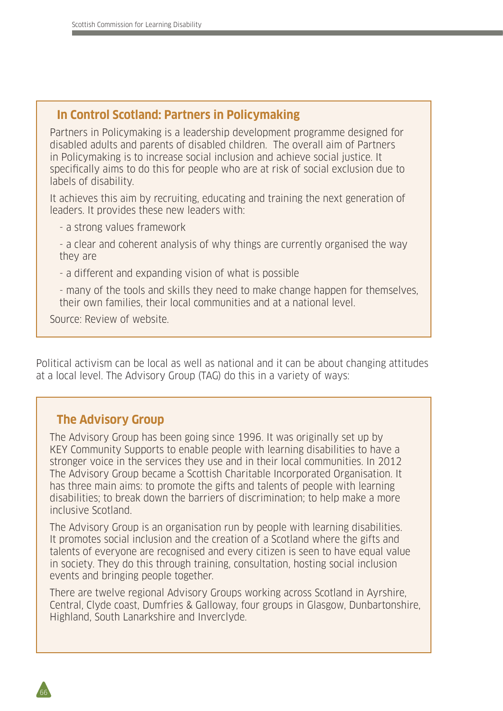### **In Control Scotland: Partners in Policymaking**

Partners in Policymaking is a leadership development programme designed for disabled adults and parents of disabled children. The overall aim of Partners in Policymaking is to increase social inclusion and achieve social justice. It specifically aims to do this for people who are at risk of social exclusion due to labels of disability.

It achieves this aim by recruiting, educating and training the next generation of leaders. It provides these new leaders with:

- a strong values framework

- a clear and coherent analysis of why things are currently organised the way they are

- a different and expanding vision of what is possible

- many of the tools and skills they need to make change happen for themselves, their own families, their local communities and at a national level.

Source: Review of website.

Political activism can be local as well as national and it can be about changing attitudes at a local level. The Advisory Group (TAG) do this in a variety of ways:

# **The Advisory Group**

The Advisory Group has been going since 1996. It was originally set up by KEY Community Supports to enable people with learning disabilities to have a stronger voice in the services they use and in their local communities. In 2012 The Advisory Group became a Scottish Charitable Incorporated Organisation. It has three main aims: to promote the gifts and talents of people with learning disabilities; to break down the barriers of discrimination; to help make a more inclusive Scotland.

The Advisory Group is an organisation run by people with learning disabilities. It promotes social inclusion and the creation of a Scotland where the gifts and talents of everyone are recognised and every citizen is seen to have equal value in society. They do this through training, consultation, hosting social inclusion events and bringing people together.

There are twelve regional Advisory Groups working across Scotland in Ayrshire, Central, Clyde coast, Dumfries & Galloway, four groups in Glasgow, Dunbartonshire, Highland, South Lanarkshire and Inverclyde.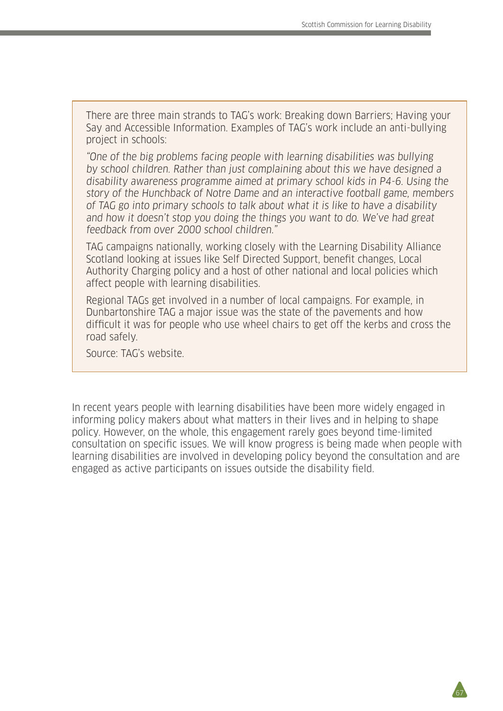There are three main strands to TAG's work: Breaking down Barriers; Having your Say and Accessible Information. Examples of TAG's work include an anti-bullying project in schools:

"One of the big problems facing people with learning disabilities was bullying by school children. Rather than just complaining about this we have designed a disability awareness programme aimed at primary school kids in P4-6. Using the story of the Hunchback of Notre Dame and an interactive football game, members of TAG go into primary schools to talk about what it is like to have a disability and how it doesn't stop you doing the things you want to do. We've had great feedback from over 2000 school children."

TAG campaigns nationally, working closely with the Learning Disability Alliance Scotland looking at issues like Self Directed Support, benefit changes, Local Authority Charging policy and a host of other national and local policies which affect people with learning disabilities.

Regional TAGs get involved in a number of local campaigns. For example, in Dunbartonshire TAG a major issue was the state of the pavements and how difficult it was for people who use wheel chairs to get off the kerbs and cross the road safely.

Source: TAG's website.

In recent years people with learning disabilities have been more widely engaged in informing policy makers about what matters in their lives and in helping to shape policy. However, on the whole, this engagement rarely goes beyond time-limited consultation on specific issues. We will know progress is being made when people with learning disabilities are involved in developing policy beyond the consultation and are engaged as active participants on issues outside the disability field.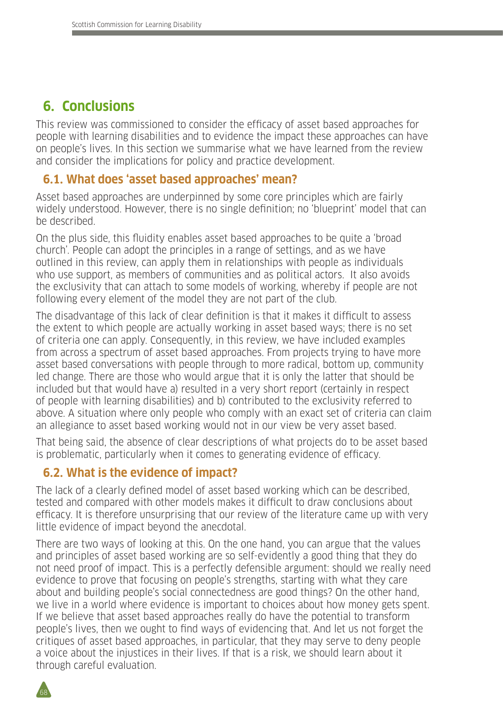# **6. Conclusions**

This review was commissioned to consider the efficacy of asset based approaches for people with learning disabilities and to evidence the impact these approaches can have on people's lives. In this section we summarise what we have learned from the review and consider the implications for policy and practice development.

## **6.1. What does 'asset based approaches' mean?**

Asset based approaches are underpinned by some core principles which are fairly widely understood. However, there is no single definition; no 'blueprint' model that can be described.

On the plus side, this fluidity enables asset based approaches to be quite a 'broad church'. People can adopt the principles in a range of settings, and as we have outlined in this review, can apply them in relationships with people as individuals who use support, as members of communities and as political actors. It also avoids the exclusivity that can attach to some models of working, whereby if people are not following every element of the model they are not part of the club.

The disadvantage of this lack of clear definition is that it makes it difficult to assess the extent to which people are actually working in asset based ways; there is no set of criteria one can apply. Consequently, in this review, we have included examples from across a spectrum of asset based approaches. From projects trying to have more asset based conversations with people through to more radical, bottom up, community led change. There are those who would argue that it is only the latter that should be included but that would have a) resulted in a very short report (certainly in respect of people with learning disabilities) and b) contributed to the exclusivity referred to above. A situation where only people who comply with an exact set of criteria can claim an allegiance to asset based working would not in our view be very asset based.

That being said, the absence of clear descriptions of what projects do to be asset based is problematic, particularly when it comes to generating evidence of efficacy.

## **6.2. What is the evidence of impact?**

The lack of a clearly defined model of asset based working which can be described, tested and compared with other models makes it difficult to draw conclusions about efficacy. It is therefore unsurprising that our review of the literature came up with very little evidence of impact beyond the anecdotal.

There are two ways of looking at this. On the one hand, you can argue that the values and principles of asset based working are so self-evidently a good thing that they do not need proof of impact. This is a perfectly defensible argument: should we really need evidence to prove that focusing on people's strengths, starting with what they care about and building people's social connectedness are good things? On the other hand, we live in a world where evidence is important to choices about how money gets spent. If we believe that asset based approaches really do have the potential to transform people's lives, then we ought to find ways of evidencing that. And let us not forget the critiques of asset based approaches, in particular, that they may serve to deny people a voice about the injustices in their lives. If that is a risk, we should learn about it through careful evaluation.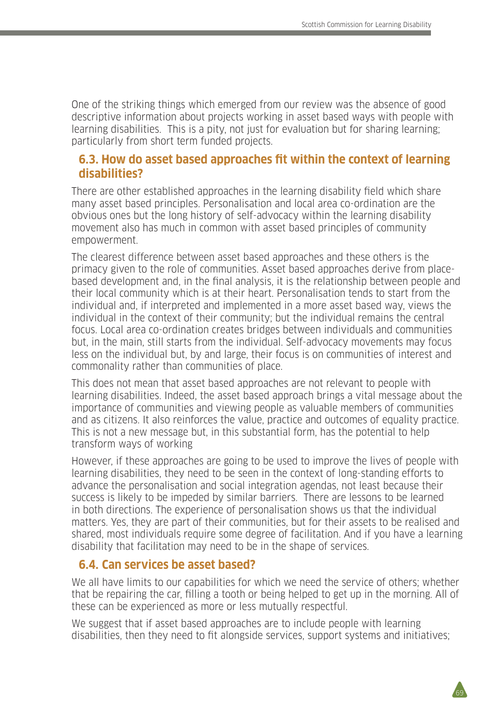One of the striking things which emerged from our review was the absence of good descriptive information about projects working in asset based ways with people with learning disabilities. This is a pity, not just for evaluation but for sharing learning; particularly from short term funded projects.

#### **6.3. How do asset based approaches fit within the context of learning disabilities?**

There are other established approaches in the learning disability field which share many asset based principles. Personalisation and local area co-ordination are the obvious ones but the long history of self-advocacy within the learning disability movement also has much in common with asset based principles of community empowerment.

The clearest difference between asset based approaches and these others is the primacy given to the role of communities. Asset based approaches derive from placebased development and, in the final analysis, it is the relationship between people and their local community which is at their heart. Personalisation tends to start from the individual and, if interpreted and implemented in a more asset based way, views the individual in the context of their community; but the individual remains the central focus. Local area co-ordination creates bridges between individuals and communities but, in the main, still starts from the individual. Self-advocacy movements may focus less on the individual but, by and large, their focus is on communities of interest and commonality rather than communities of place.

This does not mean that asset based approaches are not relevant to people with learning disabilities. Indeed, the asset based approach brings a vital message about the importance of communities and viewing people as valuable members of communities and as citizens. It also reinforces the value, practice and outcomes of equality practice. This is not a new message but, in this substantial form, has the potential to help transform ways of working

However, if these approaches are going to be used to improve the lives of people with learning disabilities, they need to be seen in the context of long-standing efforts to advance the personalisation and social integration agendas, not least because their success is likely to be impeded by similar barriers. There are lessons to be learned in both directions. The experience of personalisation shows us that the individual matters. Yes, they are part of their communities, but for their assets to be realised and shared, most individuals require some degree of facilitation. And if you have a learning disability that facilitation may need to be in the shape of services.

### **6.4. Can services be asset based?**

We all have limits to our capabilities for which we need the service of others; whether that be repairing the car, filling a tooth or being helped to get up in the morning. All of these can be experienced as more or less mutually respectful.

We suggest that if asset based approaches are to include people with learning disabilities, then they need to fit alongside services, support systems and initiatives;

 $69$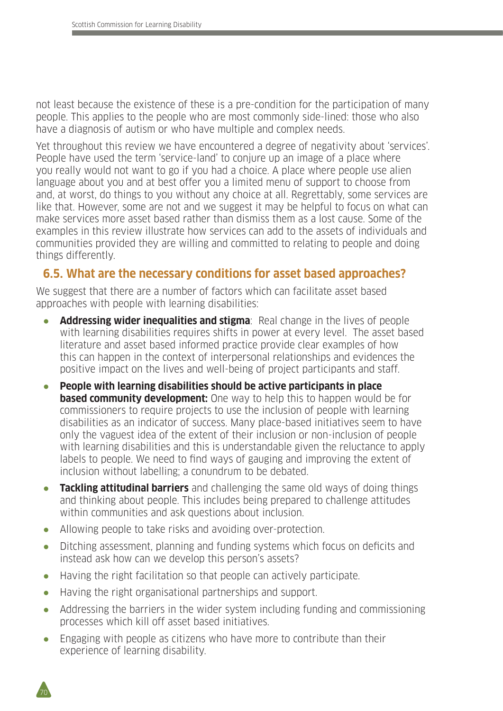not least because the existence of these is a pre-condition for the participation of many people. This applies to the people who are most commonly side-lined: those who also have a diagnosis of autism or who have multiple and complex needs.

Yet throughout this review we have encountered a degree of negativity about 'services'. People have used the term 'service-land' to conjure up an image of a place where you really would not want to go if you had a choice. A place where people use alien language about you and at best offer you a limited menu of support to choose from and, at worst, do things to you without any choice at all. Regrettably, some services are like that. However, some are not and we suggest it may be helpful to focus on what can make services more asset based rather than dismiss them as a lost cause. Some of the examples in this review illustrate how services can add to the assets of individuals and communities provided they are willing and committed to relating to people and doing things differently.

## **6.5. What are the necessary conditions for asset based approaches?**

We suggest that there are a number of factors which can facilitate asset based approaches with people with learning disabilities:

- **Addressing wider inequalities and stigma**: Real change in the lives of people with learning disabilities requires shifts in power at every level. The asset based literature and asset based informed practice provide clear examples of how this can happen in the context of interpersonal relationships and evidences the positive impact on the lives and well-being of project participants and staff.
- **People with learning disabilities should be active participants in place based community development:** One way to help this to happen would be for commissioners to require projects to use the inclusion of people with learning disabilities as an indicator of success. Many place-based initiatives seem to have only the vaguest idea of the extent of their inclusion or non-inclusion of people with learning disabilities and this is understandable given the reluctance to apply labels to people. We need to find ways of gauging and improving the extent of inclusion without labelling; a conundrum to be debated.
- **Tackling attitudinal barriers** and challenging the same old ways of doing things and thinking about people. This includes being prepared to challenge attitudes within communities and ask questions about inclusion.
- Allowing people to take risks and avoiding over-protection.
- Ditching assessment, planning and funding systems which focus on deficits and instead ask how can we develop this person's assets?
- Having the right facilitation so that people can actively participate.
- Having the right organisational partnerships and support.
- Addressing the barriers in the wider system including funding and commissioning processes which kill off asset based initiatives.
- Engaging with people as citizens who have more to contribute than their experience of learning disability.

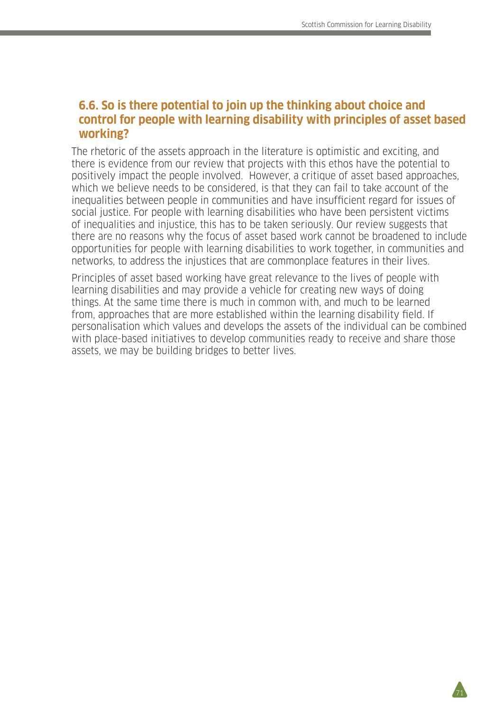$\overline{21}$ 

#### **6.6. So is there potential to join up the thinking about choice and control for people with learning disability with principles of asset based working?**

The rhetoric of the assets approach in the literature is optimistic and exciting, and there is evidence from our review that projects with this ethos have the potential to positively impact the people involved. However, a critique of asset based approaches, which we believe needs to be considered, is that they can fail to take account of the inequalities between people in communities and have insufficient regard for issues of social justice. For people with learning disabilities who have been persistent victims of inequalities and injustice, this has to be taken seriously. Our review suggests that there are no reasons why the focus of asset based work cannot be broadened to include opportunities for people with learning disabilities to work together, in communities and networks, to address the injustices that are commonplace features in their lives.

Principles of asset based working have great relevance to the lives of people with learning disabilities and may provide a vehicle for creating new ways of doing things. At the same time there is much in common with, and much to be learned from, approaches that are more established within the learning disability field. If personalisation which values and develops the assets of the individual can be combined with place-based initiatives to develop communities ready to receive and share those assets, we may be building bridges to better lives.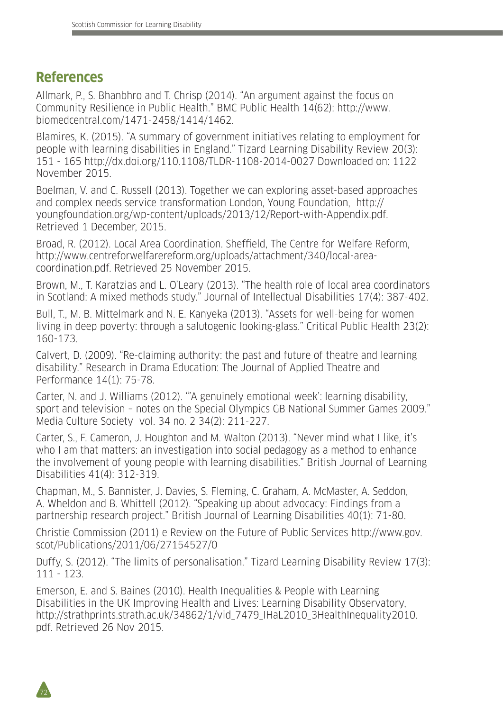# **References**

72

Allmark, P., S. Bhanbhro and T. Chrisp (2014). "An argument against the focus on Community Resilience in Public Health." BMC Public Health 14(62): http://www. biomedcentral.com/1471-2458/1414/1462.

Blamires, K. (2015). "A summary of government initiatives relating to employment for people with learning disabilities in England." Tizard Learning Disability Review 20(3): 151 - 165 http://dx.doi.org/110.1108/TLDR-1108-2014-0027 Downloaded on: 1122 November 2015.

Boelman, V. and C. Russell (2013). Together we can exploring asset-based approaches and complex needs service transformation London, Young Foundation, http:// youngfoundation.org/wp-content/uploads/2013/12/Report-with-Appendix.pdf. Retrieved 1 December, 2015.

Broad, R. (2012). Local Area Coordination. Sheffield, The Centre for Welfare Reform, http://www.centreforwelfarereform.org/uploads/attachment/340/local-areacoordination.pdf. Retrieved 25 November 2015.

Brown, M., T. Karatzias and L. O'Leary (2013). "The health role of local area coordinators in Scotland: A mixed methods study." Journal of Intellectual Disabilities 17(4): 387-402.

Bull, T., M. B. Mittelmark and N. E. Kanyeka (2013). "Assets for well-being for women living in deep poverty: through a salutogenic looking-glass." Critical Public Health 23(2): 160-173.

Calvert, D. (2009). "Re-claiming authority: the past and future of theatre and learning disability." Research in Drama Education: The Journal of Applied Theatre and Performance 14(1): 75-78.

Carter, N. and J. Williams (2012). "'A genuinely emotional week': learning disability, sport and television – notes on the Special Olympics GB National Summer Games 2009." Media Culture Society vol. 34 no. 2 34(2): 211-227.

Carter, S., F. Cameron, J. Houghton and M. Walton (2013). "Never mind what I like, it's who I am that matters: an investigation into social pedagogy as a method to enhance the involvement of young people with learning disabilities." British Journal of Learning Disabilities 41(4): 312-319.

Chapman, M., S. Bannister, J. Davies, S. Fleming, C. Graham, A. McMaster, A. Seddon, A. Wheldon and B. Whittell (2012). "Speaking up about advocacy: Findings from a partnership research project." British Journal of Learning Disabilities 40(1): 71-80.

Christie Commission (2011) e Review on the Future of Public Services http://www.gov. scot/Publications/2011/06/27154527/0

Duffy, S. (2012). "The limits of personalisation." Tizard Learning Disability Review 17(3): 111 - 123.

Emerson, E. and S. Baines (2010). Health Inequalities & People with Learning Disabilities in the UK Improving Health and Lives: Learning Disability Observatory, http://strathprints.strath.ac.uk/34862/1/vid\_7479\_IHaL2010\_3HealthInequality2010. pdf. Retrieved 26 Nov 2015.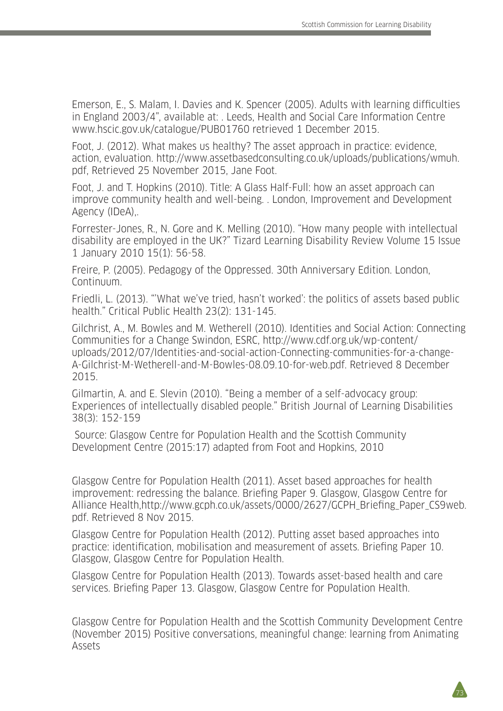Emerson, E., S. Malam, I. Davies and K. Spencer (2005). Adults with learning difficulties in England 2003/4", available at: . Leeds, Health and Social Care Information Centre www.hscic.gov.uk/catalogue/PUB01760 retrieved 1 December 2015.

Foot, J. (2012). What makes us healthy? The asset approach in practice: evidence, action, evaluation. http://www.assetbasedconsulting.co.uk/uploads/publications/wmuh. pdf, Retrieved 25 November 2015, Jane Foot.

Foot, J. and T. Hopkins (2010). Title: A Glass Half-Full: how an asset approach can improve community health and well-being. . London, Improvement and Development Agency (IDeA),.

Forrester-Jones, R., N. Gore and K. Melling (2010). "How many people with intellectual disability are employed in the UK?" Tizard Learning Disability Review Volume 15 Issue 1 January 2010 15(1): 56-58.

Freire, P. (2005). Pedagogy of the Oppressed. 30th Anniversary Edition. London, Continuum.

Friedli, L. (2013). "'What we've tried, hasn't worked': the politics of assets based public health." Critical Public Health 23(2): 131-145.

Gilchrist, A., M. Bowles and M. Wetherell (2010). Identities and Social Action: Connecting Communities for a Change Swindon, ESRC, http://www.cdf.org.uk/wp-content/ uploads/2012/07/Identities-and-social-action-Connecting-communities-for-a-change-A-Gilchrist-M-Wetherell-and-M-Bowles-08.09.10-for-web.pdf. Retrieved 8 December 2015.

Gilmartin, A. and E. Slevin (2010). "Being a member of a self-advocacy group: Experiences of intellectually disabled people." British Journal of Learning Disabilities 38(3): 152-159

 Source: Glasgow Centre for Population Health and the Scottish Community Development Centre (2015:17) adapted from Foot and Hopkins, 2010

Glasgow Centre for Population Health (2011). Asset based approaches for health improvement: redressing the balance. Briefing Paper 9. Glasgow, Glasgow Centre for Alliance Health,http://www.gcph.co.uk/assets/0000/2627/GCPH\_Briefing\_Paper\_CS9web. pdf. Retrieved 8 Nov 2015.

Glasgow Centre for Population Health (2012). Putting asset based approaches into practice: identification, mobilisation and measurement of assets. Briefing Paper 10. Glasgow, Glasgow Centre for Population Health.

Glasgow Centre for Population Health (2013). Towards asset-based health and care services. Briefing Paper 13. Glasgow, Glasgow Centre for Population Health.

Glasgow Centre for Population Health and the Scottish Community Development Centre (November 2015) Positive conversations, meaningful change: learning from Animating Assets

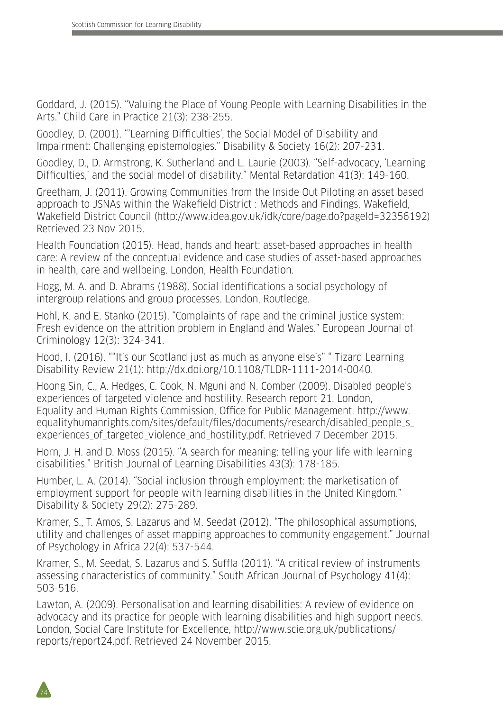Goddard, J. (2015). "Valuing the Place of Young People with Learning Disabilities in the Arts." Child Care in Practice 21(3): 238-255.

Goodley, D. (2001). "'Learning Difficulties', the Social Model of Disability and Impairment: Challenging epistemologies." Disability & Society 16(2): 207-231.

Goodley, D., D. Armstrong, K. Sutherland and L. Laurie (2003). "Self-advocacy, 'Learning Difficulties,' and the social model of disability." Mental Retardation 41(3): 149-160.

Greetham, J. (2011). Growing Communities from the Inside Out Piloting an asset based approach to JSNAs within the Wakefield District : Methods and Findings. Wakefield, Wakefield District Council (http://www.idea.gov.uk/idk/core/page.do?pageId=32356192) Retrieved 23 Nov 2015.

Health Foundation (2015). Head, hands and heart: asset-based approaches in health care: A review of the conceptual evidence and case studies of asset-based approaches in health, care and wellbeing. London, Health Foundation.

Hogg, M. A. and D. Abrams (1988). Social identifications a social psychology of intergroup relations and group processes. London, Routledge.

Hohl, K. and E. Stanko (2015). "Complaints of rape and the criminal justice system: Fresh evidence on the attrition problem in England and Wales." European Journal of Criminology 12(3): 324-341.

Hood, I. (2016). ""It's our Scotland just as much as anyone else's" " Tizard Learning Disability Review 21(1): http://dx.doi.org/10.1108/TLDR-1111-2014-0040.

Hoong Sin, C., A. Hedges, C. Cook, N. Mguni and N. Comber (2009). Disabled people's experiences of targeted violence and hostility. Research report 21. London, Equality and Human Rights Commission, Office for Public Management. http://www. equalityhumanrights.com/sites/default/files/documents/research/disabled\_people\_s\_ experiences of targeted violence and hostility.pdf. Retrieved 7 December 2015.

Horn, J. H. and D. Moss (2015). "A search for meaning: telling your life with learning disabilities." British Journal of Learning Disabilities 43(3): 178-185.

Humber, L. A. (2014). "Social inclusion through employment: the marketisation of employment support for people with learning disabilities in the United Kingdom." Disability & Society 29(2): 275-289.

Kramer, S., T. Amos, S. Lazarus and M. Seedat (2012). "The philosophical assumptions, utility and challenges of asset mapping approaches to community engagement." Journal of Psychology in Africa 22(4): 537-544.

Kramer, S., M. Seedat, S. Lazarus and S. Suffla (2011). "A critical review of instruments assessing characteristics of community." South African Journal of Psychology 41(4): 503-516.

Lawton, A. (2009). Personalisation and learning disabilities: A review of evidence on advocacy and its practice for people with learning disabilities and high support needs. London, Social Care Institute for Excellence, http://www.scie.org.uk/publications/ reports/report24.pdf. Retrieved 24 November 2015.

74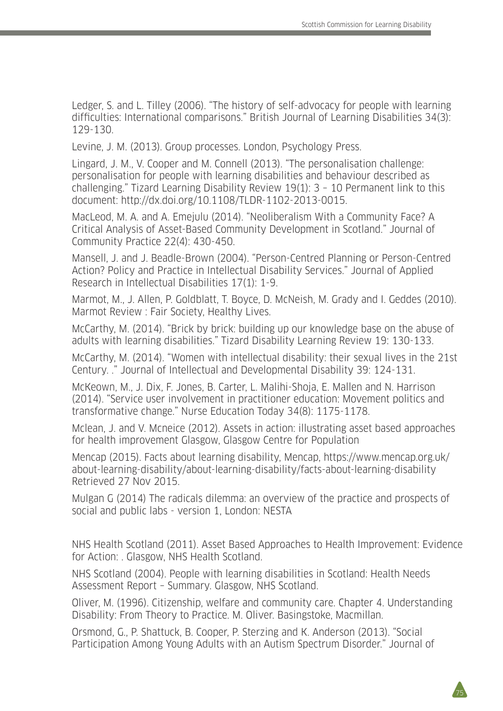Ledger, S. and L. Tilley (2006). "The history of self-advocacy for people with learning difficulties: International comparisons." British Journal of Learning Disabilities 34(3): 129-130.

Levine, J. M. (2013). Group processes. London, Psychology Press.

Lingard, J. M., V. Cooper and M. Connell (2013). "The personalisation challenge: personalisation for people with learning disabilities and behaviour described as challenging." Tizard Learning Disability Review 19(1): 3 – 10 Permanent link to this document: http://dx.doi.org/10.1108/TLDR-1102-2013-0015.

MacLeod, M. A. and A. Emejulu (2014). "Neoliberalism With a Community Face? A Critical Analysis of Asset-Based Community Development in Scotland." Journal of Community Practice 22(4): 430-450.

Mansell, J. and J. Beadle-Brown (2004). "Person-Centred Planning or Person-Centred Action? Policy and Practice in Intellectual Disability Services." Journal of Applied Research in Intellectual Disabilities 17(1): 1-9.

Marmot, M., J. Allen, P. Goldblatt, T. Boyce, D. McNeish, M. Grady and I. Geddes (2010). Marmot Review : Fair Society, Healthy Lives.

McCarthy, M. (2014). "Brick by brick: building up our knowledge base on the abuse of adults with learning disabilities." Tizard Disability Learning Review 19: 130-133.

McCarthy, M. (2014). "Women with intellectual disability: their sexual lives in the 21st Century. ." Journal of Intellectual and Developmental Disability 39: 124-131.

McKeown, M., J. Dix, F. Jones, B. Carter, L. Malihi-Shoja, E. Mallen and N. Harrison (2014). "Service user involvement in practitioner education: Movement politics and transformative change." Nurse Education Today 34(8): 1175-1178.

Mclean, J. and V. Mcneice (2012). Assets in action: illustrating asset based approaches for health improvement Glasgow, Glasgow Centre for Population

Mencap (2015). Facts about learning disability, Mencap, https://www.mencap.org.uk/ about-learning-disability/about-learning-disability/facts-about-learning-disability Retrieved 27 Nov 2015.

Mulgan G (2014) The radicals dilemma: an overview of the practice and prospects of social and public labs - version 1, London: NESTA

NHS Health Scotland (2011). Asset Based Approaches to Health Improvement: Evidence for Action: . Glasgow, NHS Health Scotland.

NHS Scotland (2004). People with learning disabilities in Scotland: Health Needs Assessment Report – Summary. Glasgow, NHS Scotland.

Oliver, M. (1996). Citizenship, welfare and community care. Chapter 4. Understanding Disability: From Theory to Practice. M. Oliver. Basingstoke, Macmillan.

Orsmond, G., P. Shattuck, B. Cooper, P. Sterzing and K. Anderson (2013). "Social Participation Among Young Adults with an Autism Spectrum Disorder." Journal of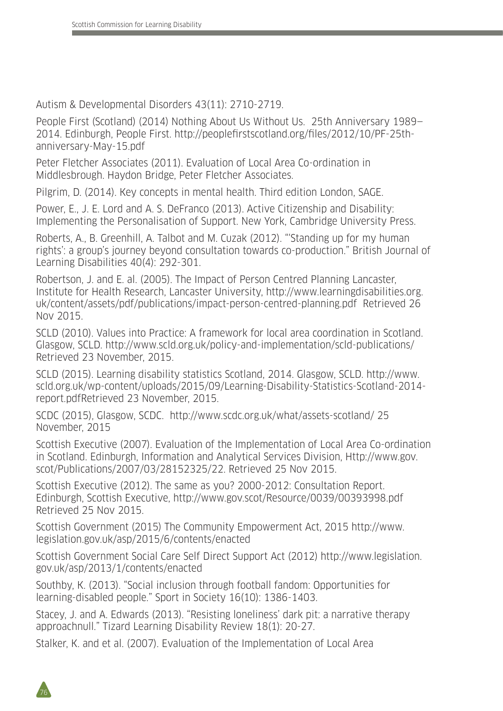Autism & Developmental Disorders 43(11): 2710-2719.

People First (Scotland) (2014) Nothing About Us Without Us. 25th Anniversary 1989— 2014. Edinburgh, People First. http://peoplefirstscotland.org/files/2012/10/PF-25thanniversary-May-15.pdf

Peter Fletcher Associates (2011). Evaluation of Local Area Co-ordination in Middlesbrough. Haydon Bridge, Peter Fletcher Associates.

Pilgrim, D. (2014). Key concepts in mental health. Third edition London, SAGE.

Power, E., J. E. Lord and A. S. DeFranco (2013). Active Citizenship and Disability: Implementing the Personalisation of Support. New York, Cambridge University Press.

Roberts, A., B. Greenhill, A. Talbot and M. Cuzak (2012). "'Standing up for my human rights': a group's journey beyond consultation towards co-production." British Journal of Learning Disabilities 40(4): 292-301.

Robertson, J. and E. al. (2005). The Impact of Person Centred Planning Lancaster, Institute for Health Research, Lancaster University, http://www.learningdisabilities.org. uk/content/assets/pdf/publications/impact-person-centred-planning.pdf Retrieved 26 Nov 2015.

SCLD (2010). Values into Practice: A framework for local area coordination in Scotland. Glasgow, SCLD. http://www.scld.org.uk/policy-and-implementation/scld-publications/ Retrieved 23 November, 2015.

SCLD (2015). Learning disability statistics Scotland, 2014. Glasgow, SCLD. http://www. scld.org.uk/wp-content/uploads/2015/09/Learning-Disability-Statistics-Scotland-2014 report.pdfRetrieved 23 November, 2015.

SCDC (2015), Glasgow, SCDC. http://www.scdc.org.uk/what/assets-scotland/ 25 November, 2015

Scottish Executive (2007). Evaluation of the Implementation of Local Area Co-ordination in Scotland. Edinburgh, Information and Analytical Services Division, Http://www.gov. scot/Publications/2007/03/28152325/22. Retrieved 25 Nov 2015.

Scottish Executive (2012). The same as you? 2000-2012: Consultation Report. Edinburgh, Scottish Executive, http://www.gov.scot/Resource/0039/00393998.pdf Retrieved 25 Nov 2015.

Scottish Government (2015) The Community Empowerment Act, 2015 http://www. legislation.gov.uk/asp/2015/6/contents/enacted

Scottish Government Social Care Self Direct Support Act (2012) http://www.legislation. gov.uk/asp/2013/1/contents/enacted

Southby, K. (2013). "Social inclusion through football fandom: Opportunities for learning-disabled people." Sport in Society 16(10): 1386-1403.

Stacey, J. and A. Edwards (2013). "Resisting loneliness' dark pit: a narrative therapy approachnull." Tizard Learning Disability Review 18(1): 20-27.

Stalker, K. and et al. (2007). Evaluation of the Implementation of Local Area

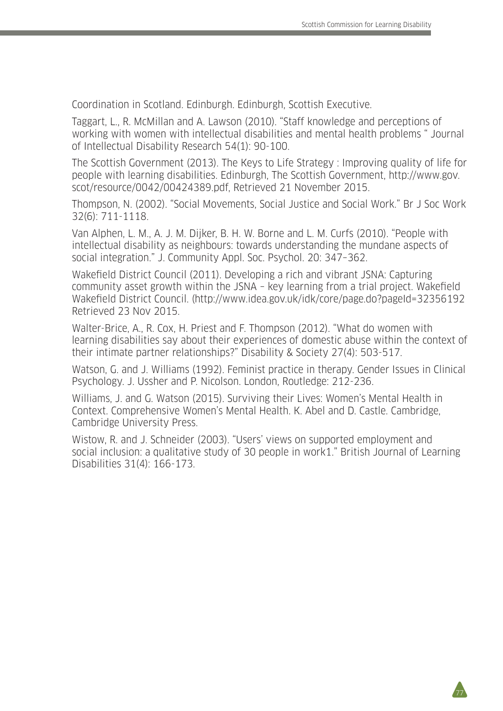77

Coordination in Scotland. Edinburgh. Edinburgh, Scottish Executive.

Taggart, L., R. McMillan and A. Lawson (2010). "Staff knowledge and perceptions of working with women with intellectual disabilities and mental health problems " Journal of Intellectual Disability Research 54(1): 90-100.

The Scottish Government (2013). The Keys to Life Strategy : Improving quality of life for people with learning disabilities. Edinburgh, The Scottish Government, http://www.gov. scot/resource/0042/00424389.pdf, Retrieved 21 November 2015.

Thompson, N. (2002). "Social Movements, Social Justice and Social Work." Br J Soc Work 32(6): 711-1118.

Van Alphen, L. M., A. J. M. Dijker, B. H. W. Borne and L. M. Curfs (2010). "People with intellectual disability as neighbours: towards understanding the mundane aspects of social integration." J. Community Appl. Soc. Psychol. 20: 347–362.

Wakefield District Council (2011). Developing a rich and vibrant JSNA: Capturing community asset growth within the JSNA – key learning from a trial project. Wakefield Wakefield District Council. (http://www.idea.gov.uk/idk/core/page.do?pageId=32356192 Retrieved 23 Nov 2015.

Walter-Brice, A., R. Cox, H. Priest and F. Thompson (2012). "What do women with learning disabilities say about their experiences of domestic abuse within the context of their intimate partner relationships?" Disability & Society 27(4): 503-517.

Watson, G. and J. Williams (1992). Feminist practice in therapy. Gender Issues in Clinical Psychology. J. Ussher and P. Nicolson. London, Routledge: 212-236.

Williams, J. and G. Watson (2015). Surviving their Lives: Women's Mental Health in Context. Comprehensive Women's Mental Health. K. Abel and D. Castle. Cambridge, Cambridge University Press.

Wistow, R. and J. Schneider (2003). "Users' views on supported employment and social inclusion: a qualitative study of 30 people in work1." British Journal of Learning Disabilities 31(4): 166-173.